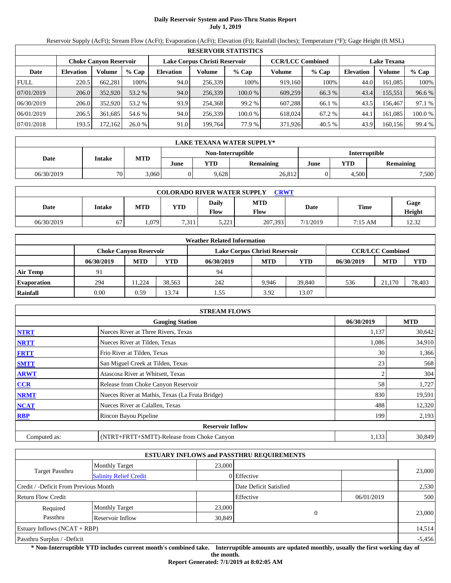# **Daily Reservoir System and Pass-Thru Status Report July 1, 2019**

Reservoir Supply (AcFt); Stream Flow (AcFt); Evaporation (AcFt); Elevation (Ft); Rainfall (Inches); Temperature (°F); Gage Height (ft MSL)

|             | <b>RESERVOIR STATISTICS</b> |                               |         |                         |         |         |                    |         |                  |         |         |
|-------------|-----------------------------|-------------------------------|---------|-------------------------|---------|---------|--------------------|---------|------------------|---------|---------|
|             |                             | <b>Choke Canvon Reservoir</b> |         | <b>CCR/LCC Combined</b> |         |         | <b>Lake Texana</b> |         |                  |         |         |
| Date        | <b>Elevation</b>            | Volume                        | $%$ Cap | <b>Elevation</b>        | Volume  | $%$ Cap | Volume             | $%$ Cap | <b>Elevation</b> | Volume  | % Cap   |
| <b>FULL</b> | 220.5                       | 662.281                       | 100%    | 94.0                    | 256,339 | 100%    | 919,160            | 100%    | 44.0             | 161.085 | 100%    |
| 07/01/2019  | 206.0                       | 352,920                       | 53.2 %  | 94.0                    | 256,339 | 100.0 % | 609,259            | 66.3 %  | 43.4             | 155,551 | 96.6 %  |
| 06/30/2019  | 206.0                       | 352,920                       | 53.2 %  | 93.9                    | 254.368 | 99.2 %  | 607.288            | 66.1 %  | 43.5             | 156.467 | 97.1 %  |
| 06/01/2019  | 206.5                       | 361,685                       | 54.6 %  | 94.0                    | 256,339 | 100.0 % | 618,024            | 67.2 %  | 44.1             | 161.085 | 100.0 % |
| 07/01/2018  | 193.5                       | 72.162                        | 26.0%   | 91.0                    | 199,764 | 77.9 %  | 371,926            | 40.5%   | 43.9             | 160,156 | 99.4 %  |

|            | <b>LAKE TEXANA WATER SUPPLY*</b> |            |      |            |                   |                      |       |           |  |  |  |
|------------|----------------------------------|------------|------|------------|-------------------|----------------------|-------|-----------|--|--|--|
|            |                                  |            |      |            | Non-Interruptible | <b>Interruptible</b> |       |           |  |  |  |
| Date       | Intake                           | <b>MTD</b> | June | <b>VTD</b> | <b>Remaining</b>  | June                 | YTD   | Remaining |  |  |  |
| 06/30/2019 | 70 <sub>1</sub>                  | 3,060      |      | 9,628      | 26,812            |                      | 4.500 | 7,500     |  |  |  |

|            | <b>COLORADO RIVER WATER SUPPLY</b><br><b>CRWT</b> |       |                |                      |                    |          |             |                |  |  |  |  |
|------------|---------------------------------------------------|-------|----------------|----------------------|--------------------|----------|-------------|----------------|--|--|--|--|
| Date       | Intake                                            | MTD   | <b>YTD</b>     | <b>Daily</b><br>Flow | <b>MTD</b><br>Flow | Date     | <b>Time</b> | Gage<br>Height |  |  |  |  |
| 06/30/2019 | 67                                                | 1,079 | 7 3 1 1<br>. 1 | 5,221                | 207.393            | 7/1/2019 | 7:15 AM     | 12.32          |  |  |  |  |

|                    |            |                               |        | <b>Weather Related Information</b> |            |            |            |                         |            |
|--------------------|------------|-------------------------------|--------|------------------------------------|------------|------------|------------|-------------------------|------------|
|                    |            | <b>Choke Canvon Reservoir</b> |        | Lake Corpus Christi Reservoir      |            |            |            | <b>CCR/LCC Combined</b> |            |
|                    | 06/30/2019 | <b>MTD</b>                    | YTD    | 06/30/2019                         | <b>MTD</b> | <b>YTD</b> | 06/30/2019 | <b>MTD</b>              | <b>YTD</b> |
| <b>Air Temp</b>    | 91         |                               |        | 94                                 |            |            |            |                         |            |
| <b>Evaporation</b> | 294        | 11.224                        | 38.563 | 242                                | 9.946      | 39.840     | 536        | 21.170                  | 78.403     |
| Rainfall           | 0.00       | 0.59                          | 13.74  | 1.55                               | 3.92       | 13.07      |            |                         |            |

|              | <b>STREAM FLOWS</b>                             |            |            |
|--------------|-------------------------------------------------|------------|------------|
|              | <b>Gauging Station</b>                          | 06/30/2019 | <b>MTD</b> |
| <b>NTRT</b>  | Nueces River at Three Rivers, Texas             | 1,137      | 30,642     |
| <b>NRTT</b>  | Nueces River at Tilden, Texas                   | 1,086      | 34,910     |
| <b>FRTT</b>  | Frio River at Tilden, Texas                     | 30         | 1,366      |
| <b>SMTT</b>  | San Miguel Creek at Tilden, Texas               | 23         | 568        |
| <b>ARWT</b>  | Atascosa River at Whitsett, Texas               |            | 304        |
| CCR          | Release from Choke Canyon Reservoir             | 58         | 1,727      |
| <b>NRMT</b>  | Nueces River at Mathis, Texas (La Fruta Bridge) | 830        | 19,591     |
| <b>NCAT</b>  | Nueces River at Calallen, Texas                 | 488        | 12,320     |
| <b>RBP</b>   | Rincon Bayou Pipeline                           | 199        | 2,193      |
|              | <b>Reservoir Inflow</b>                         |            |            |
| Computed as: | (NTRT+FRTT+SMTT)-Release from Choke Canyon      | 1,133      | 30,849     |

|                                       |                               |        | <b>ESTUARY INFLOWS and PASSTHRU REQUIREMENTS</b> |          |            |          |
|---------------------------------------|-------------------------------|--------|--------------------------------------------------|----------|------------|----------|
|                                       | <b>Monthly Target</b>         | 23,000 |                                                  |          |            |          |
| Target Passthru                       | <b>Salinity Relief Credit</b> |        | 0 Effective                                      |          |            | 23,000   |
| Credit / -Deficit From Previous Month |                               |        | Date Deficit Satisfied                           |          |            | 2,530    |
| <b>Return Flow Credit</b>             |                               |        | Effective                                        |          | 06/01/2019 | 500      |
| Required                              | <b>Monthly Target</b>         | 23,000 |                                                  |          |            |          |
| Passthru                              | Reservoir Inflow              | 30,849 |                                                  | $\Omega$ |            | 23,000   |
| Estuary Inflows $(NCAT + RBP)$        |                               |        |                                                  |          |            | 14,514   |
| Passthru Surplus / -Deficit           |                               |        |                                                  |          |            | $-5,456$ |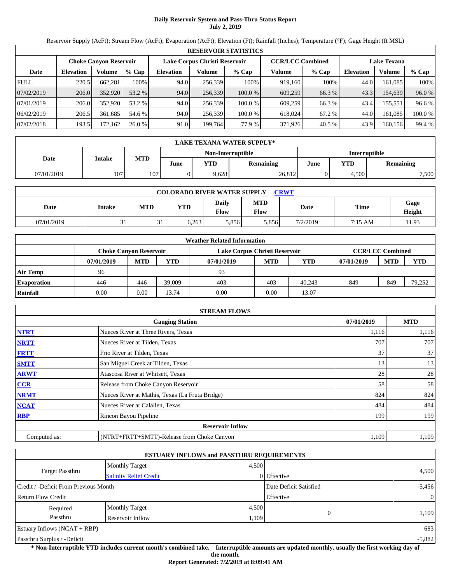# **Daily Reservoir System and Pass-Thru Status Report July 2, 2019**

Reservoir Supply (AcFt); Stream Flow (AcFt); Evaporation (AcFt); Elevation (Ft); Rainfall (Inches); Temperature (°F); Gage Height (ft MSL)

|             | <b>RESERVOIR STATISTICS</b>                             |          |         |           |         |         |         |                         |                    |         |         |
|-------------|---------------------------------------------------------|----------|---------|-----------|---------|---------|---------|-------------------------|--------------------|---------|---------|
|             | Lake Corpus Christi Reservoir<br>Choke Canvon Reservoir |          |         |           |         |         |         | <b>CCR/LCC Combined</b> | <b>Lake Texana</b> |         |         |
| Date        | <b>Elevation</b>                                        | Volume   | $%$ Cap | Elevation | Volume  | $%$ Cap | Volume  | $%$ Cap                 | <b>Elevation</b>   | Volume  | $%$ Cap |
| <b>FULL</b> | 220.5                                                   | 662.281  | 100%    | 94.0      | 256.339 | 100%    | 919.160 | 100%                    | 44.0               | 161.085 | 100%    |
| 07/02/2019  | 206.0                                                   | 352,920  | 53.2 %  | 94.0      | 256,339 | 100.0%  | 609,259 | 66.3 %                  | 43.3               | 154,639 | 96.0 %  |
| 07/01/2019  | 206.0                                                   | 352,920  | 53.2 %  | 94.0      | 256.339 | 100.0 % | 609.259 | 66.3 %                  | 43.4               | 155.551 | 96.6 %  |
| 06/02/2019  | 206.5                                                   | 361.685  | 54.6 %  | 94.0      | 256,339 | 100.0 % | 618,024 | 67.2 %                  | 44.0               | 161.085 | 100.0 % |
| 07/02/2018  | 193.5                                                   | 172, 162 | 26.0%   | 91.0      | 199,764 | 77.9 %  | 371,926 | 40.5 %                  | 43.9               | 160,156 | 99.4 %  |

|            | <b>LAKE TEXANA WATER SUPPLY*</b> |            |      |       |                                           |      |            |                  |  |  |  |
|------------|----------------------------------|------------|------|-------|-------------------------------------------|------|------------|------------------|--|--|--|
|            |                                  |            |      |       | <b>Interruptible</b><br>Non-Interruptible |      |            |                  |  |  |  |
| Date       | Intake                           | <b>MTD</b> | June | YTD   | <b>Remaining</b>                          | June | <b>YTD</b> | <b>Remaining</b> |  |  |  |
| 07/01/2019 | 107                              | 107        |      | 9,628 | 26,812                                    |      | 4.500      | 7,500            |  |  |  |

|            | <b>COLORADO RIVER WATER SUPPLY</b><br><b>CRWT</b> |                |       |                      |                           |          |         |                |  |  |  |
|------------|---------------------------------------------------|----------------|-------|----------------------|---------------------------|----------|---------|----------------|--|--|--|
| Date       | Intake                                            | MTD            | YTD   | Daily<br><b>Flow</b> | <b>MTD</b><br><b>Flow</b> | Date     | Time    | Gage<br>Height |  |  |  |
| 07/01/2019 | 31                                                | $^{\sim}$<br>ັ | 6.263 | 5,856                | 5,856                     | 7/2/2019 | 7:15 AM | 11.93          |  |  |  |

|                    |                               |            |            | <b>Weather Related Information</b> |            |        |            |                         |            |
|--------------------|-------------------------------|------------|------------|------------------------------------|------------|--------|------------|-------------------------|------------|
|                    | <b>Choke Canvon Reservoir</b> |            |            | Lake Corpus Christi Reservoir      |            |        |            | <b>CCR/LCC Combined</b> |            |
|                    | 07/01/2019                    | <b>MTD</b> | <b>YTD</b> | 07/01/2019                         | <b>MTD</b> | YTD    | 07/01/2019 | <b>MTD</b>              | <b>YTD</b> |
| <b>Air Temp</b>    | 96                            |            |            | 93                                 |            |        |            |                         |            |
| <b>Evaporation</b> | 446                           | 446        | 39,009     | 403                                | 403        | 40.243 | 849        | 849                     | 79.252     |
| Rainfall           | 0.00                          | 0.00       | 13.74      | 0.00                               | 0.00       | 13.07  |            |                         |            |

|              | <b>STREAM FLOWS</b>                             |            |            |
|--------------|-------------------------------------------------|------------|------------|
|              | <b>Gauging Station</b>                          | 07/01/2019 | <b>MTD</b> |
| <b>NTRT</b>  | Nueces River at Three Rivers, Texas             | 1,116      | 1,116      |
| <b>NRTT</b>  | Nueces River at Tilden, Texas                   | 707        | 707        |
| <b>FRTT</b>  | Frio River at Tilden, Texas                     | 37         | 37         |
| <b>SMTT</b>  | San Miguel Creek at Tilden, Texas               | 13         | 13         |
| <b>ARWT</b>  | Atascosa River at Whitsett, Texas               | 28         | 28         |
| <b>CCR</b>   | Release from Choke Canyon Reservoir             | 58         | 58         |
| <b>NRMT</b>  | Nueces River at Mathis, Texas (La Fruta Bridge) | 824        | 824        |
| <b>NCAT</b>  | Nueces River at Calallen, Texas                 | 484        | 484        |
| <b>RBP</b>   | Rincon Bayou Pipeline                           | 199        | 199        |
|              | <b>Reservoir Inflow</b>                         |            |            |
| Computed as: | (NTRT+FRTT+SMTT)-Release from Choke Canyon      | 1,109      | 1,109      |

|                                       |                               | <b>ESTUARY INFLOWS and PASSTHRU REQUIREMENTS</b> |                        |          |
|---------------------------------------|-------------------------------|--------------------------------------------------|------------------------|----------|
|                                       | <b>Monthly Target</b>         | 4,500                                            |                        |          |
| <b>Target Passthru</b>                | <b>Salinity Relief Credit</b> |                                                  | $0$ Effective          | 4,500    |
| Credit / -Deficit From Previous Month |                               |                                                  | Date Deficit Satisfied | $-5,456$ |
| <b>Return Flow Credit</b>             |                               |                                                  | Effective              |          |
| Required                              | <b>Monthly Target</b>         | 4,500                                            |                        |          |
| Passthru                              | Reservoir Inflow              | 1,109                                            |                        | 1,109    |
| Estuary Inflows $(NCAT + RBP)$        |                               |                                                  |                        | 683      |
| Passthru Surplus / -Deficit           |                               |                                                  |                        | $-5,882$ |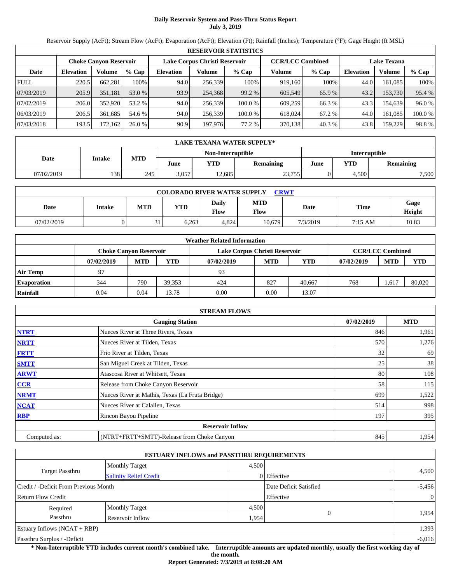# **Daily Reservoir System and Pass-Thru Status Report July 3, 2019**

Reservoir Supply (AcFt); Stream Flow (AcFt); Evaporation (AcFt); Elevation (Ft); Rainfall (Inches); Temperature (°F); Gage Height (ft MSL)

|             | <b>RESERVOIR STATISTICS</b> |                               |         |                               |         |         |                         |         |                    |         |         |  |  |
|-------------|-----------------------------|-------------------------------|---------|-------------------------------|---------|---------|-------------------------|---------|--------------------|---------|---------|--|--|
|             |                             | <b>Choke Canvon Reservoir</b> |         | Lake Corpus Christi Reservoir |         |         | <b>CCR/LCC Combined</b> |         | <b>Lake Texana</b> |         |         |  |  |
| Date        | <b>Elevation</b>            | Volume                        | $%$ Cap | <b>Elevation</b>              | Volume  | $%$ Cap | Volume                  | $%$ Cap | <b>Elevation</b>   | Volume  | $%$ Cap |  |  |
| <b>FULL</b> | 220.5                       | 662,281                       | 100%    | 94.0                          | 256,339 | 100%    | 919.160                 | 100%    | 44.0               | 161.085 | 100%    |  |  |
| 07/03/2019  | 205.9                       | 351,181                       | 53.0 %  | 93.9                          | 254.368 | 99.2 %  | 605,549                 | 65.9 %  | 43.2               | 153,730 | 95.4 %  |  |  |
| 07/02/2019  | 206.0                       | 352,920                       | 53.2 %  | 94.0                          | 256,339 | 100.0 % | 609.259                 | 66.3 %  | 43.3               | 154.639 | 96.0 %  |  |  |
| 06/03/2019  | 206.5                       | 361.685                       | 54.6 %  | 94.0                          | 256.339 | 100.0 % | 618,024                 | 67.2 %  | 44.0               | 161.085 | 100.0%  |  |  |
| 07/03/2018  | 193.5                       | 172.162                       | 26.0%   | 90.9                          | 197,976 | 77.2 %  | 370,138                 | 40.3 %  | 43.8               | 159,229 | 98.8%   |  |  |

| LAKE TEXANA WATER SUPPLY* |                                                                |     |       |                   |                      |      |       |                  |  |  |
|---------------------------|----------------------------------------------------------------|-----|-------|-------------------|----------------------|------|-------|------------------|--|--|
|                           |                                                                |     |       | Non-Interruptible | <b>Interruptible</b> |      |       |                  |  |  |
| Date                      | <b>MTD</b><br><b>Intake</b><br>VTD<br><b>Remaining</b><br>June |     |       |                   |                      | June | YTD   | <b>Remaining</b> |  |  |
| 07/02/2019                | 138                                                            | 245 | 3.057 | 12.685            | 23,755               |      | 4,500 | 7,500            |  |  |

| <b>COLORADO RIVER WATER SUPPLY</b><br><b>CRWT</b> |        |            |       |               |                    |          |             |                |  |  |
|---------------------------------------------------|--------|------------|-------|---------------|--------------------|----------|-------------|----------------|--|--|
| Date                                              | Intake | <b>MTD</b> | YTD   | Daily<br>Flow | <b>MTD</b><br>Flow | Date     | <b>Time</b> | Gage<br>Height |  |  |
| 07/02/2019                                        |        | $\sim$     | 6.263 | 4.824         | 10.679             | 7/3/2019 | 7:15 AM     | 10.83          |  |  |

|                    | <b>Weather Related Information</b> |            |            |                               |                         |        |            |            |            |  |  |  |
|--------------------|------------------------------------|------------|------------|-------------------------------|-------------------------|--------|------------|------------|------------|--|--|--|
|                    | <b>Choke Canvon Reservoir</b>      |            |            | Lake Corpus Christi Reservoir | <b>CCR/LCC Combined</b> |        |            |            |            |  |  |  |
|                    | 07/02/2019                         | <b>MTD</b> | <b>YTD</b> | 07/02/2019                    | <b>MTD</b>              | YTD    | 07/02/2019 | <b>MTD</b> | <b>YTD</b> |  |  |  |
| <b>Air Temp</b>    | 97                                 |            |            | 93                            |                         |        |            |            |            |  |  |  |
| <b>Evaporation</b> | 344                                | 790        | 39.353     | 424                           | 827                     | 40.667 | 768        | .617       | 80,020     |  |  |  |
| Rainfall           | 0.04                               | 0.04       | 13.78      | 0.00                          | 0.00                    | 13.07  |            |            |            |  |  |  |

|              | <b>STREAM FLOWS</b>                             |  |     |       |  |  |  |  |  |
|--------------|-------------------------------------------------|--|-----|-------|--|--|--|--|--|
|              | <b>Gauging Station</b>                          |  |     |       |  |  |  |  |  |
| <b>NTRT</b>  | Nueces River at Three Rivers, Texas             |  | 846 | 1,961 |  |  |  |  |  |
| <b>NRTT</b>  | Nueces River at Tilden, Texas                   |  | 570 | 1,276 |  |  |  |  |  |
| <b>FRTT</b>  | Frio River at Tilden, Texas                     |  | 32  | 69    |  |  |  |  |  |
| <b>SMTT</b>  | San Miguel Creek at Tilden, Texas               |  | 25  | 38    |  |  |  |  |  |
| <b>ARWT</b>  | Atascosa River at Whitsett, Texas               |  | 80  | 108   |  |  |  |  |  |
| <b>CCR</b>   | Release from Choke Canyon Reservoir             |  | 58  | 115   |  |  |  |  |  |
| <b>NRMT</b>  | Nueces River at Mathis, Texas (La Fruta Bridge) |  | 699 | 1,522 |  |  |  |  |  |
| <b>NCAT</b>  | Nueces River at Calallen, Texas                 |  | 514 | 998   |  |  |  |  |  |
| <b>RBP</b>   | Rincon Bayou Pipeline                           |  | 197 | 395   |  |  |  |  |  |
|              | <b>Reservoir Inflow</b>                         |  |     |       |  |  |  |  |  |
| Computed as: | (NTRT+FRTT+SMTT)-Release from Choke Canyon      |  | 845 | 1,954 |  |  |  |  |  |

|                                       |                               | <b>ESTUARY INFLOWS and PASSTHRU REQUIREMENTS</b> |               |                |
|---------------------------------------|-------------------------------|--------------------------------------------------|---------------|----------------|
|                                       | <b>Monthly Target</b>         | 4,500                                            |               | 4,500          |
| <b>Target Passthru</b>                | <b>Salinity Relief Credit</b> |                                                  | $0$ Effective |                |
| Credit / -Deficit From Previous Month |                               | Date Deficit Satisfied                           |               | $-5,456$       |
| <b>Return Flow Credit</b>             |                               |                                                  | Effective     | $\overline{0}$ |
| Required                              | <b>Monthly Target</b>         | 4,500                                            |               |                |
| Passthru                              | Reservoir Inflow              | 1,954                                            |               | 1,954          |
| Estuary Inflows $(NCAT + RBP)$        |                               |                                                  |               | 1,393          |
| Passthru Surplus / -Deficit           |                               |                                                  |               | $-6,016$       |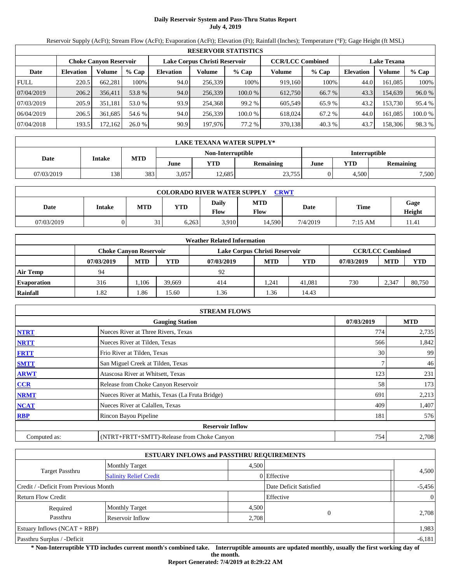# **Daily Reservoir System and Pass-Thru Status Report July 4, 2019**

Reservoir Supply (AcFt); Stream Flow (AcFt); Evaporation (AcFt); Elevation (Ft); Rainfall (Inches); Temperature (°F); Gage Height (ft MSL)

| <b>RESERVOIR STATISTICS</b> |                                                                |         |         |                  |         |         |         |                                               |                  |         |         |  |
|-----------------------------|----------------------------------------------------------------|---------|---------|------------------|---------|---------|---------|-----------------------------------------------|------------------|---------|---------|--|
|                             | Lake Corpus Christi Reservoir<br><b>Choke Canvon Reservoir</b> |         |         |                  |         |         |         | <b>CCR/LCC Combined</b><br><b>Lake Texana</b> |                  |         |         |  |
| Date                        | <b>Elevation</b>                                               | Volume  | $%$ Cap | <b>Elevation</b> | Volume  | $%$ Cap | Volume  | $%$ Cap                                       | <b>Elevation</b> | Volume  | % Cap   |  |
| <b>FULL</b>                 | 220.5                                                          | 662.281 | 100%    | 94.0             | 256,339 | 100%    | 919.160 | 100%                                          | 44.0             | 161.085 | 100%    |  |
| 07/04/2019                  | 206.2                                                          | 356.411 | 53.8 %  | 94.0             | 256,339 | 100.0 % | 612.750 | 66.7 %                                        | 43.3             | 154.639 | 96.0 %  |  |
| 07/03/2019                  | 205.9                                                          | 351.181 | 53.0 %  | 93.9             | 254.368 | 99.2 %  | 605.549 | 65.9 %                                        | 43.2             | 153.730 | 95.4 %  |  |
| 06/04/2019                  | 206.5                                                          | 361.685 | 54.6 %  | 94.0             | 256.339 | 100.0 % | 618,024 | 67.2 %                                        | 44.0             | 161.085 | 100.0 % |  |
| 07/04/2018                  | 193.5                                                          | 172.162 | 26.0 %  | 90.9             | 197,976 | 77.2 %  | 370,138 | 40.3 %                                        | 43.7             | 158,306 | 98.3 %  |  |

|            | <b>LAKE TEXANA WATER SUPPLY*</b> |            |       |                                     |        |                      |       |                  |  |  |  |
|------------|----------------------------------|------------|-------|-------------------------------------|--------|----------------------|-------|------------------|--|--|--|
|            |                                  |            |       | Non-Interruptible                   |        | <b>Interruptible</b> |       |                  |  |  |  |
| Date       | <b>Intake</b>                    | <b>MTD</b> | June  | $\mathbf{v}$ TD<br><b>Remaining</b> |        |                      | YTD   | <b>Remaining</b> |  |  |  |
| 07/03/2019 | 138                              | 383        | 3.057 | 12.685                              | 23,755 |                      | 4.500 | 7,500            |  |  |  |

| <b>COLORADO RIVER WATER SUPPLY</b><br><b>CRWT</b> |        |            |            |                             |             |          |             |                |  |  |
|---------------------------------------------------|--------|------------|------------|-----------------------------|-------------|----------|-------------|----------------|--|--|
| Date                                              | Intake | <b>MTD</b> | <b>YTD</b> | <b>Daily</b><br><b>Flow</b> | MTD<br>Flow | Date     | <b>Time</b> | Gage<br>Height |  |  |
| 07/03/2019                                        |        | $\sim$     | 6.263      | 3.910                       | 14.590      | 7/4/2019 | 7:15 AM     | 11.41          |  |  |

| <b>Weather Related Information</b> |                               |                               |            |                         |            |        |            |            |            |  |  |
|------------------------------------|-------------------------------|-------------------------------|------------|-------------------------|------------|--------|------------|------------|------------|--|--|
|                                    | <b>Choke Canvon Reservoir</b> | Lake Corpus Christi Reservoir |            | <b>CCR/LCC Combined</b> |            |        |            |            |            |  |  |
|                                    | 07/03/2019                    | <b>MTD</b>                    | <b>YTD</b> | 07/03/2019              | <b>MTD</b> | YTD    | 07/03/2019 | <b>MTD</b> | <b>YTD</b> |  |  |
| <b>Air Temp</b>                    | 94                            |                               |            | 92                      |            |        |            |            |            |  |  |
| <b>Evaporation</b>                 | 316                           | .106                          | 39.669     | 414                     | .241       | 41,081 | 730        | 2.347      | 80.750     |  |  |
| Rainfall                           | 1.82                          | 1.86                          | 15.60      | 1.36                    | 1.36       | 14.43  |            |            |            |  |  |

|              | <b>STREAM FLOWS</b>                             |     |       |  |  |  |  |  |  |
|--------------|-------------------------------------------------|-----|-------|--|--|--|--|--|--|
|              | <b>Gauging Station</b>                          |     |       |  |  |  |  |  |  |
| <b>NTRT</b>  | Nueces River at Three Rivers, Texas             | 774 | 2,735 |  |  |  |  |  |  |
| <b>NRTT</b>  | Nueces River at Tilden, Texas                   | 566 | 1,842 |  |  |  |  |  |  |
| <b>FRTT</b>  | Frio River at Tilden, Texas                     | 30  | 99    |  |  |  |  |  |  |
| <b>SMTT</b>  | San Miguel Creek at Tilden, Texas               |     | 46    |  |  |  |  |  |  |
| <b>ARWT</b>  | Atascosa River at Whitsett, Texas               | 123 | 231   |  |  |  |  |  |  |
| <b>CCR</b>   | Release from Choke Canyon Reservoir             | 58  | 173   |  |  |  |  |  |  |
| <b>NRMT</b>  | Nueces River at Mathis, Texas (La Fruta Bridge) | 691 | 2,213 |  |  |  |  |  |  |
| <b>NCAT</b>  | Nueces River at Calallen, Texas                 | 409 | 1,407 |  |  |  |  |  |  |
| <b>RBP</b>   | Rincon Bayou Pipeline                           | 181 | 576   |  |  |  |  |  |  |
|              | <b>Reservoir Inflow</b>                         |     |       |  |  |  |  |  |  |
| Computed as: | (NTRT+FRTT+SMTT)-Release from Choke Canyon      | 754 | 2,708 |  |  |  |  |  |  |

|                                       |                               | <b>ESTUARY INFLOWS and PASSTHRU REQUIREMENTS</b> |                        |                |
|---------------------------------------|-------------------------------|--------------------------------------------------|------------------------|----------------|
|                                       | <b>Monthly Target</b>         | 4,500                                            |                        |                |
| <b>Target Passthru</b>                | <b>Salinity Relief Credit</b> |                                                  | $0$ Effective          | 4,500          |
| Credit / -Deficit From Previous Month |                               |                                                  | Date Deficit Satisfied | $-5,456$       |
| <b>Return Flow Credit</b>             |                               |                                                  | Effective              | $\overline{0}$ |
| Required                              | <b>Monthly Target</b>         | 4,500                                            |                        |                |
| Passthru                              | Reservoir Inflow              | 2,708                                            | $\Omega$               | 2,708          |
| Estuary Inflows $(NCAT + RBP)$        |                               |                                                  |                        | 1,983          |
| Passthru Surplus / -Deficit           |                               |                                                  |                        | $-6,181$       |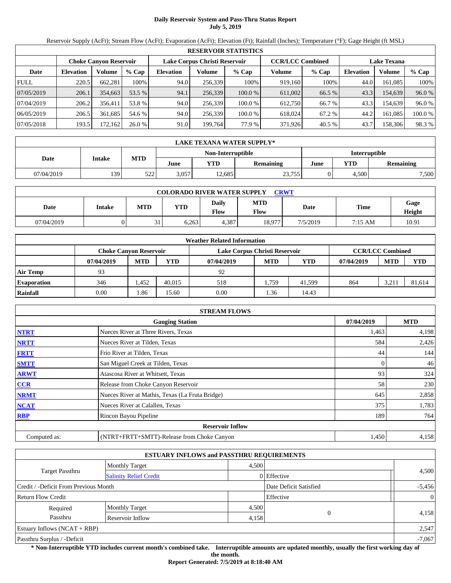# **Daily Reservoir System and Pass-Thru Status Report July 5, 2019**

Reservoir Supply (AcFt); Stream Flow (AcFt); Evaporation (AcFt); Elevation (Ft); Rainfall (Inches); Temperature (°F); Gage Height (ft MSL)

|             | <b>RESERVOIR STATISTICS</b> |                               |         |                  |                               |         |                         |         |                    |         |         |  |  |
|-------------|-----------------------------|-------------------------------|---------|------------------|-------------------------------|---------|-------------------------|---------|--------------------|---------|---------|--|--|
|             |                             | <b>Choke Canvon Reservoir</b> |         |                  | Lake Corpus Christi Reservoir |         | <b>CCR/LCC Combined</b> |         | <b>Lake Texana</b> |         |         |  |  |
| Date        | <b>Elevation</b>            | Volume                        | $%$ Cap | <b>Elevation</b> | Volume                        | $%$ Cap | Volume                  | $%$ Cap | <b>Elevation</b>   | Volume  | % Cap   |  |  |
| <b>FULL</b> | 220.5                       | 662.281                       | 100%    | 94.0             | 256.339                       | 100%    | 919.160                 | 100%    | 44.0               | 161.085 | 100%    |  |  |
| 07/05/2019  | 206.1                       | 354,663                       | 53.5 %  | 94.1             | 256,339                       | 100.0%  | 611,002                 | 66.5 %  | 43.3               | 154,639 | 96.0 %  |  |  |
| 07/04/2019  | 206.2                       | 356.411                       | 53.8 %  | 94.0             | 256.339                       | 100.0 % | 612,750                 | 66.7 %  | 43.3               | 154.639 | 96.0 %  |  |  |
| 06/05/2019  | 206.5                       | 361.685                       | 54.6 %  | 94.0             | 256,339                       | 100.0 % | 618,024                 | 67.2 %  | 44.2               | 161.085 | 100.0 % |  |  |
| 07/05/2018  | 193.5                       | 172, 162                      | 26.0%   | 91.0             | 199,764                       | 77.9 %  | 371,926                 | 40.5 %  | 43.7               | 158,306 | 98.3 %  |  |  |

|            | LAKE TEXANA WATER SUPPLY* |            |       |                   |                  |                      |       |                  |  |  |  |
|------------|---------------------------|------------|-------|-------------------|------------------|----------------------|-------|------------------|--|--|--|
|            |                           |            |       | Non-Interruptible |                  | <b>Interruptible</b> |       |                  |  |  |  |
| Date       | Intake                    | <b>MTD</b> | June  | YTD               | <b>Remaining</b> | YTD<br>June          |       | <b>Remaining</b> |  |  |  |
| 07/04/2019 | 139                       | 522        | 3.057 | 12.685            | 23,755           |                      | 4.500 | 7,500            |  |  |  |

| <b>COLORADO RIVER WATER SUPPLY</b><br><b>CRWT</b> |        |            |       |               |                    |          |             |                |  |  |
|---------------------------------------------------|--------|------------|-------|---------------|--------------------|----------|-------------|----------------|--|--|
| Date                                              | Intake | <b>MTD</b> | YTD   | Daily<br>Flow | <b>MTD</b><br>Flow | Date     | <b>Time</b> | Gage<br>Height |  |  |
| 07/04/2019                                        |        | $\sim$     | 6.263 | 4.387         | 18.977             | 7/5/2019 | 7:15 AM     | 10.91          |  |  |

|                    | <b>Weather Related Information</b>                                                        |            |            |            |            |            |            |            |            |  |  |
|--------------------|-------------------------------------------------------------------------------------------|------------|------------|------------|------------|------------|------------|------------|------------|--|--|
|                    | <b>CCR/LCC Combined</b><br>Lake Corpus Christi Reservoir<br><b>Choke Canvon Reservoir</b> |            |            |            |            |            |            |            |            |  |  |
|                    | 07/04/2019                                                                                | <b>MTD</b> | <b>YTD</b> | 07/04/2019 | <b>MTD</b> | <b>YTD</b> | 07/04/2019 | <b>MTD</b> | <b>YTD</b> |  |  |
| Air Temp           | 93                                                                                        |            |            | 92         |            |            |            |            |            |  |  |
| <b>Evaporation</b> | 346                                                                                       | .452       | 40.015     | 518        | 1.759      | 41.599     | 864        | 3,21       | 81,614     |  |  |
| Rainfall           | 0.00                                                                                      | 1.86       | 15.60      | 0.00       | 1.36       | 14.43      |            |            |            |  |  |

|              | <b>STREAM FLOWS</b>                             |            |       |  |  |  |  |  |  |
|--------------|-------------------------------------------------|------------|-------|--|--|--|--|--|--|
|              | 07/04/2019                                      | <b>MTD</b> |       |  |  |  |  |  |  |
| <b>NTRT</b>  | Nueces River at Three Rivers, Texas             | 1,463      | 4,198 |  |  |  |  |  |  |
| <b>NRTT</b>  | Nueces River at Tilden, Texas                   | 584        | 2,426 |  |  |  |  |  |  |
| <b>FRTT</b>  | Frio River at Tilden, Texas                     | 44         | 144   |  |  |  |  |  |  |
| <b>SMTT</b>  | San Miguel Creek at Tilden, Texas               |            | 46    |  |  |  |  |  |  |
| <b>ARWT</b>  | Atascosa River at Whitsett, Texas               | 93         | 324   |  |  |  |  |  |  |
| <b>CCR</b>   | Release from Choke Canyon Reservoir             | 58         | 230   |  |  |  |  |  |  |
| <b>NRMT</b>  | Nueces River at Mathis, Texas (La Fruta Bridge) | 645        | 2,858 |  |  |  |  |  |  |
| <b>NCAT</b>  | Nueces River at Calallen, Texas                 | 375        | 1,783 |  |  |  |  |  |  |
| <b>RBP</b>   | Rincon Bayou Pipeline                           | 189        | 764   |  |  |  |  |  |  |
|              | <b>Reservoir Inflow</b>                         |            |       |  |  |  |  |  |  |
| Computed as: | (NTRT+FRTT+SMTT)-Release from Choke Canyon      | 1,450      | 4,158 |  |  |  |  |  |  |

| <b>ESTUARY INFLOWS and PASSTHRU REQUIREMENTS</b> |                                |       |                        |                |  |  |  |  |
|--------------------------------------------------|--------------------------------|-------|------------------------|----------------|--|--|--|--|
|                                                  | 4,500<br><b>Monthly Target</b> |       |                        |                |  |  |  |  |
| <b>Target Passthru</b>                           | <b>Salinity Relief Credit</b>  |       | 0 Effective            | 4,500          |  |  |  |  |
| Credit / -Deficit From Previous Month            |                                |       | Date Deficit Satisfied | $-5,456$       |  |  |  |  |
| <b>Return Flow Credit</b>                        |                                |       | Effective              | $\overline{0}$ |  |  |  |  |
| Required                                         | <b>Monthly Target</b>          | 4,500 |                        |                |  |  |  |  |
| Passthru                                         | Reservoir Inflow               |       | $\Omega$<br>4,158      | 4,158          |  |  |  |  |
| Estuary Inflows $(NCAT + RBP)$                   |                                |       |                        | 2,547          |  |  |  |  |
| Passthru Surplus / -Deficit                      |                                |       |                        |                |  |  |  |  |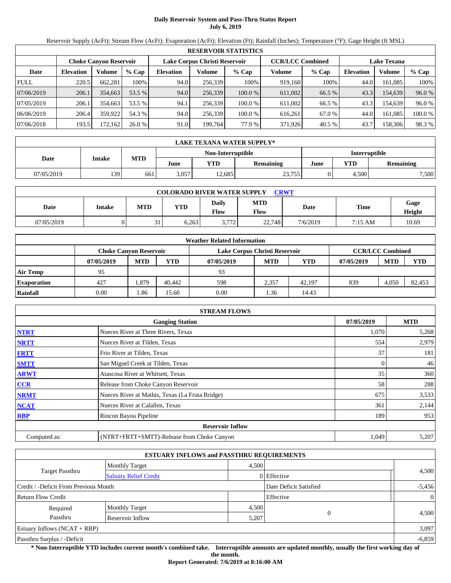# **Daily Reservoir System and Pass-Thru Status Report July 6, 2019**

Reservoir Supply (AcFt); Stream Flow (AcFt); Evaporation (AcFt); Elevation (Ft); Rainfall (Inches); Temperature (°F); Gage Height (ft MSL)

|             | <b>RESERVOIR STATISTICS</b> |                               |         |                  |                               |         |                         |         |                    |         |         |  |  |
|-------------|-----------------------------|-------------------------------|---------|------------------|-------------------------------|---------|-------------------------|---------|--------------------|---------|---------|--|--|
|             |                             | <b>Choke Canvon Reservoir</b> |         |                  | Lake Corpus Christi Reservoir |         | <b>CCR/LCC Combined</b> |         | <b>Lake Texana</b> |         |         |  |  |
| Date        | <b>Elevation</b>            | Volume                        | $%$ Cap | <b>Elevation</b> | Volume                        | $%$ Cap | Volume                  | $%$ Cap | <b>Elevation</b>   | Volume  | $%$ Cap |  |  |
| <b>FULL</b> | 220.5                       | 662.281                       | 100%    | 94.0             | 256.339                       | 100%    | 919.160                 | 100%    | 44.0               | 161.085 | 100%    |  |  |
| 07/06/2019  | 206.1                       | 354,663                       | 53.5 %  | 94.0             | 256,339                       | 100.0%  | 611.002                 | 66.5 %  | 43.3               | 154.639 | 96.0 %  |  |  |
| 07/05/2019  | 206.1                       | 354,663                       | 53.5 %  | 94.1             | 256,339                       | 100.0 % | 611,002                 | 66.5 %  | 43.3               | 154.639 | 96.0 %  |  |  |
| 06/06/2019  | 206.4                       | 359,922                       | 54.3 %  | 94.0             | 256.339                       | 100.0 % | 616.261                 | 67.0 %  | 44.0               | 161.085 | 100.0%  |  |  |
| 07/06/2018  | 193.5                       | 172.162                       | 26.0%   | 91.0             | 199.764                       | 77.9 %  | 371,926                 | 40.5 %  | 43.7               | 158,306 | 98.3 %  |  |  |

|            | LAKE TEXANA WATER SUPPLY* |            |       |                   |                  |                      |                  |       |  |  |  |
|------------|---------------------------|------------|-------|-------------------|------------------|----------------------|------------------|-------|--|--|--|
|            |                           |            |       | Non-Interruptible |                  | <b>Interruptible</b> |                  |       |  |  |  |
| Date       | <b>Intake</b>             | <b>MTD</b> | June  | VTD               | <b>Remaining</b> | June                 | <b>Remaining</b> |       |  |  |  |
| 07/05/2019 | 139                       | 661        | 3.057 | 12.685            | 23,755           |                      | 4,500            | 7,500 |  |  |  |

| <b>COLORADO RIVER WATER SUPPLY</b><br><b>CRWT</b> |        |            |       |               |             |          |             |                |  |  |
|---------------------------------------------------|--------|------------|-------|---------------|-------------|----------|-------------|----------------|--|--|
| Date                                              | Intake | <b>MTD</b> | YTD   | Daily<br>Flow | MTD<br>Flow | Date     | <b>Time</b> | Gage<br>Height |  |  |
| 07/05/2019                                        |        | $\sim$     | 6.263 | 3.772         | 22,748      | 7/6/2019 | 7:15 AM     | 10.69          |  |  |

|                    | <b>Weather Related Information</b>                                                        |            |            |            |            |            |            |            |            |  |  |
|--------------------|-------------------------------------------------------------------------------------------|------------|------------|------------|------------|------------|------------|------------|------------|--|--|
|                    | <b>CCR/LCC Combined</b><br>Lake Corpus Christi Reservoir<br><b>Choke Canvon Reservoir</b> |            |            |            |            |            |            |            |            |  |  |
|                    | 07/05/2019                                                                                | <b>MTD</b> | <b>YTD</b> | 07/05/2019 | <b>MTD</b> | <b>YTD</b> | 07/05/2019 | <b>MTD</b> | <b>YTD</b> |  |  |
| Air Temp           | 95                                                                                        |            |            | 93         |            |            |            |            |            |  |  |
| <b>Evaporation</b> | 427                                                                                       | .379       | 40.442     | 598        | 2,357      | 42.197     | 839        | 4,050      | 82.453     |  |  |
| Rainfall           | 0.00                                                                                      | 1.86       | 15.60      | 0.00       | 1.36       | 14.43      |            |            |            |  |  |

|              | <b>STREAM FLOWS</b>                             |            |       |       |  |  |  |  |  |
|--------------|-------------------------------------------------|------------|-------|-------|--|--|--|--|--|
|              | 07/05/2019                                      | <b>MTD</b> |       |       |  |  |  |  |  |
| <b>NTRT</b>  | Nueces River at Three Rivers, Texas             |            | 1,070 | 5,268 |  |  |  |  |  |
| <b>NRTT</b>  | Nueces River at Tilden, Texas                   |            | 554   | 2,979 |  |  |  |  |  |
| <b>FRTT</b>  | Frio River at Tilden, Texas                     |            | 37    | 181   |  |  |  |  |  |
| <b>SMTT</b>  | San Miguel Creek at Tilden, Texas               |            |       | 46    |  |  |  |  |  |
| <b>ARWT</b>  | Atascosa River at Whitsett, Texas               |            | 35    | 360   |  |  |  |  |  |
| <b>CCR</b>   | Release from Choke Canyon Reservoir             |            | 58    | 288   |  |  |  |  |  |
| <b>NRMT</b>  | Nueces River at Mathis, Texas (La Fruta Bridge) |            | 675   | 3,533 |  |  |  |  |  |
| <b>NCAT</b>  | Nueces River at Calallen, Texas                 |            | 361   | 2,144 |  |  |  |  |  |
| <b>RBP</b>   | Rincon Bayou Pipeline                           |            | 189   | 953   |  |  |  |  |  |
|              | <b>Reservoir Inflow</b>                         |            |       |       |  |  |  |  |  |
| Computed as: | (NTRT+FRTT+SMTT)-Release from Choke Canyon      |            | 1,049 | 5,207 |  |  |  |  |  |

|                                       | <b>ESTUARY INFLOWS and PASSTHRU REQUIREMENTS</b> |       |                        |                |  |  |
|---------------------------------------|--------------------------------------------------|-------|------------------------|----------------|--|--|
|                                       | <b>Monthly Target</b>                            | 4,500 |                        |                |  |  |
| <b>Target Passthru</b>                | <b>Salinity Relief Credit</b>                    |       | 0 Effective            | 4,500          |  |  |
| Credit / -Deficit From Previous Month |                                                  |       | Date Deficit Satisfied | $-5,456$       |  |  |
| <b>Return Flow Credit</b>             |                                                  |       | Effective              | $\overline{0}$ |  |  |
| Required                              | <b>Monthly Target</b>                            | 4,500 |                        |                |  |  |
| Passthru                              | Reservoir Inflow                                 | 5,207 |                        | 4,500          |  |  |
| Estuary Inflows $(NCAT + RBP)$        |                                                  |       |                        |                |  |  |
| Passthru Surplus / -Deficit           |                                                  |       |                        |                |  |  |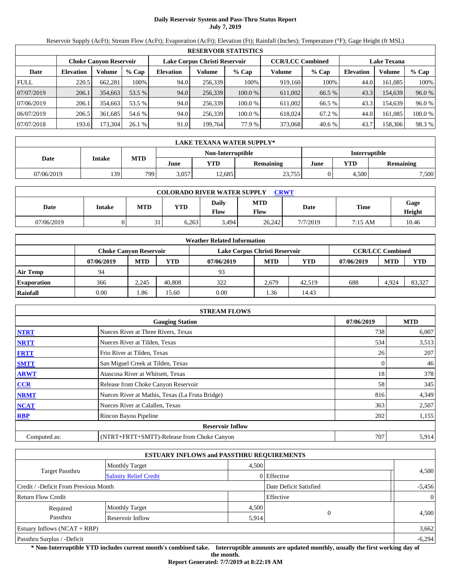# **Daily Reservoir System and Pass-Thru Status Report July 7, 2019**

Reservoir Supply (AcFt); Stream Flow (AcFt); Evaporation (AcFt); Elevation (Ft); Rainfall (Inches); Temperature (°F); Gage Height (ft MSL)

|             | <b>RESERVOIR STATISTICS</b> |                               |         |                               |         |         |                         |         |                    |         |         |  |  |
|-------------|-----------------------------|-------------------------------|---------|-------------------------------|---------|---------|-------------------------|---------|--------------------|---------|---------|--|--|
|             |                             | <b>Choke Canvon Reservoir</b> |         | Lake Corpus Christi Reservoir |         |         | <b>CCR/LCC Combined</b> |         | <b>Lake Texana</b> |         |         |  |  |
| Date        | <b>Elevation</b>            | Volume                        | $%$ Cap | <b>Elevation</b>              | Volume  | $%$ Cap | Volume                  | $%$ Cap | <b>Elevation</b>   | Volume  | $%$ Cap |  |  |
| <b>FULL</b> | 220.5                       | 662.281                       | 100%    | 94.0                          | 256.339 | 100%    | 919.160                 | 100%    | 44.0               | 161.085 | 100%    |  |  |
| 07/07/2019  | 206.1                       | 354,663                       | 53.5 %  | 94.0                          | 256,339 | 100.0%  | 611.002                 | 66.5 %  | 43.3               | 154.639 | 96.0 %  |  |  |
| 07/06/2019  | 206.1                       | 354,663                       | 53.5 %  | 94.0                          | 256,339 | 100.0 % | 611,002                 | 66.5 %  | 43.3               | 154.639 | 96.0 %  |  |  |
| 06/07/2019  | 206.5                       | 361.685                       | 54.6 %  | 94.0                          | 256.339 | 100.0 % | 618,024                 | 67.2 %  | 44.0               | 161.085 | 100.0%  |  |  |
| 07/07/2018  | 193.6                       | 173,304                       | 26.1%   | 91.0                          | 199.764 | 77.9 %  | 373,068                 | 40.6 %  | 43.7               | 158,306 | 98.3 %  |  |  |

| LAKE TEXANA WATER SUPPLY* |        |            |       |                   |                  |                      |       |                  |  |  |
|---------------------------|--------|------------|-------|-------------------|------------------|----------------------|-------|------------------|--|--|
|                           |        |            |       | Non-Interruptible |                  | <b>Interruptible</b> |       |                  |  |  |
| Date                      | Intake | <b>MTD</b> | June  | YTD               | <b>Remaining</b> | June                 | YTD   | <b>Remaining</b> |  |  |
| 07/06/2019                | 139    | 799        | 3.057 | 12.685            | 23,755           |                      | 4.500 | 7,500            |  |  |

| <b>COLORADO RIVER WATER SUPPLY</b><br><b>CRWT</b> |        |            |       |               |             |          |             |                |  |  |
|---------------------------------------------------|--------|------------|-------|---------------|-------------|----------|-------------|----------------|--|--|
| Date                                              | Intake | <b>MTD</b> | YTD   | Daily<br>Flow | MTD<br>Flow | Date     | <b>Time</b> | Gage<br>Height |  |  |
| 07/06/2019                                        |        | $\sim$     | 6.263 | 3.494         | 26.242      | 7/7/2019 | 7:15 AM     | 10.46          |  |  |

| <b>Weather Related Information</b> |                               |            |            |                               |                         |        |            |            |            |  |  |
|------------------------------------|-------------------------------|------------|------------|-------------------------------|-------------------------|--------|------------|------------|------------|--|--|
|                                    | <b>Choke Canvon Reservoir</b> |            |            | Lake Corpus Christi Reservoir | <b>CCR/LCC Combined</b> |        |            |            |            |  |  |
|                                    | 07/06/2019                    | <b>MTD</b> | <b>YTD</b> | 07/06/2019                    | <b>MTD</b>              | YTD    | 07/06/2019 | <b>MTD</b> | <b>YTD</b> |  |  |
| <b>Air Temp</b>                    | 94                            |            |            | 93                            |                         |        |            |            |            |  |  |
| <b>Evaporation</b>                 | 366                           | 2.245      | 40.808     | 322                           | 2.679                   | 42.519 | 688        | 4.924      | 83,327     |  |  |
| Rainfall                           | 0.00                          | 1.86       | 15.60      | 0.00                          | . 36                    | 14.43  |            |            |            |  |  |

|              | <b>STREAM FLOWS</b>                             |            |       |  |  |  |  |  |  |
|--------------|-------------------------------------------------|------------|-------|--|--|--|--|--|--|
|              | 07/06/2019                                      | <b>MTD</b> |       |  |  |  |  |  |  |
| <b>NTRT</b>  | Nueces River at Three Rivers, Texas             | 738        | 6,007 |  |  |  |  |  |  |
| <b>NRTT</b>  | Nueces River at Tilden, Texas                   | 534        | 3,513 |  |  |  |  |  |  |
| <b>FRTT</b>  | Frio River at Tilden, Texas                     | 26         | 207   |  |  |  |  |  |  |
| <b>SMTT</b>  | San Miguel Creek at Tilden, Texas               |            | 46    |  |  |  |  |  |  |
| <b>ARWT</b>  | Atascosa River at Whitsett, Texas               | 18         | 378   |  |  |  |  |  |  |
| <b>CCR</b>   | Release from Choke Canyon Reservoir             | 58         | 345   |  |  |  |  |  |  |
| <b>NRMT</b>  | Nueces River at Mathis, Texas (La Fruta Bridge) | 816        | 4,349 |  |  |  |  |  |  |
| <b>NCAT</b>  | Nueces River at Calallen, Texas                 | 363        | 2,507 |  |  |  |  |  |  |
| <b>RBP</b>   | Rincon Bayou Pipeline                           | 202        | 1,155 |  |  |  |  |  |  |
|              | <b>Reservoir Inflow</b>                         |            |       |  |  |  |  |  |  |
| Computed as: | (NTRT+FRTT+SMTT)-Release from Choke Canyon      | 707        | 5,914 |  |  |  |  |  |  |

| <b>ESTUARY INFLOWS and PASSTHRU REQUIREMENTS</b> |                               |       |                        |                |  |  |  |  |
|--------------------------------------------------|-------------------------------|-------|------------------------|----------------|--|--|--|--|
|                                                  | <b>Monthly Target</b>         | 4,500 |                        |                |  |  |  |  |
| <b>Target Passthru</b>                           | <b>Salinity Relief Credit</b> |       | 0 Effective            | 4,500          |  |  |  |  |
| Credit / -Deficit From Previous Month            |                               |       | Date Deficit Satisfied | $-5,456$       |  |  |  |  |
| <b>Return Flow Credit</b>                        |                               |       | Effective              | $\overline{0}$ |  |  |  |  |
| Required                                         | <b>Monthly Target</b>         | 4,500 |                        |                |  |  |  |  |
| Passthru<br>Reservoir Inflow                     |                               | 5,914 | $\Omega$               | 4,500          |  |  |  |  |
| Estuary Inflows $(NCAT + RBP)$                   |                               |       |                        | 3,662          |  |  |  |  |
| Passthru Surplus / -Deficit                      |                               |       |                        | $-6,294$       |  |  |  |  |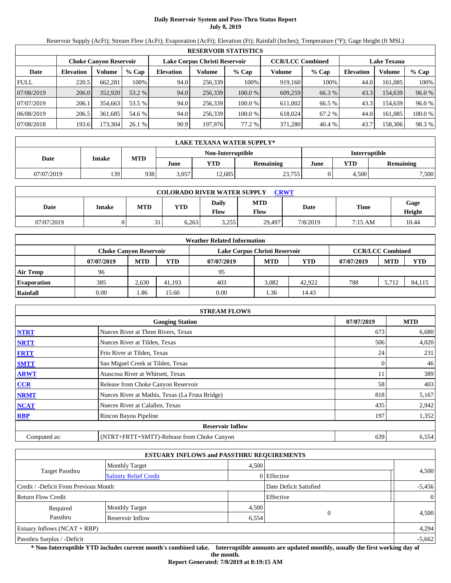# **Daily Reservoir System and Pass-Thru Status Report July 8, 2019**

Reservoir Supply (AcFt); Stream Flow (AcFt); Evaporation (AcFt); Elevation (Ft); Rainfall (Inches); Temperature (°F); Gage Height (ft MSL)

|             | <b>RESERVOIR STATISTICS</b> |                               |         |                               |         |         |                         |         |                    |         |         |  |  |
|-------------|-----------------------------|-------------------------------|---------|-------------------------------|---------|---------|-------------------------|---------|--------------------|---------|---------|--|--|
|             |                             | <b>Choke Canvon Reservoir</b> |         | Lake Corpus Christi Reservoir |         |         | <b>CCR/LCC Combined</b> |         | <b>Lake Texana</b> |         |         |  |  |
| Date        | <b>Elevation</b>            | Volume                        | $%$ Cap | <b>Elevation</b>              | Volume  | $%$ Cap | Volume                  | $%$ Cap | <b>Elevation</b>   | Volume  | $%$ Cap |  |  |
| <b>FULL</b> | 220.5                       | 662.281                       | 100%    | 94.0                          | 256.339 | 100%    | 919.160                 | 100%    | 44.0               | 161.085 | 100%    |  |  |
| 07/08/2019  | 206.0                       | 352,920                       | 53.2 %  | 94.0                          | 256,339 | 100.0%  | 609,259                 | 66.3 %  | 43.3               | 154.639 | 96.0 %  |  |  |
| 07/07/2019  | 206.1                       | 354,663                       | 53.5 %  | 94.0                          | 256,339 | 100.0 % | 611,002                 | 66.5 %  | 43.3               | 154.639 | 96.0 %  |  |  |
| 06/08/2019  | 206.5                       | 361.685                       | 54.6 %  | 94.0                          | 256.339 | 100.0 % | 618,024                 | 67.2 %  | 44.0               | 161.085 | 100.0%  |  |  |
| 07/08/2018  | 193.6                       | 173,304                       | 26.1%   | 90.9                          | 197,976 | 77.2 %  | 371,280                 | 40.4 %  | 43.7               | 158,306 | 98.3 %  |  |  |

| LAKE TEXANA WATER SUPPLY* |        |            |       |                   |                  |                      |       |                  |  |  |
|---------------------------|--------|------------|-------|-------------------|------------------|----------------------|-------|------------------|--|--|
|                           |        |            |       | Non-Interruptible |                  | <b>Interruptible</b> |       |                  |  |  |
| Date                      | Intake | <b>MTD</b> | June  | YTD               | <b>Remaining</b> | June                 | YTD   | <b>Remaining</b> |  |  |
| 07/07/2019                | 139    | 938        | 3.057 | 12.685            | 23,755           |                      | 4.500 | 7,500            |  |  |

| <b>COLORADO RIVER WATER SUPPLY</b><br><b>CRWT</b> |        |            |       |               |                    |          |             |                |  |  |
|---------------------------------------------------|--------|------------|-------|---------------|--------------------|----------|-------------|----------------|--|--|
| Date                                              | Intake | <b>MTD</b> | YTD   | Daily<br>Flow | <b>MTD</b><br>Flow | Date     | <b>Time</b> | Gage<br>Height |  |  |
| 07/07/2019                                        |        | $\sim$     | 6.263 | 3,255         | 29.497             | 7/8/2019 | 7:15 AM     | 10.44          |  |  |

| <b>Weather Related Information</b> |                               |            |            |                               |                         |            |            |            |            |  |  |
|------------------------------------|-------------------------------|------------|------------|-------------------------------|-------------------------|------------|------------|------------|------------|--|--|
|                                    | <b>Choke Canvon Reservoir</b> |            |            | Lake Corpus Christi Reservoir | <b>CCR/LCC Combined</b> |            |            |            |            |  |  |
|                                    | 07/07/2019                    | <b>MTD</b> | <b>YTD</b> | 07/07/2019                    | <b>MTD</b>              | <b>YTD</b> | 07/07/2019 | <b>MTD</b> | <b>YTD</b> |  |  |
| Air Temp                           | 96                            |            |            | 95                            |                         |            |            |            |            |  |  |
| <b>Evaporation</b>                 | 385                           | 2.630      | 41.193     | 403                           | 3.082                   | 42,922     | 788        | 5.712      | 84.115     |  |  |
| Rainfall                           | 0.00                          | 1.86       | 15.60      | 0.00                          | 1.36                    | 14.43      |            |            |            |  |  |

| <b>STREAM FLOWS</b> |                                                 |     |       |  |  |  |  |  |
|---------------------|-------------------------------------------------|-----|-------|--|--|--|--|--|
|                     | <b>Gauging Station</b>                          |     |       |  |  |  |  |  |
| <b>NTRT</b>         | Nueces River at Three Rivers, Texas             | 673 | 6,680 |  |  |  |  |  |
| <b>NRTT</b>         | Nueces River at Tilden, Texas                   | 506 | 4,020 |  |  |  |  |  |
| <b>FRTT</b>         | Frio River at Tilden, Texas                     | 24  | 231   |  |  |  |  |  |
| <b>SMTT</b>         | San Miguel Creek at Tilden, Texas               |     | 46    |  |  |  |  |  |
| <b>ARWT</b>         | Atascosa River at Whitsett, Texas               |     | 389   |  |  |  |  |  |
| <b>CCR</b>          | Release from Choke Canyon Reservoir             | 58  | 403   |  |  |  |  |  |
| <b>NRMT</b>         | Nueces River at Mathis, Texas (La Fruta Bridge) | 818 | 5,167 |  |  |  |  |  |
| <b>NCAT</b>         | Nueces River at Calallen, Texas                 | 435 | 2,942 |  |  |  |  |  |
| <b>RBP</b>          | Rincon Bayou Pipeline                           | 197 | 1,352 |  |  |  |  |  |
|                     | <b>Reservoir Inflow</b>                         |     |       |  |  |  |  |  |
| Computed as:        | (NTRT+FRTT+SMTT)-Release from Choke Canyon      | 639 | 6,554 |  |  |  |  |  |

|                                       |                               | <b>ESTUARY INFLOWS and PASSTHRU REQUIREMENTS</b> |                        |                |
|---------------------------------------|-------------------------------|--------------------------------------------------|------------------------|----------------|
|                                       | <b>Monthly Target</b>         | 4,500                                            |                        |                |
| <b>Target Passthru</b>                | <b>Salinity Relief Credit</b> |                                                  | $0$ Effective          | 4,500          |
| Credit / -Deficit From Previous Month |                               |                                                  | Date Deficit Satisfied | $-5,456$       |
| <b>Return Flow Credit</b>             |                               |                                                  | Effective              | $\overline{0}$ |
| Required                              | <b>Monthly Target</b>         | 4,500                                            |                        |                |
| Passthru<br>Reservoir Inflow          |                               | 6,554                                            | $\Omega$               | 4,500          |
| Estuary Inflows $(NCAT + RBP)$        |                               |                                                  |                        | 4,294          |
| Passthru Surplus / -Deficit           |                               |                                                  |                        | $-5,662$       |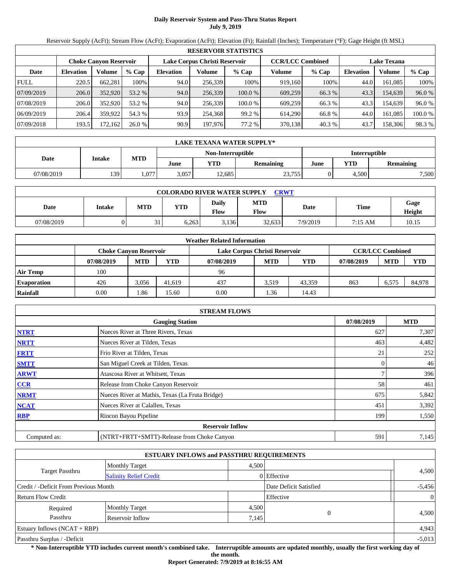# **Daily Reservoir System and Pass-Thru Status Report July 9, 2019**

Reservoir Supply (AcFt); Stream Flow (AcFt); Evaporation (AcFt); Elevation (Ft); Rainfall (Inches); Temperature (°F); Gage Height (ft MSL)

|             | <b>RESERVOIR STATISTICS</b> |                               |         |                  |                               |         |                         |         |                    |         |         |  |
|-------------|-----------------------------|-------------------------------|---------|------------------|-------------------------------|---------|-------------------------|---------|--------------------|---------|---------|--|
|             |                             | <b>Choke Canvon Reservoir</b> |         |                  | Lake Corpus Christi Reservoir |         | <b>CCR/LCC Combined</b> |         | <b>Lake Texana</b> |         |         |  |
| Date        | <b>Elevation</b>            | Volume                        | $%$ Cap | <b>Elevation</b> | Volume                        | $%$ Cap | Volume                  | $%$ Cap | <b>Elevation</b>   | Volume  | $%$ Cap |  |
| <b>FULL</b> | 220.5                       | 662.281                       | 100%    | 94.0             | 256.339                       | 100%    | 919.160                 | 100%    | 44.0               | 161.085 | 100%    |  |
| 07/09/2019  | 206.0                       | 352,920                       | 53.2 %  | 94.0             | 256,339                       | 100.0%  | 609,259                 | 66.3 %  | 43.3               | 154.639 | 96.0 %  |  |
| 07/08/2019  | 206.0                       | 352,920                       | 53.2 %  | 94.0             | 256,339                       | 100.0 % | 609.259                 | 66.3%   | 43.3               | 154.639 | 96.0 %  |  |
| 06/09/2019  | 206.4                       | 359,922                       | 54.3 %  | 93.9             | 254.368                       | 99.2 %  | 614.290                 | 66.8%   | 44.0               | 161.085 | 100.0%  |  |
| 07/09/2018  | 193.5                       | 172.162                       | 26.0%   | 90.9             | 197,976                       | 77.2 %  | 370,138                 | 40.3 %  | 43.7               | 158,306 | 98.3 %  |  |

|            | LAKE TEXANA WATER SUPPLY* |            |       |                   |                  |             |               |                  |  |  |  |
|------------|---------------------------|------------|-------|-------------------|------------------|-------------|---------------|------------------|--|--|--|
|            |                           |            |       | Non-Interruptible |                  |             | Interruptible |                  |  |  |  |
| Date       | Intake                    | <b>MTD</b> | June  | VTD               | <b>Remaining</b> | YTD<br>June |               | <b>Remaining</b> |  |  |  |
| 07/08/2019 | 139                       | .077       | 3.057 | 12.685            | 23,755           |             | 4.500         | 7,500            |  |  |  |

| <b>COLORADO RIVER WATER SUPPLY</b><br><b>CRWT</b> |        |            |       |               |                    |          |             |                |  |  |  |
|---------------------------------------------------|--------|------------|-------|---------------|--------------------|----------|-------------|----------------|--|--|--|
| Date                                              | Intake | <b>MTD</b> | YTD   | Daily<br>Flow | <b>MTD</b><br>Flow | Date     | <b>Time</b> | Gage<br>Height |  |  |  |
| 07/08/2019                                        |        | $\sim$     | 6.263 | 3.136         | 32,633             | 7/9/2019 | 7:15 AM     | 10.15          |  |  |  |

|                    |                               |            |            | <b>Weather Related Information</b> |            |            |            |                         |            |
|--------------------|-------------------------------|------------|------------|------------------------------------|------------|------------|------------|-------------------------|------------|
|                    | <b>Choke Canvon Reservoir</b> |            |            | Lake Corpus Christi Reservoir      |            |            |            | <b>CCR/LCC Combined</b> |            |
|                    | 07/08/2019                    | <b>MTD</b> | <b>YTD</b> | 07/08/2019                         | <b>MTD</b> | <b>YTD</b> | 07/08/2019 | <b>MTD</b>              | <b>YTD</b> |
| Air Temp           | 100                           |            |            | 96                                 |            |            |            |                         |            |
| <b>Evaporation</b> | 426                           | 3.056      | 41.619     | 437                                | 3.519      | 43.359     | 863        | 6.575                   | 84,978     |
| Rainfall           | 0.00                          | 1.86       | 15.60      | 0.00                               | 1.36       | 14.43      |            |                         |            |

|              | <b>STREAM FLOWS</b>                             |            |       |
|--------------|-------------------------------------------------|------------|-------|
|              | 07/08/2019                                      | <b>MTD</b> |       |
| <b>NTRT</b>  | Nueces River at Three Rivers, Texas             | 627        | 7,307 |
| <b>NRTT</b>  | Nueces River at Tilden, Texas                   | 463        | 4,482 |
| <b>FRTT</b>  | Frio River at Tilden, Texas                     | 21         | 252   |
| <b>SMTT</b>  | San Miguel Creek at Tilden, Texas               |            | 46    |
| <b>ARWT</b>  | Atascosa River at Whitsett, Texas               |            | 396   |
| <b>CCR</b>   | Release from Choke Canyon Reservoir             | 58         | 461   |
| <b>NRMT</b>  | Nueces River at Mathis, Texas (La Fruta Bridge) | 675        | 5,842 |
| <b>NCAT</b>  | Nueces River at Calallen, Texas                 | 451        | 3,392 |
| <b>RBP</b>   | Rincon Bayou Pipeline                           | 199        | 1,550 |
|              | <b>Reservoir Inflow</b>                         |            |       |
| Computed as: | (NTRT+FRTT+SMTT)-Release from Choke Canyon      | 591        | 7,145 |

|                                       |                               | <b>ESTUARY INFLOWS and PASSTHRU REQUIREMENTS</b> |                        |                |
|---------------------------------------|-------------------------------|--------------------------------------------------|------------------------|----------------|
|                                       | <b>Monthly Target</b>         | 4,500                                            |                        |                |
| <b>Target Passthru</b>                | <b>Salinity Relief Credit</b> |                                                  | 0 Effective            | 4,500          |
| Credit / -Deficit From Previous Month |                               |                                                  | Date Deficit Satisfied | $-5,456$       |
| <b>Return Flow Credit</b>             |                               |                                                  | Effective              | $\overline{0}$ |
| Required                              | <b>Monthly Target</b>         | 4,500                                            |                        |                |
| Passthru<br>Reservoir Inflow          |                               | 7,145                                            | $\Omega$               | 4,500          |
| Estuary Inflows $(NCAT + RBP)$        |                               |                                                  |                        | 4,943          |
| Passthru Surplus / -Deficit           |                               |                                                  |                        | $-5,013$       |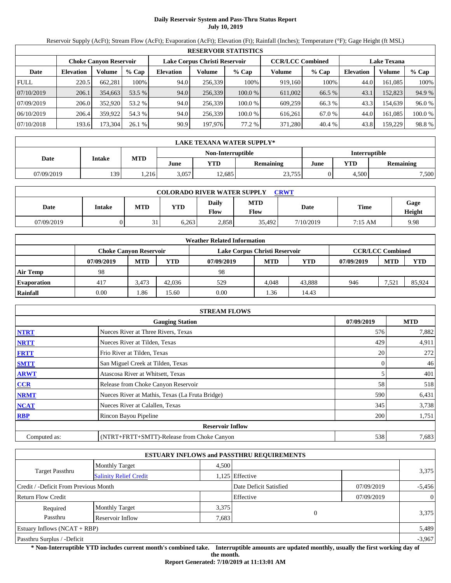# **Daily Reservoir System and Pass-Thru Status Report July 10, 2019**

Reservoir Supply (AcFt); Stream Flow (AcFt); Evaporation (AcFt); Elevation (Ft); Rainfall (Inches); Temperature (°F); Gage Height (ft MSL)

|             | <b>RESERVOIR STATISTICS</b>   |         |         |                  |                               |         |         |                         |                    |         |         |  |
|-------------|-------------------------------|---------|---------|------------------|-------------------------------|---------|---------|-------------------------|--------------------|---------|---------|--|
|             | <b>Choke Canvon Reservoir</b> |         |         |                  | Lake Corpus Christi Reservoir |         |         | <b>CCR/LCC Combined</b> | <b>Lake Texana</b> |         |         |  |
| Date        | <b>Elevation</b>              | Volume  | $%$ Cap | <b>Elevation</b> | Volume                        | $%$ Cap | Volume  | $%$ Cap                 | <b>Elevation</b>   | Volume  | % Cap   |  |
| <b>FULL</b> | 220.5                         | 662.281 | 100%    | 94.0             | 256,339                       | 100%    | 919.160 | 100%                    | 44.0               | 161.085 | 100%    |  |
| 07/10/2019  | 206.1                         | 354,663 | 53.5 %  | 94.0             | 256,339                       | 100.0 % | 611,002 | 66.5 %                  | 43.                | 152,823 | 94.9 %  |  |
| 07/09/2019  | 206.0                         | 352,920 | 53.2 %  | 94.0             | 256,339                       | 100.0 % | 609.259 | 66.3 %                  | 43.3               | 154.639 | 96.0%   |  |
| 06/10/2019  | 206.4                         | 359.922 | 54.3 %  | 94.0             | 256,339                       | 100.0 % | 616.261 | 67.0 %                  | 44.0               | 161.085 | 100.0 % |  |
| 07/10/2018  | 193.6                         | 173,304 | 26.1%   | 90.9             | 197,976                       | 77.2 %  | 371.280 | 40.4 %                  | 43.8               | 159,229 | 98.8%   |  |

|            | LAKE TEXANA WATER SUPPLY* |            |       |                   |           |                      |       |                  |  |  |  |
|------------|---------------------------|------------|-------|-------------------|-----------|----------------------|-------|------------------|--|--|--|
|            |                           |            |       | Non-Interruptible |           | <b>Interruptible</b> |       |                  |  |  |  |
| Date       | <b>Intake</b>             | <b>MTD</b> | June  | YTD-              | Remaining | June                 | YTD   | <b>Remaining</b> |  |  |  |
| 07/09/2019 | 139                       | .216       | 3.057 | 12.685            | 23,755    |                      | 4.500 | 7,500            |  |  |  |

| <b>COLORADO RIVER WATER SUPPLY</b><br><b>CRWT</b> |        |            |            |                      |                    |           |         |                |  |  |  |
|---------------------------------------------------|--------|------------|------------|----------------------|--------------------|-----------|---------|----------------|--|--|--|
| Date                                              | Intake | <b>MTD</b> | <b>YTD</b> | Daily<br><b>Flow</b> | <b>MTD</b><br>Flow | Date      | Time    | Gage<br>Height |  |  |  |
| 07/09/2019                                        |        | 21<br>◡    | 6.263      | 2.858                | 35,492             | 7/10/2019 | 7:15 AM | 9.98           |  |  |  |

|                    | <b>Weather Related Information</b> |            |            |                               |            |        |            |                         |            |  |  |
|--------------------|------------------------------------|------------|------------|-------------------------------|------------|--------|------------|-------------------------|------------|--|--|
|                    | <b>Choke Canyon Reservoir</b>      |            |            | Lake Corpus Christi Reservoir |            |        |            | <b>CCR/LCC Combined</b> |            |  |  |
|                    | 07/09/2019                         | <b>MTD</b> | <b>YTD</b> | 07/09/2019                    | <b>MTD</b> | YTD    | 07/09/2019 | <b>MTD</b>              | <b>YTD</b> |  |  |
| <b>Air Temp</b>    | 98                                 |            |            | 98                            |            |        |            |                         |            |  |  |
| <b>Evaporation</b> | 417                                | 3.473      | 42,036     | 529                           | 4.048      | 43.888 | 946        | 7,521                   | 85,924     |  |  |
| Rainfall           | 0.00                               | 1.86       | 15.60      | 0.00                          | 1.36       | 14.43  |            |                         |            |  |  |

|              | <b>STREAM FLOWS</b>                             |            |            |
|--------------|-------------------------------------------------|------------|------------|
|              | <b>Gauging Station</b>                          | 07/09/2019 | <b>MTD</b> |
| <b>NTRT</b>  | Nueces River at Three Rivers, Texas             | 576        | 7,882      |
| <b>NRTT</b>  | Nueces River at Tilden, Texas                   | 429        | 4,911      |
| <b>FRTT</b>  | Frio River at Tilden, Texas                     | 20         | 272        |
| <b>SMTT</b>  | San Miguel Creek at Tilden, Texas               | 0          | 46         |
| <b>ARWT</b>  | Atascosa River at Whitsett, Texas               | 5          | 401        |
| CCR          | Release from Choke Canyon Reservoir             | 58         | 518        |
| <b>NRMT</b>  | Nueces River at Mathis, Texas (La Fruta Bridge) | 590        | 6,431      |
| <b>NCAT</b>  | Nueces River at Calallen, Texas                 | 345        | 3,738      |
| <b>RBP</b>   | Rincon Bayou Pipeline                           | 200        | 1,751      |
|              | <b>Reservoir Inflow</b>                         |            |            |
| Computed as: | (NTRT+FRTT+SMTT)-Release from Choke Canyon      | 538        | 7,683      |

|                                       |                               |       | <b>ESTUARY INFLOWS and PASSTHRU REQUIREMENTS</b> |            |                |  |
|---------------------------------------|-------------------------------|-------|--------------------------------------------------|------------|----------------|--|
|                                       | <b>Monthly Target</b>         | 4,500 |                                                  |            |                |  |
| <b>Target Passthru</b>                | <b>Salinity Relief Credit</b> |       | 1,125 Effective                                  |            | 3,375          |  |
| Credit / -Deficit From Previous Month |                               |       | Date Deficit Satisfied                           | 07/09/2019 | $-5,456$       |  |
| <b>Return Flow Credit</b>             |                               |       | Effective                                        | 07/09/2019 | $\overline{0}$ |  |
| Required                              | <b>Monthly Target</b>         | 3,375 |                                                  |            |                |  |
| Passthru                              | Reservoir Inflow              | 7,683 | $\theta$                                         |            | 3,375          |  |
| Estuary Inflows $(NCAT + RBP)$        |                               |       |                                                  |            | 5,489          |  |
| Passthru Surplus / -Deficit           |                               |       |                                                  |            | $-3,967$       |  |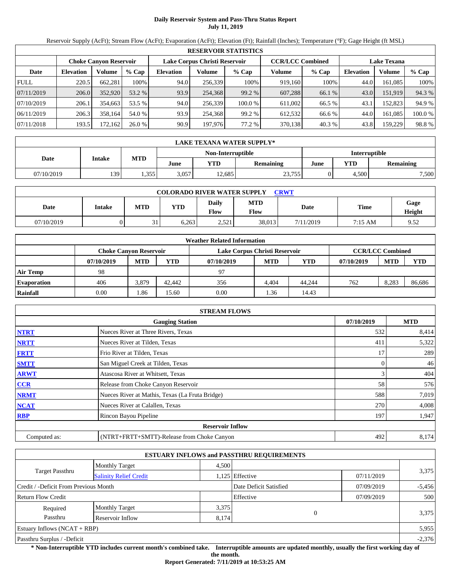# **Daily Reservoir System and Pass-Thru Status Report July 11, 2019**

Reservoir Supply (AcFt); Stream Flow (AcFt); Evaporation (AcFt); Elevation (Ft); Rainfall (Inches); Temperature (°F); Gage Height (ft MSL)

|             |                  |                        |         |                  |                               | <b>RESERVOIR STATISTICS</b> |                         |         |                    |         |        |
|-------------|------------------|------------------------|---------|------------------|-------------------------------|-----------------------------|-------------------------|---------|--------------------|---------|--------|
|             |                  | Choke Canvon Reservoir |         |                  | Lake Corpus Christi Reservoir |                             | <b>CCR/LCC Combined</b> |         | <b>Lake Texana</b> |         |        |
| Date        | <b>Elevation</b> | Volume                 | $%$ Cap | <b>Elevation</b> | Volume                        | $%$ Cap                     | Volume                  | $%$ Cap | <b>Elevation</b>   | Volume  | % Cap  |
| <b>FULL</b> | 220.5            | 662,281                | 100%    | 94.0             | 256,339                       | 100%                        | 919,160                 | 100%    | 44.0               | 161.085 | 100%   |
| 07/11/2019  | 206.0            | 352,920                | 53.2 %  | 93.9             | 254,368                       | 99.2 %                      | 607,288                 | 66.1 %  | 43.0               | 151.919 | 94.3 % |
| 07/10/2019  | 206.1            | 354.663                | 53.5 %  | 94.0             | 256,339                       | 100.0 %                     | 611,002                 | 66.5 %  | 43.                | 152.823 | 94.9 % |
| 06/11/2019  | 206.3            | 358,164                | 54.0 %  | 93.9             | 254,368                       | 99.2 %                      | 612,532                 | 66.6 %  | 44.0               | 161,085 | 100.0% |
| 07/11/2018  | 193.5            | 172,162                | 26.0%   | 90.9             | 197,976                       | 77.2 %                      | 370,138                 | 40.3 %  | 43.8               | 159,229 | 98.8%  |

|            | LAKE TEXANA WATER SUPPLY* |            |       |                   |                  |               |       |                  |  |  |
|------------|---------------------------|------------|-------|-------------------|------------------|---------------|-------|------------------|--|--|
|            |                           |            |       | Non-Interruptible |                  | Interruptible |       |                  |  |  |
| Date       | Intake                    | <b>MTD</b> | June  | VTD               | <b>Remaining</b> | June          | YTD   | <b>Remaining</b> |  |  |
| 07/10/2019 | 139                       | .355       | 3,057 | 12.685            | 23,755           |               | 4.500 | 7,500            |  |  |

| <b>COLORADO RIVER WATER SUPPLY</b><br>CRWT |        |                   |            |                      |                    |           |           |                |  |  |
|--------------------------------------------|--------|-------------------|------------|----------------------|--------------------|-----------|-----------|----------------|--|--|
| Date                                       | Intake | <b>MTD</b>        | <b>YTD</b> | Daily<br><b>Flow</b> | <b>MTD</b><br>Flow | Date      | Time      | Gage<br>Height |  |  |
| 07/10/2019                                 |        | $^{\circ}$ 1<br>◡ | 6.263      | 251<br>ل سے ب        | 38,013             | 7/11/2019 | $7:15$ AM | 9.52           |  |  |

|                    |            |                        |            | <b>Weather Related Information</b> |            |            |            |                         |            |
|--------------------|------------|------------------------|------------|------------------------------------|------------|------------|------------|-------------------------|------------|
|                    |            | Choke Canvon Reservoir |            | Lake Corpus Christi Reservoir      |            |            |            | <b>CCR/LCC Combined</b> |            |
|                    | 07/10/2019 | <b>MTD</b>             | <b>YTD</b> | 07/10/2019                         | <b>MTD</b> | <b>YTD</b> | 07/10/2019 | <b>MTD</b>              | <b>YTD</b> |
| <b>Air Temp</b>    | 98         |                        |            | 97                                 |            |            |            |                         |            |
| <b>Evaporation</b> | 406        | 3.879                  | 42,442     | 356                                | 4.404      | 44,244     | 762        | 8.283                   | 86,686     |
| Rainfall           | 0.00       | 1.86                   | 15.60      | 0.00                               | 1.36       | 14.43      |            |                         |            |

|              | <b>STREAM FLOWS</b>                             |            |            |
|--------------|-------------------------------------------------|------------|------------|
|              | <b>Gauging Station</b>                          | 07/10/2019 | <b>MTD</b> |
| <b>NTRT</b>  | Nueces River at Three Rivers, Texas             | 532        | 8,414      |
| <b>NRTT</b>  | Nueces River at Tilden, Texas                   | 411        | 5,322      |
| <b>FRTT</b>  | Frio River at Tilden, Texas                     | 17         | 289        |
| <b>SMTT</b>  | San Miguel Creek at Tilden, Texas               | 0          | 46         |
| <b>ARWT</b>  | Atascosa River at Whitsett, Texas               | 3          | 404        |
| <b>CCR</b>   | Release from Choke Canyon Reservoir             | 58         | 576        |
| <b>NRMT</b>  | Nueces River at Mathis, Texas (La Fruta Bridge) | 588        | 7,019      |
| <b>NCAT</b>  | Nueces River at Calallen, Texas                 | 270        | 4,008      |
| <b>RBP</b>   | Rincon Bayou Pipeline                           | 197        | 1,947      |
|              | <b>Reservoir Inflow</b>                         |            |            |
| Computed as: | (NTRT+FRTT+SMTT)-Release from Choke Canyon      | 492        | 8,174      |

|                                       |                               |       | <b>ESTUARY INFLOWS and PASSTHRU REQUIREMENTS</b> |            |          |  |
|---------------------------------------|-------------------------------|-------|--------------------------------------------------|------------|----------|--|
|                                       | <b>Monthly Target</b>         | 4,500 |                                                  |            |          |  |
| <b>Target Passthru</b>                | <b>Salinity Relief Credit</b> |       | 1,125 Effective                                  | 07/11/2019 | 3,375    |  |
| Credit / -Deficit From Previous Month |                               |       | Date Deficit Satisfied                           | 07/09/2019 | $-5,456$ |  |
| <b>Return Flow Credit</b>             |                               |       | Effective                                        | 07/09/2019 | 500      |  |
| Required                              | <b>Monthly Target</b>         | 3,375 |                                                  |            |          |  |
| Passthru                              | Reservoir Inflow              | 8,174 | $\theta$                                         |            | 3,375    |  |
| Estuary Inflows $(NCAT + RBP)$        |                               |       |                                                  |            | 5,955    |  |
| Passthru Surplus / -Deficit           |                               |       |                                                  |            | $-2,376$ |  |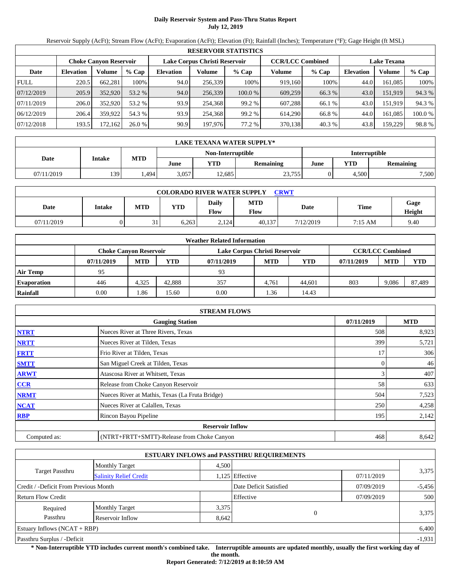# **Daily Reservoir System and Pass-Thru Status Report July 12, 2019**

Reservoir Supply (AcFt); Stream Flow (AcFt); Evaporation (AcFt); Elevation (Ft); Rainfall (Inches); Temperature (°F); Gage Height (ft MSL)

|             |                  |                               |         |                  |                               | <b>RESERVOIR STATISTICS</b> |                         |         |                    |         |         |
|-------------|------------------|-------------------------------|---------|------------------|-------------------------------|-----------------------------|-------------------------|---------|--------------------|---------|---------|
|             |                  | <b>Choke Canvon Reservoir</b> |         |                  | Lake Corpus Christi Reservoir |                             | <b>CCR/LCC Combined</b> |         | <b>Lake Texana</b> |         |         |
| Date        | <b>Elevation</b> | Volume                        | $%$ Cap | <b>Elevation</b> | Volume                        | $%$ Cap                     | Volume                  | $%$ Cap | <b>Elevation</b>   | Volume  | $%$ Cap |
| <b>FULL</b> | 220.5            | 662.281                       | 100%    | 94.0             | 256,339                       | 100%                        | 919.160                 | 100%    | 44.0               | 161.085 | 100%    |
| 07/12/2019  | 205.9            | 352,920                       | 53.2 %  | 94.0             | 256,339                       | 100.0%                      | 609,259                 | 66.3 %  | 43.0               | 151.919 | 94.3 %  |
| 07/11/2019  | 206.0            | 352,920                       | 53.2 %  | 93.9             | 254,368                       | 99.2 %                      | 607.288                 | 66.1 %  | 43.0               | 151.919 | 94.3 %  |
| 06/12/2019  | 206.4            | 359,922                       | 54.3 %  | 93.9             | 254,368                       | 99.2 %                      | 614.290                 | 66.8%   | 44.0               | 161.085 | 100.0%  |
| 07/12/2018  | 193.5            | 172.1621                      | 26.0%   | 90.9             | 197,976                       | 77.2 %                      | 370,138                 | 40.3%   | 43.8               | 159,229 | 98.8%   |

|            | LAKE TEXANA WATER SUPPLY* |            |       |                   |                  |               |       |                  |  |  |
|------------|---------------------------|------------|-------|-------------------|------------------|---------------|-------|------------------|--|--|
|            |                           |            |       | Non-Interruptible |                  | Interruptible |       |                  |  |  |
| Date       | <b>Intake</b>             | <b>MTD</b> | June  | VTD               | <b>Remaining</b> | June          | YTD   | <b>Remaining</b> |  |  |
| 07/11/2019 | 139                       | .494       | 3.057 | 12,685            | 23,755           |               | 4.500 | 7,500            |  |  |

| <b>COLORADO RIVER WATER SUPPLY</b><br><b>CRWT</b> |        |            |            |                             |                    |           |             |                |  |  |
|---------------------------------------------------|--------|------------|------------|-----------------------------|--------------------|-----------|-------------|----------------|--|--|
| Date                                              | Intake | <b>MTD</b> | <b>YTD</b> | <b>Daily</b><br><b>Flow</b> | <b>MTD</b><br>Flow | Date      | <b>Time</b> | Gage<br>Height |  |  |
| 07/11/2019                                        |        | 21         | 6.263      | 2.124                       | 40.137             | 7/12/2019 | 7:15 AM     | 9.40           |  |  |

|                    |            |                        |            | <b>Weather Related Information</b> |            |            |            |                         |            |
|--------------------|------------|------------------------|------------|------------------------------------|------------|------------|------------|-------------------------|------------|
|                    |            | Choke Canvon Reservoir |            | Lake Corpus Christi Reservoir      |            |            |            | <b>CCR/LCC Combined</b> |            |
|                    | 07/11/2019 | <b>MTD</b>             | <b>YTD</b> | 07/11/2019                         | <b>MTD</b> | <b>YTD</b> | 07/11/2019 | <b>MTD</b>              | <b>YTD</b> |
| <b>Air Temp</b>    | 95         |                        |            | 93                                 |            |            |            |                         |            |
| <b>Evaporation</b> | 446        | 4.325                  | 42.888     | 357                                | 4.761      | 44.601     | 803        | 9.086                   | 87,489     |
| Rainfall           | 0.00       | 1.86                   | 15.60      | 0.00                               | 1.36       | 14.43      |            |                         |            |

|              | <b>STREAM FLOWS</b>                             |            |            |
|--------------|-------------------------------------------------|------------|------------|
|              | <b>Gauging Station</b>                          | 07/11/2019 | <b>MTD</b> |
| <b>NTRT</b>  | Nueces River at Three Rivers, Texas             | 508        | 8,923      |
| <b>NRTT</b>  | Nueces River at Tilden, Texas                   | 399        | 5,721      |
| <b>FRTT</b>  | Frio River at Tilden, Texas                     | 17         | 306        |
| <b>SMTT</b>  | San Miguel Creek at Tilden, Texas               | 0          | 46         |
| <b>ARWT</b>  | Atascosa River at Whitsett, Texas               | 3          | 407        |
| <b>CCR</b>   | Release from Choke Canyon Reservoir             | 58         | 633        |
| <b>NRMT</b>  | Nueces River at Mathis, Texas (La Fruta Bridge) | 504        | 7,523      |
| <b>NCAT</b>  | Nueces River at Calallen, Texas                 | 250        | 4,258      |
| <b>RBP</b>   | Rincon Bayou Pipeline                           | 195        | 2,142      |
|              | <b>Reservoir Inflow</b>                         |            |            |
| Computed as: | (NTRT+FRTT+SMTT)-Release from Choke Canyon      | 468        | 8,642      |

|                                       |                               |       | <b>ESTUARY INFLOWS and PASSTHRU REQUIREMENTS</b> |            |          |  |
|---------------------------------------|-------------------------------|-------|--------------------------------------------------|------------|----------|--|
|                                       | <b>Monthly Target</b>         | 4,500 |                                                  |            |          |  |
| <b>Target Passthru</b>                | <b>Salinity Relief Credit</b> |       | 1,125 Effective<br>07/11/2019                    |            | 3,375    |  |
| Credit / -Deficit From Previous Month |                               |       | Date Deficit Satisfied                           | 07/09/2019 | $-5,456$ |  |
| <b>Return Flow Credit</b>             |                               |       | Effective                                        | 07/09/2019 | 500      |  |
| Required                              | <b>Monthly Target</b>         | 3,375 |                                                  |            |          |  |
| Passthru                              | Reservoir Inflow              | 8,642 | $\theta$                                         |            | 3,375    |  |
| Estuary Inflows $(NCAT + RBP)$        |                               |       |                                                  |            | 6,400    |  |
| Passthru Surplus / -Deficit           |                               |       |                                                  |            | $-1,931$ |  |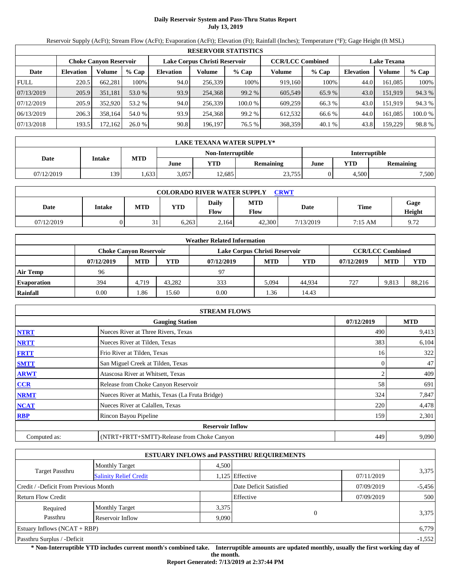# **Daily Reservoir System and Pass-Thru Status Report July 13, 2019**

Reservoir Supply (AcFt); Stream Flow (AcFt); Evaporation (AcFt); Elevation (Ft); Rainfall (Inches); Temperature (°F); Gage Height (ft MSL)

|             | <b>RESERVOIR STATISTICS</b> |                               |         |                  |                                                          |         |         |         |                  |                    |         |
|-------------|-----------------------------|-------------------------------|---------|------------------|----------------------------------------------------------|---------|---------|---------|------------------|--------------------|---------|
|             |                             | <b>Choke Canvon Reservoir</b> |         |                  | Lake Corpus Christi Reservoir<br><b>CCR/LCC Combined</b> |         |         |         |                  | <b>Lake Texana</b> |         |
| Date        | <b>Elevation</b>            | Volume                        | $%$ Cap | <b>Elevation</b> | Volume                                                   | $%$ Cap | Volume  | $%$ Cap | <b>Elevation</b> | <b>Volume</b>      | % Cap   |
| <b>FULL</b> | 220.5                       | 662.281                       | 100%    | 94.0             | 256,339                                                  | 100%    | 919.160 | 100%    | 44.0             | 161.085            | 100%    |
| 07/13/2019  | 205.9                       | 351,181                       | 53.0 %  | 93.9             | 254,368                                                  | 99.2 %  | 605.549 | 65.9 %  | 43.0             | 151.919            | 94.3 %  |
| 07/12/2019  | 205.9                       | 352,920                       | 53.2 %  | 94.0             | 256,339                                                  | 100.0 % | 609.259 | 66.3 %  | 43.0             | 151.919            | 94.3 %  |
| 06/13/2019  | 206.3                       | 358.164                       | 54.0 %  | 93.9             | 254,368                                                  | 99.2 %  | 612.532 | 66.6 %  | 44.0             | 161.085            | 100.0 % |
| 07/13/2018  | 193.5                       | 172.162                       | 26.0%   | 90.8             | 196,197                                                  | 76.5 %  | 368,359 | 40.1 %  | 43.8             | 159,229            | 98.8%   |

|            | <b>LAKE TEXANA WATER SUPPLY*</b> |            |       |                   |                  |                      |       |                  |  |
|------------|----------------------------------|------------|-------|-------------------|------------------|----------------------|-------|------------------|--|
|            |                                  | <b>MTD</b> |       | Non-Interruptible |                  | <b>Interruptible</b> |       |                  |  |
| Date       | <b>Intake</b>                    |            | June  | VTD               | <b>Remaining</b> | June                 | YTD   | <b>Remaining</b> |  |
| 07/12/2019 | 139                              | .633       | 3.057 | 2.685             | 23,755           |                      | 4.500 | 7,500            |  |

| <b>COLORADO RIVER WATER SUPPLY</b><br><b>CRWT</b> |        |            |            |                             |                    |           |             |                |  |  |
|---------------------------------------------------|--------|------------|------------|-----------------------------|--------------------|-----------|-------------|----------------|--|--|
| Date                                              | Intake | <b>MTD</b> | <b>YTD</b> | <b>Daily</b><br><b>Flow</b> | <b>MTD</b><br>Flow | Date      | <b>Time</b> | Gage<br>Height |  |  |
| 07/12/2019                                        |        | 21         | 6.263      | 2.164                       | 42,300             | 7/13/2019 | 7:15 AM     | 9.72           |  |  |

|                    |                               |            |            | <b>Weather Related Information</b> |            |            |            |                         |            |
|--------------------|-------------------------------|------------|------------|------------------------------------|------------|------------|------------|-------------------------|------------|
|                    | <b>Choke Canvon Reservoir</b> |            |            | Lake Corpus Christi Reservoir      |            |            |            | <b>CCR/LCC Combined</b> |            |
|                    | 07/12/2019                    | <b>MTD</b> | <b>YTD</b> | 07/12/2019                         | <b>MTD</b> | <b>YTD</b> | 07/12/2019 | <b>MTD</b>              | <b>YTD</b> |
| <b>Air Temp</b>    | 96                            |            |            | 97                                 |            |            |            |                         |            |
| <b>Evaporation</b> | 394                           | 4.719      | 43.282     | 333                                | 5.094      | 44.934     | 727        | 9.813                   | 88,216     |
| Rainfall           | 0.00                          | 1.86       | 15.60      | 0.00                               | 1.36       | 14.43      |            |                         |            |

|              | <b>STREAM FLOWS</b>                             |            |            |
|--------------|-------------------------------------------------|------------|------------|
|              | <b>Gauging Station</b>                          | 07/12/2019 | <b>MTD</b> |
| <b>NTRT</b>  | Nueces River at Three Rivers, Texas             | 490        | 9,413      |
| <b>NRTT</b>  | Nueces River at Tilden, Texas                   | 383        | 6,104      |
| <b>FRTT</b>  | Frio River at Tilden, Texas                     | 16         | 322        |
| <b>SMTT</b>  | San Miguel Creek at Tilden, Texas               | 0          | 47         |
| <b>ARWT</b>  | Atascosa River at Whitsett, Texas               |            | 409        |
| <b>CCR</b>   | Release from Choke Canyon Reservoir             | 58         | 691        |
| <b>NRMT</b>  | Nueces River at Mathis, Texas (La Fruta Bridge) | 324        | 7,847      |
| <b>NCAT</b>  | Nueces River at Calallen, Texas                 | 220        | 4,478      |
| <b>RBP</b>   | Rincon Bayou Pipeline                           | 159        | 2,301      |
|              | <b>Reservoir Inflow</b>                         |            |            |
| Computed as: | (NTRT+FRTT+SMTT)-Release from Choke Canyon      | 449        | 9,090      |

|                                       |                               |       | <b>ESTUARY INFLOWS and PASSTHRU REQUIREMENTS</b> |            |          |  |
|---------------------------------------|-------------------------------|-------|--------------------------------------------------|------------|----------|--|
|                                       | <b>Monthly Target</b>         | 4.500 |                                                  |            |          |  |
| Target Passthru                       | <b>Salinity Relief Credit</b> |       | 1,125 Effective<br>07/11/2019                    |            | 3,375    |  |
| Credit / -Deficit From Previous Month |                               |       | Date Deficit Satisfied                           | 07/09/2019 | $-5,456$ |  |
| <b>Return Flow Credit</b>             |                               |       | Effective                                        | 07/09/2019 | 500      |  |
| Required                              | <b>Monthly Target</b>         | 3,375 |                                                  |            |          |  |
| Passthru                              | Reservoir Inflow              | 9,090 | $\theta$                                         |            | 3,375    |  |
| Estuary Inflows $(NCAT + RBP)$        |                               |       |                                                  |            | 6,779    |  |
| Passthru Surplus / -Deficit           |                               |       |                                                  |            | $-1,552$ |  |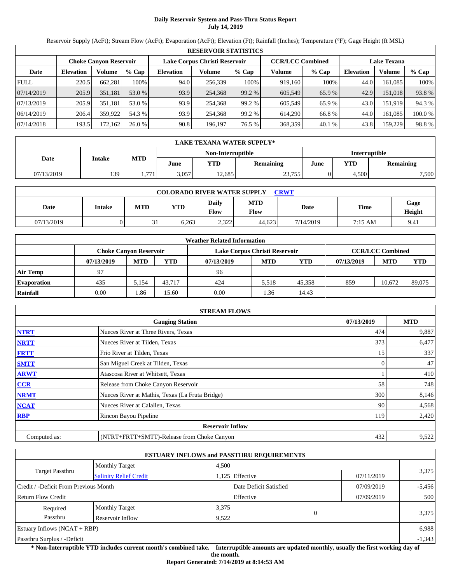# **Daily Reservoir System and Pass-Thru Status Report July 14, 2019**

Reservoir Supply (AcFt); Stream Flow (AcFt); Evaporation (AcFt); Elevation (Ft); Rainfall (Inches); Temperature (°F); Gage Height (ft MSL)

|             | <b>RESERVOIR STATISTICS</b> |                               |         |                               |         |         |                         |         |                    |               |         |
|-------------|-----------------------------|-------------------------------|---------|-------------------------------|---------|---------|-------------------------|---------|--------------------|---------------|---------|
|             |                             | <b>Choke Canvon Reservoir</b> |         | Lake Corpus Christi Reservoir |         |         | <b>CCR/LCC Combined</b> |         | <b>Lake Texana</b> |               |         |
| Date        | <b>Elevation</b>            | Volume                        | $%$ Cap | <b>Elevation</b>              | Volume  | $%$ Cap | Volume                  | $%$ Cap | <b>Elevation</b>   | <b>Volume</b> | % Cap   |
| <b>FULL</b> | 220.5                       | 662,281                       | 100%    | 94.0                          | 256,339 | 100%    | 919.160                 | 100%    | 44.0               | 161.085       | 100%    |
| 07/14/2019  | 205.9                       | 351,181                       | 53.0 %  | 93.9                          | 254.368 | 99.2 %  | 605.549                 | 65.9 %  | 42.9               | 151.018       | 93.8%   |
| 07/13/2019  | 205.9                       | 351.181                       | 53.0 %  | 93.9                          | 254,368 | 99.2 %  | 605,549                 | 65.9%   | 43.0               | 151.919       | 94.3 %  |
| 06/14/2019  | 206.4                       | 359,922                       | 54.3 %  | 93.9                          | 254,368 | 99.2 %  | 614.290                 | 66.8%   | 44.0               | 161.085       | 100.0 % |
| 07/14/2018  | 193.5                       | 172.162                       | 26.0%   | 90.8                          | 196,197 | 76.5 %  | 368,359                 | 40.1 %  | 43.8               | 159,229       | 98.8%   |

|            | <b>LAKE TEXANA WATER SUPPLY*</b> |                   |       |            |                          |  |       |                  |  |
|------------|----------------------------------|-------------------|-------|------------|--------------------------|--|-------|------------------|--|
|            | Non-Interruptible                |                   |       |            |                          |  |       | Interruptible    |  |
| Date       | Intake                           | <b>MTD</b>        | June  | <b>VTD</b> | <b>Remaining</b><br>June |  | YTD   | <b>Remaining</b> |  |
| 07/13/2019 | 139                              | 771<br>$\sqrt{1}$ | 3,057 | 2,685      | 23,755                   |  | 4,500 | 7,500            |  |

| <b>COLORADO RIVER WATER SUPPLY</b><br><b>CRWT</b> |        |            |            |                       |                    |           |         |                |  |  |
|---------------------------------------------------|--------|------------|------------|-----------------------|--------------------|-----------|---------|----------------|--|--|
| Date                                              | Intake | <b>MTD</b> | <b>YTD</b> | Daily<br><b>Flow</b>  | <b>MTD</b><br>Flow | Date      | Time    | Gage<br>Height |  |  |
| 07/13/2019                                        |        | 21         | 6.263      | 2321<br>2.J <i>LL</i> | 44.623             | 7/14/2019 | 7:15 AM | 9.41           |  |  |

|                    |                               |            |        | <b>Weather Related Information</b> |            |        |            |                         |            |
|--------------------|-------------------------------|------------|--------|------------------------------------|------------|--------|------------|-------------------------|------------|
|                    | <b>Choke Canvon Reservoir</b> |            |        | Lake Corpus Christi Reservoir      |            |        |            | <b>CCR/LCC Combined</b> |            |
|                    | 07/13/2019                    | <b>MTD</b> | YTD    | 07/13/2019                         | <b>MTD</b> | YTD    | 07/13/2019 | <b>MTD</b>              | <b>YTD</b> |
| <b>Air Temp</b>    | 97                            |            |        | 96                                 |            |        |            |                         |            |
| <b>Evaporation</b> | 435                           | 5.154      | 43.717 | 424                                | 5.518      | 45,358 | 859        | 10.672                  | 89,075     |
| Rainfall           | 0.00                          | . 86       | 15.60  | 0.00                               | .36        | 14.43  |            |                         |            |

|              | <b>STREAM FLOWS</b>                             |            |            |
|--------------|-------------------------------------------------|------------|------------|
|              | <b>Gauging Station</b>                          | 07/13/2019 | <b>MTD</b> |
| <b>NTRT</b>  | Nueces River at Three Rivers, Texas             | 474        | 9,887      |
| <b>NRTT</b>  | Nueces River at Tilden, Texas                   | 373        | 6,477      |
| <b>FRTT</b>  | Frio River at Tilden, Texas                     | 15         | 337        |
| <b>SMTT</b>  | San Miguel Creek at Tilden, Texas               | 0          | 47         |
| <b>ARWT</b>  | Atascosa River at Whitsett, Texas               |            | 410        |
| CCR          | Release from Choke Canyon Reservoir             | 58         | 748        |
| <b>NRMT</b>  | Nueces River at Mathis, Texas (La Fruta Bridge) | 300        | 8,146      |
| <b>NCAT</b>  | Nueces River at Calallen, Texas                 | 90         | 4,568      |
| <b>RBP</b>   | Rincon Bayou Pipeline                           | 119        | 2,420      |
|              | <b>Reservoir Inflow</b>                         |            |            |
| Computed as: | (NTRT+FRTT+SMTT)-Release from Choke Canyon      | 432        | 9,522      |

|                                       |                               |       | <b>ESTUARY INFLOWS and PASSTHRU REQUIREMENTS</b> |            |          |  |
|---------------------------------------|-------------------------------|-------|--------------------------------------------------|------------|----------|--|
|                                       | <b>Monthly Target</b>         | 4,500 |                                                  |            |          |  |
| <b>Target Passthru</b>                | <b>Salinity Relief Credit</b> |       | 1,125 Effective                                  | 07/11/2019 | 3,375    |  |
| Credit / -Deficit From Previous Month |                               |       | Date Deficit Satisfied                           | 07/09/2019 | $-5,456$ |  |
| <b>Return Flow Credit</b>             |                               |       | Effective                                        | 07/09/2019 | 500      |  |
| Required                              | <b>Monthly Target</b>         | 3,375 |                                                  |            |          |  |
| Passthru                              | Reservoir Inflow              | 9,522 | $\theta$                                         |            | 3,375    |  |
| Estuary Inflows $(NCAT + RBP)$        |                               |       |                                                  |            | 6,988    |  |
| Passthru Surplus / -Deficit           |                               |       |                                                  |            | $-1,343$ |  |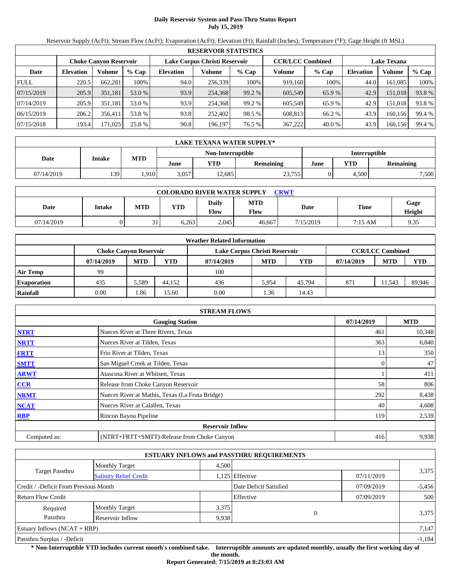# **Daily Reservoir System and Pass-Thru Status Report July 15, 2019**

Reservoir Supply (AcFt); Stream Flow (AcFt); Evaporation (AcFt); Elevation (Ft); Rainfall (Inches); Temperature (°F); Gage Height (ft MSL)

|             |                               |         |         |                               | <b>RESERVOIR STATISTICS</b> |         |                         |         |                    |         |        |
|-------------|-------------------------------|---------|---------|-------------------------------|-----------------------------|---------|-------------------------|---------|--------------------|---------|--------|
|             | <b>Choke Canyon Reservoir</b> |         |         | Lake Corpus Christi Reservoir |                             |         | <b>CCR/LCC Combined</b> |         | <b>Lake Texana</b> |         |        |
| Date        | <b>Elevation</b>              | Volume  | $%$ Cap | <b>Elevation</b>              | Volume                      | $%$ Cap | Volume                  | $%$ Cap | <b>Elevation</b>   | Volume  | % Cap  |
| <b>FULL</b> | 220.5                         | 662,281 | 100%    | 94.0                          | 256,339                     | 100%    | 919,160                 | 100%    | 44.0               | 161.085 | 100%   |
| 07/15/2019  | 205.9                         | 351.181 | 53.0 %  | 93.9                          | 254,368                     | 99.2 %  | 605,549                 | 65.9%   | 42.9               | 151,018 | 93.8%  |
| 07/14/2019  | 205.9                         | 351,181 | 53.0 %  | 93.9                          | 254.368                     | 99.2 %  | 605.549                 | 65.9%   | 42.9               | 151,018 | 93.8%  |
| 06/15/2019  | 206.2                         | 356,411 | 53.8 %  | 93.8                          | 252,402                     | 98.5 %  | 608,813                 | 66.2 %  | 43.9               | 160,156 | 99.4 % |
| 07/15/2018  | 193.4                         | 171,025 | 25.8 %  | 90.8                          | 196.197                     | 76.5 %  | 367,222                 | 40.0 %  | 43.9               | 160,156 | 99.4 % |

|            | LAKE TEXANA WATER SUPPLY* |            |                   |       |           |      |                      |                  |  |  |
|------------|---------------------------|------------|-------------------|-------|-----------|------|----------------------|------------------|--|--|
|            | <b>Intake</b>             |            | Non-Interruptible |       |           |      | <b>Interruptible</b> |                  |  |  |
| Date       |                           | <b>MTD</b> | June              | YTD   | Remaining | June | YTD                  | <b>Remaining</b> |  |  |
| 07/14/2019 | 139                       | .910       | 3,057             | 2.685 | 23,755    |      | 4,500                | 7,500            |  |  |

| <b>COLORADO RIVER WATER SUPPLY</b><br>CRWT |        |            |            |                      |                    |           |                   |                |  |  |
|--------------------------------------------|--------|------------|------------|----------------------|--------------------|-----------|-------------------|----------------|--|--|
| Date                                       | Intake | <b>MTD</b> | <b>YTD</b> | Daily<br><b>Flow</b> | <b>MTD</b><br>Flow | Date      | Time              | Gage<br>Height |  |  |
| 07/14/2019                                 |        | ◡          | 6.263      | 2.045                | 46.667             | 7/15/2019 | $7:15 \text{ AM}$ | 9.35           |  |  |

|                    |            |                               |        | <b>Weather Related Information</b> |            |            |            |                         |            |
|--------------------|------------|-------------------------------|--------|------------------------------------|------------|------------|------------|-------------------------|------------|
|                    |            | <b>Choke Canvon Reservoir</b> |        | Lake Corpus Christi Reservoir      |            |            |            | <b>CCR/LCC Combined</b> |            |
|                    | 07/14/2019 | <b>MTD</b>                    | YTD    | 07/14/2019                         | <b>MTD</b> | <b>YTD</b> | 07/14/2019 | <b>MTD</b>              | <b>YTD</b> |
| <b>Air Temp</b>    | 99         |                               |        | 100                                |            |            |            |                         |            |
| <b>Evaporation</b> | 435        | 5,589                         | 44,152 | 436                                | 5.954      | 45.794     | 871        | 11.543                  | 89,946     |
| Rainfall           | 0.00       | . 86                          | 15.60  | 0.00                               | .36        | 14.43      |            |                         |            |

|              | <b>STREAM FLOWS</b>                             |            |            |
|--------------|-------------------------------------------------|------------|------------|
|              | <b>Gauging Station</b>                          | 07/14/2019 | <b>MTD</b> |
| <b>NTRT</b>  | Nueces River at Three Rivers, Texas             | 461        | 10,348     |
| <b>NRTT</b>  | Nueces River at Tilden, Texas                   | 363        | 6,840      |
| <b>FRTT</b>  | Frio River at Tilden, Texas                     | 13         | 350        |
| <b>SMTT</b>  | San Miguel Creek at Tilden, Texas               | 0          | 47         |
| <b>ARWT</b>  | Atascosa River at Whitsett, Texas               |            | 411        |
| CCR          | Release from Choke Canyon Reservoir             | 58         | 806        |
| <b>NRMT</b>  | Nueces River at Mathis, Texas (La Fruta Bridge) | 292        | 8,438      |
| <b>NCAT</b>  | Nueces River at Calallen, Texas                 | 40         | 4,608      |
| <b>RBP</b>   | Rincon Bayou Pipeline                           | 119        | 2,539      |
|              | <b>Reservoir Inflow</b>                         |            |            |
| Computed as: | (NTRT+FRTT+SMTT)-Release from Choke Canyon      | 416        | 9,938      |

|                                       |                               |       | <b>ESTUARY INFLOWS and PASSTHRU REQUIREMENTS</b> |            |          |  |
|---------------------------------------|-------------------------------|-------|--------------------------------------------------|------------|----------|--|
|                                       | <b>Monthly Target</b>         | 4.500 |                                                  |            |          |  |
| Target Passthru                       | <b>Salinity Relief Credit</b> |       | 1.125 Effective<br>07/11/2019                    |            | 3,375    |  |
| Credit / -Deficit From Previous Month |                               |       | Date Deficit Satisfied                           | 07/09/2019 | $-5,456$ |  |
| <b>Return Flow Credit</b>             |                               |       | Effective                                        | 07/09/2019 | 500      |  |
| Required                              | <b>Monthly Target</b>         | 3,375 |                                                  |            |          |  |
| Passthru                              | Reservoir Inflow              | 9,938 | $\theta$                                         |            | 3,375    |  |
| Estuary Inflows $(NCAT + RBP)$        |                               |       |                                                  |            | 7,147    |  |
| Passthru Surplus / -Deficit           |                               |       |                                                  |            | $-1,184$ |  |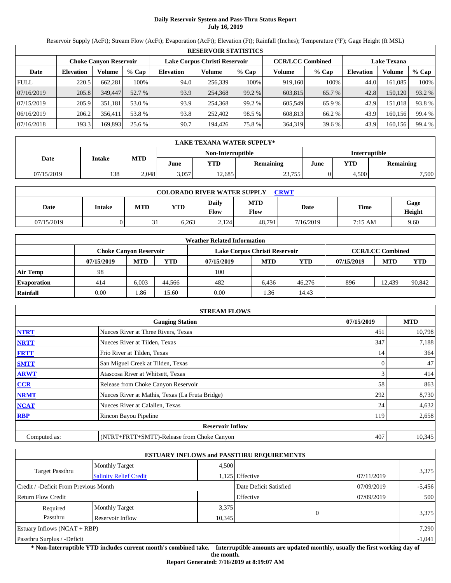# **Daily Reservoir System and Pass-Thru Status Report July 16, 2019**

Reservoir Supply (AcFt); Stream Flow (AcFt); Evaporation (AcFt); Elevation (Ft); Rainfall (Inches); Temperature (°F); Gage Height (ft MSL)

|             |                               |         |         |                  | <b>RESERVOIR STATISTICS</b>   |         |                         |         |                    |         |        |
|-------------|-------------------------------|---------|---------|------------------|-------------------------------|---------|-------------------------|---------|--------------------|---------|--------|
|             | <b>Choke Canyon Reservoir</b> |         |         |                  | Lake Corpus Christi Reservoir |         | <b>CCR/LCC Combined</b> |         | <b>Lake Texana</b> |         |        |
| Date        | <b>Elevation</b>              | Volume  | $%$ Cap | <b>Elevation</b> | Volume                        | $%$ Cap | Volume                  | $%$ Cap | <b>Elevation</b>   | Volume  | % Cap  |
| <b>FULL</b> | 220.5                         | 662,281 | 100%    | 94.0             | 256,339                       | 100%    | 919,160                 | 100%    | 44.0               | 161,085 | 100%   |
| 07/16/2019  | 205.8                         | 349,447 | 52.7 %  | 93.9             | 254,368                       | 99.2 %  | 603,815                 | 65.7 %  | 42.8               | 150,120 | 93.2 % |
| 07/15/2019  | 205.9                         | 351.181 | 53.0 %  | 93.9             | 254,368                       | 99.2 %  | 605.549                 | 65.9%   | 42.9               | 151.018 | 93.8%  |
| 06/16/2019  | 206.2                         | 356.411 | 53.8 %  | 93.8             | 252,402                       | 98.5 %  | 608,813                 | 66.2 %  | 43.9               | 160.156 | 99.4 % |
| 07/16/2018  | 193.3                         | 169,893 | 25.6 %  | 90.7             | 194,426                       | 75.8 %  | 364,319                 | 39.6 %  | 43.9               | 160,156 | 99.4 % |

|            | LAKE TEXANA WATER SUPPLY*    |       |       |                   |                  |                      |       |           |  |  |
|------------|------------------------------|-------|-------|-------------------|------------------|----------------------|-------|-----------|--|--|
|            |                              |       |       | Non-Interruptible |                  | <b>Interruptible</b> |       |           |  |  |
|            | <b>MTD</b><br>Date<br>Intake |       | June  | <b>YTD</b>        | <b>Remaining</b> | June                 | YTD   | Remaining |  |  |
| 07/15/2019 | 1381                         | 2.048 | 3.057 | 12.685            | 23,755           |                      | 4.500 | 7,500     |  |  |

| <b>COLORADO RIVER WATER SUPPLY</b><br><b>CRWT</b> |        |            |            |                             |                    |           |             |                |  |  |
|---------------------------------------------------|--------|------------|------------|-----------------------------|--------------------|-----------|-------------|----------------|--|--|
| Date                                              | Intake | <b>MTD</b> | <b>YTD</b> | <b>Daily</b><br><b>Flow</b> | <b>MTD</b><br>Flow | Date      | <b>Time</b> | Gage<br>Height |  |  |
| 07/15/2019                                        |        | 21         | 6.263      | 2.124                       | 48.791             | 7/16/2019 | 7:15 AM     | 9.60           |  |  |

|                    |                               |            |        | <b>Weather Related Information</b> |            |            |            |                         |            |
|--------------------|-------------------------------|------------|--------|------------------------------------|------------|------------|------------|-------------------------|------------|
|                    | <b>Choke Canvon Reservoir</b> |            |        | Lake Corpus Christi Reservoir      |            |            |            | <b>CCR/LCC Combined</b> |            |
|                    | 07/15/2019                    | <b>MTD</b> | YTD    | 07/15/2019                         | <b>MTD</b> | <b>YTD</b> | 07/15/2019 | <b>MTD</b>              | <b>YTD</b> |
| <b>Air Temp</b>    | 98                            |            |        | 100                                |            |            |            |                         |            |
| <b>Evaporation</b> | 414                           | 6.003      | 44.566 | 482                                | 6.436      | 46,276     | 896        | 12.439                  | 90,842     |
| Rainfall           | 0.00                          | . 86       | 15.60  | 0.00                               | .36        | 14.43      |            |                         |            |

|              | <b>STREAM FLOWS</b>                             |            |            |
|--------------|-------------------------------------------------|------------|------------|
|              | <b>Gauging Station</b>                          | 07/15/2019 | <b>MTD</b> |
| <b>NTRT</b>  | Nueces River at Three Rivers, Texas             | 451        | 10,798     |
| <b>NRTT</b>  | Nueces River at Tilden, Texas                   | 347        | 7,188      |
| <b>FRTT</b>  | Frio River at Tilden, Texas                     | 14         | 364        |
| <b>SMTT</b>  | San Miguel Creek at Tilden, Texas               | 0          | 47         |
| <b>ARWT</b>  | Atascosa River at Whitsett, Texas               |            | 414        |
| CCR          | Release from Choke Canyon Reservoir             | 58         | 863        |
| <b>NRMT</b>  | Nueces River at Mathis, Texas (La Fruta Bridge) | 292        | 8,730      |
| <b>NCAT</b>  | Nueces River at Calallen, Texas                 | 24         | 4,632      |
| <b>RBP</b>   | Rincon Bayou Pipeline                           | 119        | 2,658      |
|              | <b>Reservoir Inflow</b>                         |            |            |
| Computed as: | (NTRT+FRTT+SMTT)-Release from Choke Canyon      | 407        | 10,345     |

|                                                  |                       |        | <b>ESTUARY INFLOWS and PASSTHRU REQUIREMENTS</b> |            |          |  |
|--------------------------------------------------|-----------------------|--------|--------------------------------------------------|------------|----------|--|
|                                                  | <b>Monthly Target</b> | 4.500  |                                                  |            |          |  |
| Target Passthru<br><b>Salinity Relief Credit</b> |                       |        | 1,125 Effective                                  | 07/11/2019 | 3,375    |  |
| Credit / -Deficit From Previous Month            |                       |        | Date Deficit Satisfied                           | 07/09/2019 | $-5,456$ |  |
| <b>Return Flow Credit</b>                        |                       |        | Effective                                        | 07/09/2019 | 500      |  |
| Required                                         | <b>Monthly Target</b> | 3,375  |                                                  |            |          |  |
| Passthru                                         | Reservoir Inflow      | 10,345 | $\Omega$                                         |            | 3,375    |  |
| Estuary Inflows $(NCAT + RBP)$                   |                       |        |                                                  |            | 7,290    |  |
| Passthru Surplus / -Deficit                      |                       |        |                                                  |            | $-1,041$ |  |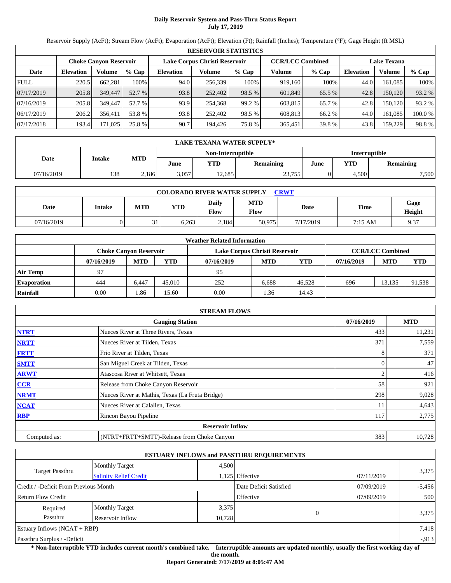# **Daily Reservoir System and Pass-Thru Status Report July 17, 2019**

Reservoir Supply (AcFt); Stream Flow (AcFt); Evaporation (AcFt); Elevation (Ft); Rainfall (Inches); Temperature (°F); Gage Height (ft MSL)

|             | <b>RESERVOIR STATISTICS</b> |                                                                                                                 |         |                  |         |         |         |         |                  |               |         |
|-------------|-----------------------------|-----------------------------------------------------------------------------------------------------------------|---------|------------------|---------|---------|---------|---------|------------------|---------------|---------|
|             |                             | Lake Corpus Christi Reservoir<br><b>CCR/LCC Combined</b><br><b>Lake Texana</b><br><b>Choke Canvon Reservoir</b> |         |                  |         |         |         |         |                  |               |         |
| Date        | <b>Elevation</b>            | Volume                                                                                                          | $%$ Cap | <b>Elevation</b> | Volume  | $%$ Cap | Volume  | $%$ Cap | <b>Elevation</b> | <b>Volume</b> | % Cap   |
| <b>FULL</b> | 220.5                       | 662.281                                                                                                         | 100%    | 94.0             | 256,339 | 100%    | 919.160 | 100%    | 44.0             | 161.085       | 100%    |
| 07/17/2019  | 205.8                       | 349,447                                                                                                         | 52.7 %  | 93.8             | 252,402 | 98.5 %  | 601.849 | 65.5 %  | 42.8             | 150,120       | 93.2 %  |
| 07/16/2019  | 205.8                       | 349,447                                                                                                         | 52.7 %  | 93.9             | 254.368 | 99.2 %  | 603.815 | 65.7 %  | 42.8             | 150.120       | 93.2 %  |
| 06/17/2019  | 206.2                       | 356.411                                                                                                         | 53.8 %  | 93.8             | 252.402 | 98.5 %  | 608.813 | 66.2 %  | 44.0             | 161.085       | 100.0 % |
| 07/17/2018  | 193.4                       | 171,025                                                                                                         | 25.8 %  | 90.7             | 194.426 | 75.8 %  | 365,451 | 39.8 %  | 43.8             | 159,229       | 98.8%   |

|            | <b>LAKE TEXANA WATER SUPPLY*</b> |            |       |                   |           |      |               |                  |  |  |  |
|------------|----------------------------------|------------|-------|-------------------|-----------|------|---------------|------------------|--|--|--|
|            |                                  |            |       | Non-Interruptible |           |      | Interruptible |                  |  |  |  |
| Date       | Intake                           | <b>MTD</b> | June  | YTD               | Remaining | June | YTD           | <b>Remaining</b> |  |  |  |
| 07/16/2019 | 138                              | 2,186      | 3.057 | 12.685            | 23,755    |      | 4.500         | 7,500            |  |  |  |

| <b>COLORADO RIVER WATER SUPPLY</b><br>CRWT |        |            |            |                      |                    |           |         |                |  |  |  |
|--------------------------------------------|--------|------------|------------|----------------------|--------------------|-----------|---------|----------------|--|--|--|
| Date                                       | Intake | <b>MTD</b> | <b>YTD</b> | Daily<br><b>Flow</b> | <b>MTD</b><br>Flow | Date      | Time    | Gage<br>Height |  |  |  |
| 07/16/2019                                 |        | ◡          | 6.263      | 2.184                | 50,975             | 7/17/2019 | 7:15 AM | 9.37           |  |  |  |

|                    |                               |            |        | <b>Weather Related Information</b> |            |            |            |                         |            |
|--------------------|-------------------------------|------------|--------|------------------------------------|------------|------------|------------|-------------------------|------------|
|                    | <b>Choke Canvon Reservoir</b> |            |        | Lake Corpus Christi Reservoir      |            |            |            | <b>CCR/LCC Combined</b> |            |
|                    | 07/16/2019                    | <b>MTD</b> | YTD    | 07/16/2019                         | <b>MTD</b> | <b>YTD</b> | 07/16/2019 | <b>MTD</b>              | <b>YTD</b> |
| <b>Air Temp</b>    | 97                            |            |        | 95                                 |            |            |            |                         |            |
| <b>Evaporation</b> | 444                           | 6,447      | 45.010 | 252                                | 6.688      | 46,528     | 696        | 13.135                  | 91,538     |
| Rainfall           | 0.00                          | . 86       | 15.60  | 0.00                               | .36        | 14.43      |            |                         |            |

|              | <b>STREAM FLOWS</b>                             |            |            |
|--------------|-------------------------------------------------|------------|------------|
|              | <b>Gauging Station</b>                          | 07/16/2019 | <b>MTD</b> |
| <b>NTRT</b>  | Nueces River at Three Rivers, Texas             | 433        | 11,231     |
| <b>NRTT</b>  | Nueces River at Tilden, Texas                   | 371        | 7,559      |
| <b>FRTT</b>  | Frio River at Tilden, Texas                     | 8          | 371        |
| <b>SMTT</b>  | San Miguel Creek at Tilden, Texas               |            | 47         |
| <b>ARWT</b>  | Atascosa River at Whitsett, Texas               |            | 416        |
| <b>CCR</b>   | Release from Choke Canyon Reservoir             | 58         | 921        |
| <b>NRMT</b>  | Nueces River at Mathis, Texas (La Fruta Bridge) | 298        | 9,028      |
| <b>NCAT</b>  | Nueces River at Calallen, Texas                 | 11         | 4,643      |
| <b>RBP</b>   | Rincon Bayou Pipeline                           | 117        | 2,775      |
|              | <b>Reservoir Inflow</b>                         |            |            |
| Computed as: | (NTRT+FRTT+SMTT)-Release from Choke Canyon      | 383        | 10,728     |

|                                                         |                       |        | <b>ESTUARY INFLOWS and PASSTHRU REQUIREMENTS</b> |            |          |  |
|---------------------------------------------------------|-----------------------|--------|--------------------------------------------------|------------|----------|--|
|                                                         | <b>Monthly Target</b> | 4,500  |                                                  |            |          |  |
| <b>Target Passthru</b><br><b>Salinity Relief Credit</b> |                       |        | 1,125 Effective                                  | 07/11/2019 | 3,375    |  |
| Credit / -Deficit From Previous Month                   |                       |        | Date Deficit Satisfied                           | 07/09/2019 | $-5,456$ |  |
| <b>Return Flow Credit</b>                               |                       |        | Effective                                        | 07/09/2019 | 500      |  |
| Required                                                | <b>Monthly Target</b> | 3,375  |                                                  |            |          |  |
| Passthru                                                | Reservoir Inflow      | 10,728 | $\Omega$                                         |            | 3,375    |  |
| Estuary Inflows $(NCAT + RBP)$                          |                       |        |                                                  |            | 7,418    |  |
| Passthru Surplus / -Deficit                             |                       |        |                                                  |            | $-913$   |  |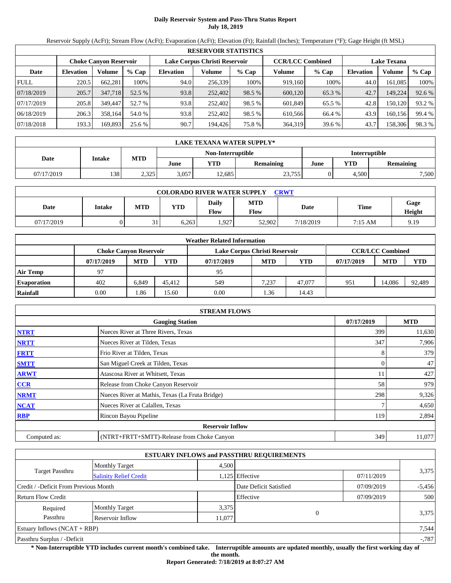# **Daily Reservoir System and Pass-Thru Status Report July 18, 2019**

Reservoir Supply (AcFt); Stream Flow (AcFt); Evaporation (AcFt); Elevation (Ft); Rainfall (Inches); Temperature (°F); Gage Height (ft MSL)

|             | <b>RESERVOIR STATISTICS</b> |                               |         |                  |                               |         |                         |         |                  |                    |        |  |  |
|-------------|-----------------------------|-------------------------------|---------|------------------|-------------------------------|---------|-------------------------|---------|------------------|--------------------|--------|--|--|
|             |                             | <b>Choke Canyon Reservoir</b> |         |                  | Lake Corpus Christi Reservoir |         | <b>CCR/LCC Combined</b> |         |                  | <b>Lake Texana</b> |        |  |  |
| Date        | <b>Elevation</b>            | Volume                        | $%$ Cap | <b>Elevation</b> | Volume                        | $%$ Cap | Volume                  | $%$ Cap | <b>Elevation</b> | Volume             | % Cap  |  |  |
| <b>FULL</b> | 220.5                       | 662.281                       | 100%    | 94.0             | 256,339                       | 100%    | 919,160                 | 100%    | 44.0             | 161.085            | 100%   |  |  |
| 07/18/2019  | 205.7                       | 347,718                       | 52.5 %  | 93.8             | 252,402                       | 98.5 %  | 600,120                 | 65.3 %  | 42.7             | 149,224            | 92.6 % |  |  |
| 07/17/2019  | 205.8                       | 349,447                       | 52.7 %  | 93.8             | 252,402                       | 98.5 %  | 601.849                 | 65.5 %  | 42.8             | 150.120            | 93.2 % |  |  |
| 06/18/2019  | 206.3                       | 358.164                       | 54.0 %  | 93.8             | 252,402                       | 98.5 %  | 610.566                 | 66.4 %  | 43.9             | 160.156            | 99.4 % |  |  |
| 07/18/2018  | 193.3                       | 169,893                       | 25.6 %  | 90.7             | 194,426                       | 75.8 %  | 364,319                 | 39.6 %  | 43.7             | 158,306            | 98.3%  |  |  |

|            | <b>LAKE TEXANA WATER SUPPLY*</b> |            |       |                   |                  |                      |       |           |  |  |
|------------|----------------------------------|------------|-------|-------------------|------------------|----------------------|-------|-----------|--|--|
|            |                                  |            |       | Non-Interruptible |                  | <b>Interruptible</b> |       |           |  |  |
| Date       | Intake                           | <b>MTD</b> | June  | $\mathbf{v_{TD}}$ | <b>Remaining</b> | June                 | YTD   | Remaining |  |  |
| 07/17/2019 | 138                              | 2,325      | 3.057 | 12,685            | 23,755           |                      | 4.500 | 7,500     |  |  |

| <b>COLORADO RIVER WATER SUPPLY</b><br><b>CRWT</b> |        |             |            |                      |                    |           |         |                |  |  |  |
|---------------------------------------------------|--------|-------------|------------|----------------------|--------------------|-----------|---------|----------------|--|--|--|
| Date                                              | Intake | <b>MTD</b>  | <b>YTD</b> | Daily<br><b>Flow</b> | <b>MTD</b><br>Flow | Date      | Time    | Gage<br>Height |  |  |  |
| 07/17/2019                                        |        | $\sim$<br>◡ | 6.263      | .,927                | 52.902             | 7/18/2019 | 7:15 AM | 9.19           |  |  |  |

|                    |                               |            |        | <b>Weather Related Information</b> |            |            |            |                         |            |
|--------------------|-------------------------------|------------|--------|------------------------------------|------------|------------|------------|-------------------------|------------|
|                    | <b>Choke Canvon Reservoir</b> |            |        | Lake Corpus Christi Reservoir      |            |            |            | <b>CCR/LCC Combined</b> |            |
|                    | 07/17/2019                    | <b>MTD</b> | YTD    | 07/17/2019                         | <b>MTD</b> | <b>YTD</b> | 07/17/2019 | <b>MTD</b>              | <b>YTD</b> |
| <b>Air Temp</b>    | 97                            |            |        | 95                                 |            |            |            |                         |            |
| <b>Evaporation</b> | 402                           | 6,849      | 45.412 | 549                                | 7.237      | 47.077     | 951        | 14.086                  | 92,489     |
| Rainfall           | 0.00                          | . 86       | 15.60  | 0.00                               | .36        | 14.43      |            |                         |            |

|              | <b>STREAM FLOWS</b>                             |            |            |
|--------------|-------------------------------------------------|------------|------------|
|              | <b>Gauging Station</b>                          | 07/17/2019 | <b>MTD</b> |
| <b>NTRT</b>  | Nueces River at Three Rivers, Texas             | 399        | 11,630     |
| <b>NRTT</b>  | Nueces River at Tilden, Texas                   | 347        | 7,906      |
| <b>FRTT</b>  | Frio River at Tilden, Texas                     | 8          | 379        |
| <b>SMTT</b>  | San Miguel Creek at Tilden, Texas               | 0          | 47         |
| <b>ARWT</b>  | Atascosa River at Whitsett, Texas               | 11         | 427        |
| CCR          | Release from Choke Canyon Reservoir             | 58         | 979        |
| <b>NRMT</b>  | Nueces River at Mathis, Texas (La Fruta Bridge) | 298        | 9,326      |
| <b>NCAT</b>  | Nueces River at Calallen, Texas                 |            | 4,650      |
| <b>RBP</b>   | Rincon Bayou Pipeline                           | 119        | 2,894      |
|              | <b>Reservoir Inflow</b>                         |            |            |
| Computed as: | (NTRT+FRTT+SMTT)-Release from Choke Canyon      | 349        | 11,077     |

|                                       |                               |        | <b>ESTUARY INFLOWS and PASSTHRU REQUIREMENTS</b> |            |          |
|---------------------------------------|-------------------------------|--------|--------------------------------------------------|------------|----------|
|                                       | <b>Monthly Target</b>         | 4.500  |                                                  |            |          |
| Target Passthru                       | <b>Salinity Relief Credit</b> |        | 1,125 Effective                                  | 07/11/2019 | 3,375    |
| Credit / -Deficit From Previous Month |                               |        | Date Deficit Satisfied                           | 07/09/2019 | $-5,456$ |
| <b>Return Flow Credit</b>             |                               |        | Effective                                        | 07/09/2019 | 500      |
| Required                              | <b>Monthly Target</b>         | 3,375  |                                                  |            |          |
| Passthru                              | Reservoir Inflow              | 11,077 | $\Omega$                                         |            | 3,375    |
| Estuary Inflows $(NCAT + RBP)$        |                               |        |                                                  |            | 7,544    |
| Passthru Surplus / -Deficit           |                               |        |                                                  |            | $-0.787$ |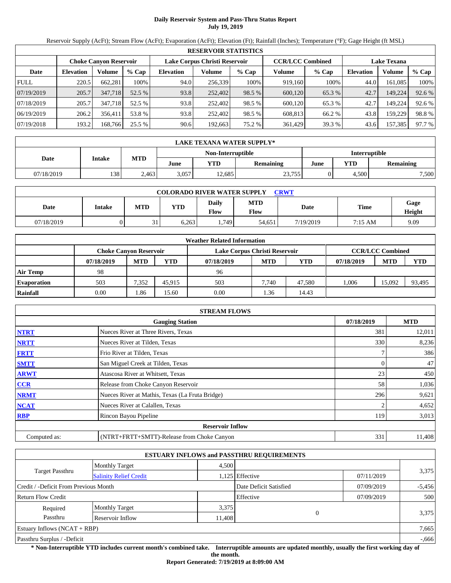# **Daily Reservoir System and Pass-Thru Status Report July 19, 2019**

Reservoir Supply (AcFt); Stream Flow (AcFt); Evaporation (AcFt); Elevation (Ft); Rainfall (Inches); Temperature (°F); Gage Height (ft MSL)

|             | <b>RESERVOIR STATISTICS</b>   |         |         |                  |                               |         |         |                         |                    |         |        |  |
|-------------|-------------------------------|---------|---------|------------------|-------------------------------|---------|---------|-------------------------|--------------------|---------|--------|--|
|             | <b>Choke Canyon Reservoir</b> |         |         |                  | Lake Corpus Christi Reservoir |         |         | <b>CCR/LCC Combined</b> | <b>Lake Texana</b> |         |        |  |
| Date        | <b>Elevation</b>              | Volume  | $%$ Cap | <b>Elevation</b> | Volume                        | $%$ Cap | Volume  | $%$ Cap                 | <b>Elevation</b>   | Volume  | % Cap  |  |
| <b>FULL</b> | 220.5                         | 662,281 | 100%    | 94.0             | 256,339                       | 100%    | 919,160 | 100%                    | 44.0               | 161.085 | 100%   |  |
| 07/19/2019  | 205.7                         | 347,718 | 52.5 %  | 93.8             | 252,402                       | 98.5 %  | 600,120 | 65.3 %                  | 42.7               | 149,224 | 92.6 % |  |
| 07/18/2019  | 205.7                         | 347.718 | 52.5 %  | 93.8             | 252,402                       | 98.5 %  | 600.120 | 65.3 %                  | 42.7               | 149.224 | 92.6 % |  |
| 06/19/2019  | 206.2                         | 356,411 | 53.8 %  | 93.8             | 252,402                       | 98.5 %  | 608,813 | 66.2 %                  | 43.8               | 159.229 | 98.8%  |  |
| 07/19/2018  | 193.2                         | 168,766 | 25.5 %  | 90.6             | 192,663                       | 75.2 %  | 361,429 | 39.3 %                  | 43.6               | 157,385 | 97.7 % |  |

|            | LAKE TEXANA WATER SUPPLY* |            |       |                   |                  |                      |                         |       |  |  |
|------------|---------------------------|------------|-------|-------------------|------------------|----------------------|-------------------------|-------|--|--|
|            |                           |            |       | Non-Interruptible |                  | <b>Interruptible</b> |                         |       |  |  |
| Date       | <b>Intake</b>             | <b>MTD</b> | June  | VTD               | <b>Remaining</b> | June                 | YTD<br><b>Remaining</b> |       |  |  |
| 07/18/2019 | 138                       | 2,463      | 3.057 | 2.685             | 23,755           |                      | 4.500                   | 7,500 |  |  |

| <b>COLORADO RIVER WATER SUPPLY</b><br><b>CRWT</b> |        |            |            |                             |                    |           |         |                |  |  |
|---------------------------------------------------|--------|------------|------------|-----------------------------|--------------------|-----------|---------|----------------|--|--|
| Date                                              | Intake | <b>MTD</b> | <b>YTD</b> | <b>Daily</b><br><b>Flow</b> | <b>MTD</b><br>Flow | Date      | Time    | Gage<br>Height |  |  |
| 07/18/2019                                        |        | 21         | 6.263      | .749                        | 54.651             | 7/19/2019 | 7:15 AM | 9.09           |  |  |

|                    |                               |            |        | <b>Weather Related Information</b> |            |        |            |                         |            |
|--------------------|-------------------------------|------------|--------|------------------------------------|------------|--------|------------|-------------------------|------------|
|                    | <b>Choke Canvon Reservoir</b> |            |        | Lake Corpus Christi Reservoir      |            |        |            | <b>CCR/LCC Combined</b> |            |
|                    | 07/18/2019                    | <b>MTD</b> | YTD    | 07/18/2019                         | <b>MTD</b> | YTD    | 07/18/2019 | <b>MTD</b>              | <b>YTD</b> |
| <b>Air Temp</b>    | 98                            |            |        | 96                                 |            |        |            |                         |            |
| <b>Evaporation</b> | 503                           | 7,352      | 45.915 | 503                                | 7.740      | 47.580 | 1.006      | 15.092                  | 93,495     |
| Rainfall           | 0.00                          | .86        | 15.60  | 0.00                               | .36        | 14.43  |            |                         |            |

|              | <b>STREAM FLOWS</b>                             |            |            |
|--------------|-------------------------------------------------|------------|------------|
|              | <b>Gauging Station</b>                          | 07/18/2019 | <b>MTD</b> |
| <b>NTRT</b>  | Nueces River at Three Rivers, Texas             | 381        | 12,011     |
| <b>NRTT</b>  | Nueces River at Tilden, Texas                   | 330        | 8,236      |
| <b>FRTT</b>  | Frio River at Tilden, Texas                     |            | 386        |
| <b>SMTT</b>  | San Miguel Creek at Tilden, Texas               | 0          | 47         |
| <b>ARWT</b>  | Atascosa River at Whitsett, Texas               | 23         | 450        |
| <b>CCR</b>   | Release from Choke Canyon Reservoir             | 58         | 1,036      |
| <b>NRMT</b>  | Nueces River at Mathis, Texas (La Fruta Bridge) | 296        | 9,621      |
| <b>NCAT</b>  | Nueces River at Calallen, Texas                 |            | 4,652      |
| <b>RBP</b>   | Rincon Bayou Pipeline                           | 119        | 3,013      |
|              | <b>Reservoir Inflow</b>                         |            |            |
| Computed as: | (NTRT+FRTT+SMTT)-Release from Choke Canyon      | 331        | 11,408     |

|                                                  |                       |        | <b>ESTUARY INFLOWS and PASSTHRU REQUIREMENTS</b> |            |          |
|--------------------------------------------------|-----------------------|--------|--------------------------------------------------|------------|----------|
|                                                  | <b>Monthly Target</b> | 4.500  |                                                  |            |          |
| Target Passthru<br><b>Salinity Relief Credit</b> |                       |        | 1,125 Effective                                  | 07/11/2019 | 3,375    |
| Credit / -Deficit From Previous Month            |                       |        | Date Deficit Satisfied                           | 07/09/2019 | $-5,456$ |
| <b>Return Flow Credit</b>                        |                       |        | Effective                                        | 07/09/2019 | 500      |
| Required                                         | <b>Monthly Target</b> | 3,375  |                                                  |            |          |
| Passthru                                         | Reservoir Inflow      | 11,408 | $\Omega$                                         |            | 3,375    |
| Estuary Inflows $(NCAT + RBP)$                   |                       |        |                                                  |            | 7,665    |
| Passthru Surplus / -Deficit                      |                       |        |                                                  |            | $-0.666$ |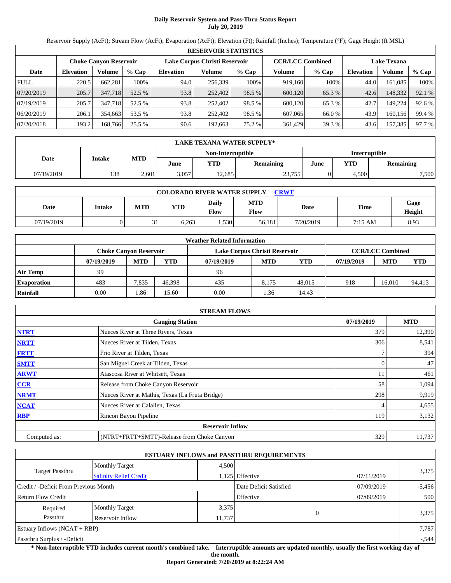# **Daily Reservoir System and Pass-Thru Status Report July 20, 2019**

Reservoir Supply (AcFt); Stream Flow (AcFt); Evaporation (AcFt); Elevation (Ft); Rainfall (Inches); Temperature (°F); Gage Height (ft MSL)

|             | <b>RESERVOIR STATISTICS</b>   |         |         |                  |                               |         |         |                         |                    |         |        |  |
|-------------|-------------------------------|---------|---------|------------------|-------------------------------|---------|---------|-------------------------|--------------------|---------|--------|--|
|             | <b>Choke Canvon Reservoir</b> |         |         |                  | Lake Corpus Christi Reservoir |         |         | <b>CCR/LCC Combined</b> | <b>Lake Texana</b> |         |        |  |
| Date        | <b>Elevation</b>              | Volume  | $%$ Cap | <b>Elevation</b> | Volume                        | $%$ Cap | Volume  | $%$ Cap                 | <b>Elevation</b>   | Volume  | % Cap  |  |
| <b>FULL</b> | 220.5                         | 662.281 | 100%    | 94.0             | 256,339                       | 100%    | 919,160 | 100%                    | 44.0               | 161.085 | 100%   |  |
| 07/20/2019  | 205.7                         | 347,718 | 52.5 %  | 93.8             | 252,402                       | 98.5 %  | 600,120 | 65.3 %                  | 42.6               | 148,332 | 92.1 % |  |
| 07/19/2019  | 205.7                         | 347,718 | 52.5 %  | 93.8             | 252,402                       | 98.5 %  | 600.120 | 65.3 %                  | 42.7               | 149.224 | 92.6 % |  |
| 06/20/2019  | 206.1                         | 354,663 | 53.5 %  | 93.8             | 252,402                       | 98.5 %  | 607,065 | 66.0 %                  | 43.9               | 160,156 | 99.4 % |  |
| 07/20/2018  | 193.2                         | 168.766 | 25.5 %  | 90.6             | 192,663                       | 75.2 %  | 361,429 | 39.3 %                  | 43.6               | 157,385 | 97.7 % |  |

|            | LAKE TEXANA WATER SUPPLY* |            |       |                   |           |                      |                         |       |  |  |
|------------|---------------------------|------------|-------|-------------------|-----------|----------------------|-------------------------|-------|--|--|
|            |                           |            |       | Non-Interruptible |           | <b>Interruptible</b> |                         |       |  |  |
| Date       | <b>Intake</b>             | <b>MTD</b> | June  | YTD               | Remaining | June                 | YTD<br><b>Remaining</b> |       |  |  |
| 07/19/2019 | 1381                      | 2,601      | 3,057 | 2.685             | 23,755    |                      | 4,500                   | 7,500 |  |  |

| <b>COLORADO RIVER WATER SUPPLY</b><br><b>CRWT</b> |        |            |            |                      |                    |           |         |                |  |  |
|---------------------------------------------------|--------|------------|------------|----------------------|--------------------|-----------|---------|----------------|--|--|
| Date                                              | Intake | <b>MTD</b> | <b>YTD</b> | Daily<br><b>Flow</b> | <b>MTD</b><br>Flow | Date      | Time    | Gage<br>Height |  |  |
| 07/19/2019                                        |        | 21<br>◡    | 6.263      | .,530                | 56.181             | 7/20/2019 | 7:15 AM | 8.93           |  |  |

|                    |                               |            |        | <b>Weather Related Information</b> |            |        |            |                         |            |
|--------------------|-------------------------------|------------|--------|------------------------------------|------------|--------|------------|-------------------------|------------|
|                    | <b>Choke Canvon Reservoir</b> |            |        | Lake Corpus Christi Reservoir      |            |        |            | <b>CCR/LCC Combined</b> |            |
|                    | 07/19/2019                    | <b>MTD</b> | YTD    | 07/19/2019                         | <b>MTD</b> | YTD    | 07/19/2019 | <b>MTD</b>              | <b>YTD</b> |
| <b>Air Temp</b>    | 99                            |            |        | 96                                 |            |        |            |                         |            |
| <b>Evaporation</b> | 483                           | 7.835      | 46.398 | 435                                | 8.175      | 48,015 | 918        | 16.010                  | 94,413     |
| Rainfall           | 0.00                          | .86        | 15.60  | 0.00                               | .36        | 14.43  |            |                         |            |

|              | <b>STREAM FLOWS</b>                             |            |            |
|--------------|-------------------------------------------------|------------|------------|
|              | <b>Gauging Station</b>                          | 07/19/2019 | <b>MTD</b> |
| <b>NTRT</b>  | Nueces River at Three Rivers, Texas             | 379        | 12,390     |
| <b>NRTT</b>  | Nueces River at Tilden, Texas                   | 306        | 8,541      |
| <b>FRTT</b>  | Frio River at Tilden, Texas                     |            | 394        |
| <b>SMTT</b>  | San Miguel Creek at Tilden, Texas               | 0          | 47         |
| <b>ARWT</b>  | Atascosa River at Whitsett, Texas               |            | 461        |
| CCR          | Release from Choke Canyon Reservoir             | 58         | 1,094      |
| <b>NRMT</b>  | Nueces River at Mathis, Texas (La Fruta Bridge) | 298        | 9,919      |
| <b>NCAT</b>  | Nueces River at Calallen, Texas                 |            | 4,655      |
| <b>RBP</b>   | Rincon Bayou Pipeline                           | 119        | 3,132      |
|              | <b>Reservoir Inflow</b>                         |            |            |
| Computed as: | (NTRT+FRTT+SMTT)-Release from Choke Canyon      | 329        | 11,737     |

|                                                  |                       |        | <b>ESTUARY INFLOWS and PASSTHRU REQUIREMENTS</b> |            |          |
|--------------------------------------------------|-----------------------|--------|--------------------------------------------------|------------|----------|
|                                                  | <b>Monthly Target</b> | 4.500  |                                                  |            |          |
| Target Passthru<br><b>Salinity Relief Credit</b> |                       |        | 1,125 Effective                                  | 07/11/2019 | 3,375    |
| Credit / -Deficit From Previous Month            |                       |        | Date Deficit Satisfied                           | 07/09/2019 | $-5,456$ |
| <b>Return Flow Credit</b>                        |                       |        | Effective                                        | 07/09/2019 | 500      |
| Required                                         | <b>Monthly Target</b> | 3,375  |                                                  |            |          |
| Passthru                                         | Reservoir Inflow      | 11,737 | $\Omega$                                         |            | 3,375    |
| Estuary Inflows $(NCAT + RBP)$                   |                       |        |                                                  |            | 7,787    |
| Passthru Surplus / -Deficit                      |                       |        |                                                  |            | $-.544$  |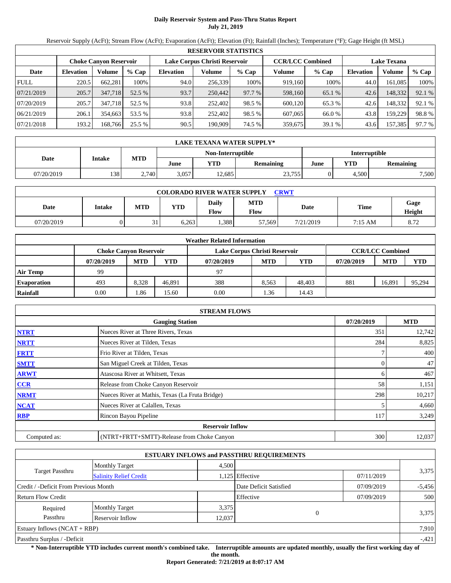# **Daily Reservoir System and Pass-Thru Status Report July 21, 2019**

Reservoir Supply (AcFt); Stream Flow (AcFt); Evaporation (AcFt); Elevation (Ft); Rainfall (Inches); Temperature (°F); Gage Height (ft MSL)

|             | <b>RESERVOIR STATISTICS</b> |                        |         |                  |                               |         |                         |         |                  |                    |        |  |
|-------------|-----------------------------|------------------------|---------|------------------|-------------------------------|---------|-------------------------|---------|------------------|--------------------|--------|--|
|             |                             | Choke Canvon Reservoir |         |                  | Lake Corpus Christi Reservoir |         | <b>CCR/LCC Combined</b> |         |                  | <b>Lake Texana</b> |        |  |
| Date        | <b>Elevation</b>            | Volume                 | $%$ Cap | <b>Elevation</b> | Volume                        | $%$ Cap | Volume                  | $%$ Cap | <b>Elevation</b> | Volume             | % Cap  |  |
| <b>FULL</b> | 220.5                       | 662.281                | 100%    | 94.0             | 256,339                       | 100%    | 919.160                 | 100%    | 44.0             | 161,085            | 100%   |  |
| 07/21/2019  | 205.7                       | 347,718                | 52.5 %  | 93.7             | 250,442                       | 97.7 %  | 598,160                 | 65.1 %  | 42.6             | 148,332            | 92.1 % |  |
| 07/20/2019  | 205.7                       | 347,718                | 52.5 %  | 93.8             | 252,402                       | 98.5 %  | 600.120                 | 65.3 %  | 42.6             | 148,332            | 92.1 % |  |
| 06/21/2019  | 206.1                       | 354,663                | 53.5 %  | 93.8             | 252,402                       | 98.5 %  | 607,065                 | 66.0 %  | 43.8             | 159.229            | 98.8%  |  |
| 07/21/2018  | 193.2                       | 168,766                | 25.5 %  | 90.5             | 190,909                       | 74.5 %  | 359,675                 | 39.1 %  | 43.6             | 157,385            | 97.7 % |  |

|            | LAKE TEXANA WATER SUPPLY* |            |       |                   |                  |                      |                         |       |  |  |
|------------|---------------------------|------------|-------|-------------------|------------------|----------------------|-------------------------|-------|--|--|
|            |                           |            |       | Non-Interruptible |                  | <b>Interruptible</b> |                         |       |  |  |
| Date       | <b>Intake</b>             | <b>MTD</b> | June  | VTD               | <b>Remaining</b> | June                 | YTD<br><b>Remaining</b> |       |  |  |
| 07/20/2019 | 138                       | 2.740      | 3.057 | 2.685             | 23,755           |                      | 4.500                   | 7,500 |  |  |

| <b>COLORADO RIVER WATER SUPPLY</b><br><b>CRWT</b> |        |            |            |                             |                    |           |         |                |  |  |  |
|---------------------------------------------------|--------|------------|------------|-----------------------------|--------------------|-----------|---------|----------------|--|--|--|
| Date                                              | Intake | <b>MTD</b> | <b>YTD</b> | <b>Daily</b><br><b>Flow</b> | <b>MTD</b><br>Flow | Date      | Time    | Gage<br>Height |  |  |  |
| 07/20/2019                                        |        | 21         | 6.263      | .388                        | 57,569             | 7/21/2019 | 7:15 AM | 8.72           |  |  |  |

|                    |                               |            |        | <b>Weather Related Information</b> |            |        |            |                         |            |
|--------------------|-------------------------------|------------|--------|------------------------------------|------------|--------|------------|-------------------------|------------|
|                    | <b>Choke Canvon Reservoir</b> |            |        | Lake Corpus Christi Reservoir      |            |        |            | <b>CCR/LCC Combined</b> |            |
|                    | 07/20/2019                    | <b>MTD</b> | YTD    | 07/20/2019                         | <b>MTD</b> | YTD    | 07/20/2019 | <b>MTD</b>              | <b>YTD</b> |
| <b>Air Temp</b>    | 99                            |            |        | 97                                 |            |        |            |                         |            |
| <b>Evaporation</b> | 493                           | 8.328      | 46.891 | 388                                | 8.563      | 48,403 | 881        | 16.891                  | 95,294     |
| Rainfall           | 0.00                          | . 86       | 15.60  | 0.00                               | .36        | 14.43  |            |                         |            |

|              | <b>STREAM FLOWS</b>                             |            |            |
|--------------|-------------------------------------------------|------------|------------|
|              | <b>Gauging Station</b>                          | 07/20/2019 | <b>MTD</b> |
| <b>NTRT</b>  | Nueces River at Three Rivers, Texas             | 351        | 12,742     |
| <b>NRTT</b>  | Nueces River at Tilden, Texas                   | 284        | 8,825      |
| <b>FRTT</b>  | Frio River at Tilden, Texas                     |            | 400        |
| <b>SMTT</b>  | San Miguel Creek at Tilden, Texas               | 0          | 47         |
| <b>ARWT</b>  | Atascosa River at Whitsett, Texas               | 6          | 467        |
| CCR          | Release from Choke Canyon Reservoir             | 58         | 1,151      |
| <b>NRMT</b>  | Nueces River at Mathis, Texas (La Fruta Bridge) | 298        | 10,217     |
| <b>NCAT</b>  | Nueces River at Calallen, Texas                 |            | 4,660      |
| <b>RBP</b>   | Rincon Bayou Pipeline                           | 117        | 3,249      |
|              | <b>Reservoir Inflow</b>                         |            |            |
| Computed as: | (NTRT+FRTT+SMTT)-Release from Choke Canyon      | 300        | 12,037     |

|                                                  |                       |       | <b>ESTUARY INFLOWS and PASSTHRU REQUIREMENTS</b> |            |          |  |
|--------------------------------------------------|-----------------------|-------|--------------------------------------------------|------------|----------|--|
|                                                  | <b>Monthly Target</b> | 4.500 |                                                  |            |          |  |
| Target Passthru<br><b>Salinity Relief Credit</b> |                       |       | 1,125 Effective                                  | 07/11/2019 | 3,375    |  |
| Credit / -Deficit From Previous Month            |                       |       | Date Deficit Satisfied                           | 07/09/2019 | $-5,456$ |  |
| <b>Return Flow Credit</b>                        |                       |       | Effective                                        | 07/09/2019 | 500      |  |
| Required                                         | <b>Monthly Target</b> | 3,375 |                                                  |            |          |  |
| Passthru<br>Reservoir Inflow                     |                       |       | $\Omega$<br>12,037                               |            | 3,375    |  |
| Estuary Inflows $(NCAT + RBP)$                   |                       |       |                                                  |            | 7,910    |  |
| Passthru Surplus / -Deficit                      |                       |       |                                                  |            | $-421$   |  |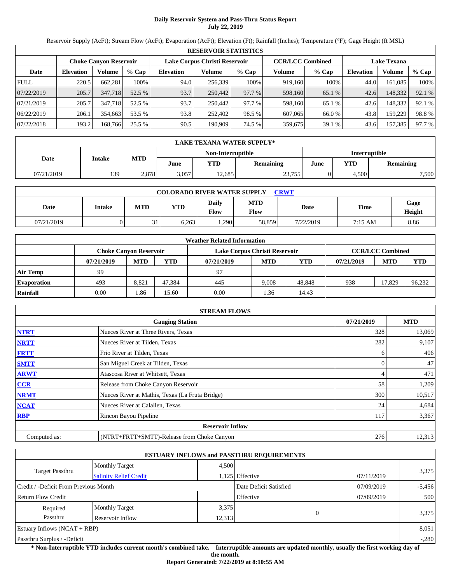# **Daily Reservoir System and Pass-Thru Status Report July 22, 2019**

Reservoir Supply (AcFt); Stream Flow (AcFt); Evaporation (AcFt); Elevation (Ft); Rainfall (Inches); Temperature (°F); Gage Height (ft MSL)

|             | <b>RESERVOIR STATISTICS</b> |                               |         |                               |         |         |                         |         |                    |         |        |  |
|-------------|-----------------------------|-------------------------------|---------|-------------------------------|---------|---------|-------------------------|---------|--------------------|---------|--------|--|
|             |                             | <b>Choke Canvon Reservoir</b> |         | Lake Corpus Christi Reservoir |         |         | <b>CCR/LCC Combined</b> |         | <b>Lake Texana</b> |         |        |  |
| Date        | <b>Elevation</b>            | Volume                        | $%$ Cap | <b>Elevation</b>              | Volume  | $%$ Cap | Volume                  | $%$ Cap | <b>Elevation</b>   | Volume  | % Cap  |  |
| <b>FULL</b> | 220.5                       | 662.281                       | 100%    | 94.0                          | 256,339 | 100%    | 919,160                 | 100%    | 44.0               | 161.085 | 100%   |  |
| 07/22/2019  | 205.7                       | 347,718                       | 52.5 %  | 93.7                          | 250,442 | 97.7 %  | 598,160                 | 65.1 %  | 42.6               | 148,332 | 92.1 % |  |
| 07/21/2019  | 205.7                       | 347,718                       | 52.5 %  | 93.7                          | 250,442 | 97.7 %  | 598,160                 | 65.1 %  | 42.6               | 148,332 | 92.1 % |  |
| 06/22/2019  | 206.1                       | 354,663                       | 53.5 %  | 93.8                          | 252,402 | 98.5 %  | 607,065                 | 66.0 %  | 43.8               | 159.229 | 98.8%  |  |
| 07/22/2018  | 193.2                       | 168.766                       | 25.5 %  | 90.5                          | 190.909 | 74.5 %  | 359,675                 | 39.1 %  | 43.6               | 157,385 | 97.7 % |  |

|            | LAKE TEXANA WATER SUPPLY* |            |       |                   |           |                      |                         |       |  |  |
|------------|---------------------------|------------|-------|-------------------|-----------|----------------------|-------------------------|-------|--|--|
|            |                           |            |       | Non-Interruptible |           | <b>Interruptible</b> |                         |       |  |  |
| Date       | <b>Intake</b>             | <b>MTD</b> | June  | YTD               | Remaining | June                 | YTD<br><b>Remaining</b> |       |  |  |
| 07/21/2019 | 139                       | 2,878      | 3,057 | 2.685             | 23,755    |                      | 4,500                   | 7,500 |  |  |

| <b>COLORADO RIVER WATER SUPPLY</b><br><b>CRWT</b> |        |            |            |                             |                    |           |             |                |  |  |  |
|---------------------------------------------------|--------|------------|------------|-----------------------------|--------------------|-----------|-------------|----------------|--|--|--|
| Date                                              | Intake | <b>MTD</b> | <b>YTD</b> | <b>Daily</b><br><b>Flow</b> | <b>MTD</b><br>Flow | Date      | <b>Time</b> | Gage<br>Height |  |  |  |
| 07/21/2019                                        |        | 21         | 6.263      | .290                        | 58,859             | 7/22/2019 | 7:15 AM     | 8.86           |  |  |  |

|                    |                               |            |        | <b>Weather Related Information</b> |            |            |            |                         |            |
|--------------------|-------------------------------|------------|--------|------------------------------------|------------|------------|------------|-------------------------|------------|
|                    | <b>Choke Canvon Reservoir</b> |            |        | Lake Corpus Christi Reservoir      |            |            |            | <b>CCR/LCC Combined</b> |            |
|                    | 07/21/2019                    | <b>MTD</b> | YTD    | 07/21/2019                         | <b>MTD</b> | <b>YTD</b> | 07/21/2019 | <b>MTD</b>              | <b>YTD</b> |
| <b>Air Temp</b>    | 99                            |            |        | 97                                 |            |            |            |                         |            |
| <b>Evaporation</b> | 493                           | 8,821      | 47.384 | 445                                | 9.008      | 48.848     | 938        | 17.829                  | 96,232     |
| Rainfall           | 0.00                          | . 86       | 15.60  | 0.00                               | .36        | 14.43      |            |                         |            |

|              | <b>STREAM FLOWS</b>                             |            |            |
|--------------|-------------------------------------------------|------------|------------|
|              | <b>Gauging Station</b>                          | 07/21/2019 | <b>MTD</b> |
| <b>NTRT</b>  | Nueces River at Three Rivers, Texas             | 328        | 13,069     |
| <b>NRTT</b>  | Nueces River at Tilden, Texas                   | 282        | 9,107      |
| <b>FRTT</b>  | Frio River at Tilden, Texas                     | h.         | 406        |
| <b>SMTT</b>  | San Miguel Creek at Tilden, Texas               | 0          | 47         |
| <b>ARWT</b>  | Atascosa River at Whitsett, Texas               |            | 471        |
| CCR          | Release from Choke Canyon Reservoir             | 58         | 1,209      |
| <b>NRMT</b>  | Nueces River at Mathis, Texas (La Fruta Bridge) | 300        | 10,517     |
| <b>NCAT</b>  | Nueces River at Calallen, Texas                 | 24         | 4,684      |
| <b>RBP</b>   | Rincon Bayou Pipeline                           | 117        | 3,367      |
|              | <b>Reservoir Inflow</b>                         |            |            |
| Computed as: | (NTRT+FRTT+SMTT)-Release from Choke Canyon      | 276        | 12,313     |

|                                                         |                       |        | <b>ESTUARY INFLOWS and PASSTHRU REQUIREMENTS</b> |            |          |  |
|---------------------------------------------------------|-----------------------|--------|--------------------------------------------------|------------|----------|--|
|                                                         | <b>Monthly Target</b> | 4.500  |                                                  |            |          |  |
| <b>Target Passthru</b><br><b>Salinity Relief Credit</b> |                       |        | 1,125 Effective                                  | 07/11/2019 | 3,375    |  |
| Credit / -Deficit From Previous Month                   |                       |        | Date Deficit Satisfied                           | 07/09/2019 | $-5,456$ |  |
| <b>Return Flow Credit</b>                               |                       |        | Effective                                        | 07/09/2019 | 500      |  |
| Required                                                | <b>Monthly Target</b> | 3,375  |                                                  |            |          |  |
| Passthru                                                | Reservoir Inflow      | 12,313 | $\Omega$                                         |            | 3,375    |  |
| Estuary Inflows $(NCAT + RBP)$                          |                       |        |                                                  |            | 8,051    |  |
| Passthru Surplus / -Deficit                             |                       |        |                                                  |            | $-.280$  |  |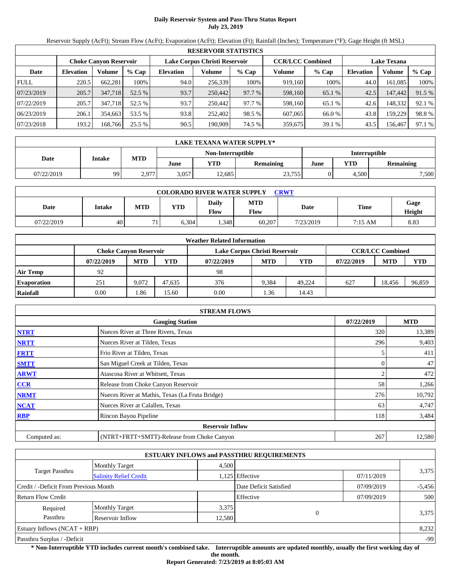### **Daily Reservoir System and Pass-Thru Status Report July 23, 2019**

Reservoir Supply (AcFt); Stream Flow (AcFt); Evaporation (AcFt); Elevation (Ft); Rainfall (Inches); Temperature (°F); Gage Height (ft MSL)

|             | <b>RESERVOIR STATISTICS</b> |                               |         |                               |         |         |                         |         |                    |         |        |  |
|-------------|-----------------------------|-------------------------------|---------|-------------------------------|---------|---------|-------------------------|---------|--------------------|---------|--------|--|
|             |                             | <b>Choke Canyon Reservoir</b> |         | Lake Corpus Christi Reservoir |         |         | <b>CCR/LCC Combined</b> |         | <b>Lake Texana</b> |         |        |  |
| Date        | <b>Elevation</b>            | Volume                        | $%$ Cap | <b>Elevation</b>              | Volume  | $%$ Cap | Volume                  | $%$ Cap | <b>Elevation</b>   | Volume  | % Cap  |  |
| <b>FULL</b> | 220.5                       | 662.281                       | 100%    | 94.0                          | 256,339 | 100%    | 919,160                 | 100%    | 44.0               | 161.085 | 100%   |  |
| 07/23/2019  | 205.7                       | 347,718                       | 52.5 %  | 93.7                          | 250,442 | 97.7 %  | 598,160                 | 65.1 %  | 42.5               | 147,442 | 91.5 % |  |
| 07/22/2019  | 205.7                       | 347,718                       | 52.5 %  | 93.7                          | 250,442 | 97.7 %  | 598,160                 | 65.1 %  | 42.6               | 148.332 | 92.1 % |  |
| 06/23/2019  | 206.1                       | 354.663                       | 53.5 %  | 93.8                          | 252.402 | 98.5 %  | 607,065                 | 66.0 %  | 43.8               | 159.229 | 98.8%  |  |
| 07/23/2018  | 193.2                       | 168,766                       | 25.5 %  | 90.5                          | 190,909 | 74.5 %  | 359,675                 | 39.1 %  | 43.5               | 156,467 | 97.1 % |  |

|            | <b>LAKE TEXANA WATER SUPPLY*</b> |            |       |                   |           |                      |       |                  |  |  |
|------------|----------------------------------|------------|-------|-------------------|-----------|----------------------|-------|------------------|--|--|
|            |                                  |            |       | Non-Interruptible |           | <b>Interruptible</b> |       |                  |  |  |
| Date       | <b>Intake</b>                    | <b>MTD</b> | June  | <b>YTD</b>        | Remaining | YTD<br>June          |       | <b>Remaining</b> |  |  |
| 07/22/2019 | 99                               | 2,977      | 3,057 | 12,685            | 23,755    |                      | 4,500 | 7,500            |  |  |

| <b>COLORADO RIVER WATER SUPPLY</b><br><b>CRWT</b> |        |              |            |                      |                    |           |         |                |  |  |
|---------------------------------------------------|--------|--------------|------------|----------------------|--------------------|-----------|---------|----------------|--|--|
| Date                                              | Intake | <b>MTD</b>   | <b>YTD</b> | Daily<br><b>Flow</b> | <b>MTD</b><br>Flow | Date      | Time    | Gage<br>Height |  |  |
| 07/22/2019                                        | 40     | $\mathbf{r}$ | 6.304      | .348                 | 60.207             | 7/23/2019 | 7:15 AM | 8.83           |  |  |

|                    |                               |            |        | <b>Weather Related Information</b> |            |            |            |                         |            |
|--------------------|-------------------------------|------------|--------|------------------------------------|------------|------------|------------|-------------------------|------------|
|                    | <b>Choke Canyon Reservoir</b> |            |        | Lake Corpus Christi Reservoir      |            |            |            | <b>CCR/LCC Combined</b> |            |
|                    | 07/22/2019                    | <b>MTD</b> | YTD    | 07/22/2019                         | <b>MTD</b> | <b>YTD</b> | 07/22/2019 | <b>MTD</b>              | <b>YTD</b> |
| <b>Air Temp</b>    | 92                            |            |        | 98                                 |            |            |            |                         |            |
| <b>Evaporation</b> | 251                           | 9.072      | 47.635 | 376                                | 9.384      | 49.224     | 627        | 18.456                  | 96,859     |
| Rainfall           | 0.00                          | . 86       | 15.60  | 0.00                               | .36        | 14.43      |            |                         |            |

|              | <b>STREAM FLOWS</b>                             |            |            |
|--------------|-------------------------------------------------|------------|------------|
|              | <b>Gauging Station</b>                          | 07/22/2019 | <b>MTD</b> |
| <b>NTRT</b>  | Nueces River at Three Rivers, Texas             | 320        | 13,389     |
| <b>NRTT</b>  | Nueces River at Tilden, Texas                   | 296        | 9,403      |
| <b>FRTT</b>  | Frio River at Tilden, Texas                     |            | 411        |
| <b>SMTT</b>  | San Miguel Creek at Tilden, Texas               | $\Omega$   | 47         |
| <b>ARWT</b>  | Atascosa River at Whitsett, Texas               |            | 472        |
| CCR          | Release from Choke Canyon Reservoir             | 58         | 1,266      |
| <b>NRMT</b>  | Nueces River at Mathis, Texas (La Fruta Bridge) | 276        | 10,792     |
| <b>NCAT</b>  | Nueces River at Calallen, Texas                 | 63         | 4,747      |
| <b>RBP</b>   | Rincon Bayou Pipeline                           | 118        | 3,484      |
|              | <b>Reservoir Inflow</b>                         |            |            |
| Computed as: | (NTRT+FRTT+SMTT)-Release from Choke Canyon      | 267        | 12,580     |

|                                                  |                       |        | <b>ESTUARY INFLOWS and PASSTHRU REQUIREMENTS</b> |            |          |  |
|--------------------------------------------------|-----------------------|--------|--------------------------------------------------|------------|----------|--|
|                                                  | <b>Monthly Target</b> | 4,500  |                                                  |            |          |  |
| Target Passthru<br><b>Salinity Relief Credit</b> |                       |        | 1,125 Effective                                  | 07/11/2019 | 3,375    |  |
| Credit / -Deficit From Previous Month            |                       |        | Date Deficit Satisfied                           | 07/09/2019 | $-5,456$ |  |
| Return Flow Credit                               |                       |        | Effective                                        | 07/09/2019 | 500      |  |
| Required                                         | <b>Monthly Target</b> | 3,375  |                                                  |            |          |  |
| Passthru                                         | Reservoir Inflow      | 12,580 |                                                  |            | 3,375    |  |
| Estuary Inflows $(NCAT + RBP)$                   |                       |        |                                                  |            | 8,232    |  |
| Passthru Surplus / -Deficit                      |                       |        |                                                  |            | -99      |  |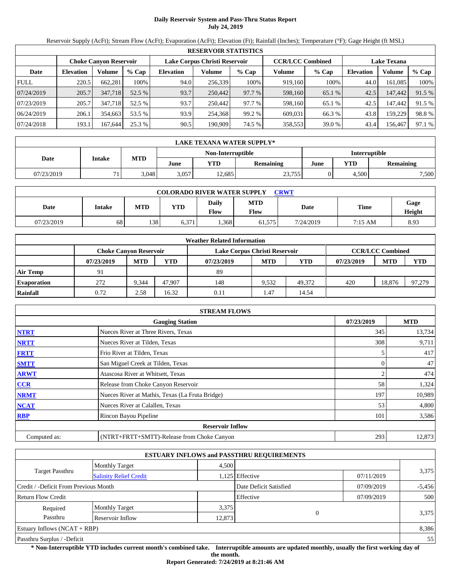# **Daily Reservoir System and Pass-Thru Status Report July 24, 2019**

Reservoir Supply (AcFt); Stream Flow (AcFt); Evaporation (AcFt); Elevation (Ft); Rainfall (Inches); Temperature (°F); Gage Height (ft MSL)

|             | <b>RESERVOIR STATISTICS</b> |                               |         |                  |                               |         |         |                         |                  |                    |        |  |
|-------------|-----------------------------|-------------------------------|---------|------------------|-------------------------------|---------|---------|-------------------------|------------------|--------------------|--------|--|
|             |                             | <b>Choke Canyon Reservoir</b> |         |                  | Lake Corpus Christi Reservoir |         |         | <b>CCR/LCC Combined</b> |                  | <b>Lake Texana</b> |        |  |
| Date        | <b>Elevation</b>            | Volume                        | $%$ Cap | <b>Elevation</b> | Volume                        | $%$ Cap | Volume  | $%$ Cap                 | <b>Elevation</b> | Volume             | % Cap  |  |
| <b>FULL</b> | 220.5                       | 662,281                       | 100%    | 94.0             | 256,339                       | 100%    | 919,160 | 100%                    | 44.0             | 161.085            | 100%   |  |
| 07/24/2019  | 205.7                       | 347,718                       | 52.5 %  | 93.7             | 250,442                       | 97.7 %  | 598,160 | 65.1 %                  | 42.5             | 147,442            | 91.5 % |  |
| 07/23/2019  | 205.7                       | 347.718                       | 52.5 %  | 93.7             | 250,442                       | 97.7 %  | 598,160 | 65.1 %                  | 42.5             | 147.442            | 91.5 % |  |
| 06/24/2019  | 206.1                       | 354,663                       | 53.5 %  | 93.9             | 254,368                       | 99.2 %  | 609,031 | 66.3 %                  | 43.8             | 159.229            | 98.8%  |  |
| 07/24/2018  | 193.1                       | 167.644                       | 25.3 %  | 90.5             | 190.909                       | 74.5 %  | 358,553 | 39.0 %                  | 43.4             | 156,467            | 97.1 % |  |

|            | LAKE TEXANA WATER SUPPLY*           |       |       |                   |        |                      |                  |       |  |  |
|------------|-------------------------------------|-------|-------|-------------------|--------|----------------------|------------------|-------|--|--|
|            |                                     |       |       | Non-Interruptible |        | <b>Interruptible</b> |                  |       |  |  |
| Date       | <b>MTD</b><br><b>Intake</b><br>June |       | YTD   | Remaining         | June   | YTD                  | <b>Remaining</b> |       |  |  |
| 07/23/2019 |                                     | 3.048 | 3,057 | 2.685             | 23,755 |                      | 4,500            | 7,500 |  |  |

| <b>COLORADO RIVER WATER SUPPLY</b><br><b>CRWT</b> |        |            |            |                             |                    |           |         |                |  |  |
|---------------------------------------------------|--------|------------|------------|-----------------------------|--------------------|-----------|---------|----------------|--|--|
| Date                                              | Intake | <b>MTD</b> | <b>YTD</b> | <b>Daily</b><br><b>Flow</b> | <b>MTD</b><br>Flow | Date      | Time    | Gage<br>Height |  |  |
| 07/23/2019                                        | 68     | 138        | 6,371      | .368                        | 61,575             | 7/24/2019 | 7:15 AM | 8.93           |  |  |

|                    |            |                               |        | <b>Weather Related Information</b> |            |            |            |                         |            |
|--------------------|------------|-------------------------------|--------|------------------------------------|------------|------------|------------|-------------------------|------------|
|                    |            | <b>Choke Canvon Reservoir</b> |        | Lake Corpus Christi Reservoir      |            |            |            | <b>CCR/LCC Combined</b> |            |
|                    | 07/23/2019 | <b>MTD</b>                    | YTD    | 07/23/2019                         | <b>MTD</b> | <b>YTD</b> | 07/23/2019 | <b>MTD</b>              | <b>YTD</b> |
| <b>Air Temp</b>    | 91         |                               |        | 89                                 |            |            |            |                         |            |
| <b>Evaporation</b> | 272        | 9.344                         | 47.907 | 148                                | 9.532      | 49.372     | 420        | 18.876                  | 97,279     |
| Rainfall           | 0.72       | 2.58                          | 16.32  | 0.11                               | . 47       | 14.54      |            |                         |            |

|              | <b>STREAM FLOWS</b>                             |            |            |
|--------------|-------------------------------------------------|------------|------------|
|              | <b>Gauging Station</b>                          | 07/23/2019 | <b>MTD</b> |
| <b>NTRT</b>  | Nueces River at Three Rivers, Texas             | 345        | 13,734     |
| <b>NRTT</b>  | Nueces River at Tilden, Texas                   | 308        | 9,711      |
| <b>FRTT</b>  | Frio River at Tilden, Texas                     |            | 417        |
| <b>SMTT</b>  | San Miguel Creek at Tilden, Texas               | 0          | 47         |
| <b>ARWT</b>  | Atascosa River at Whitsett, Texas               |            | 474        |
| CCR          | Release from Choke Canyon Reservoir             | 58         | 1,324      |
| <b>NRMT</b>  | Nueces River at Mathis, Texas (La Fruta Bridge) | 197        | 10,989     |
| <b>NCAT</b>  | Nueces River at Calallen, Texas                 | 53         | 4,800      |
| <b>RBP</b>   | Rincon Bayou Pipeline                           | 101        | 3,586      |
|              | <b>Reservoir Inflow</b>                         |            |            |
| Computed as: | (NTRT+FRTT+SMTT)-Release from Choke Canyon      | 293        | 12,873     |

|                                       |                               |       | <b>ESTUARY INFLOWS and PASSTHRU REQUIREMENTS</b> |            |          |
|---------------------------------------|-------------------------------|-------|--------------------------------------------------|------------|----------|
|                                       | <b>Monthly Target</b>         | 4,500 |                                                  |            |          |
| Target Passthru                       | <b>Salinity Relief Credit</b> |       | 1,125 Effective                                  | 07/11/2019 | 3,375    |
| Credit / -Deficit From Previous Month |                               |       | Date Deficit Satisfied                           | 07/09/2019 | $-5,456$ |
| <b>Return Flow Credit</b>             |                               |       | Effective                                        | 07/09/2019 | 500      |
| Required                              | <b>Monthly Target</b>         | 3,375 |                                                  |            |          |
| Passthru<br>Reservoir Inflow          |                               |       | $\Omega$<br>12,873                               |            | 3,375    |
| Estuary Inflows $(NCAT + RBP)$        |                               |       |                                                  |            | 8,386    |
| Passthru Surplus / -Deficit           |                               |       |                                                  |            | 55       |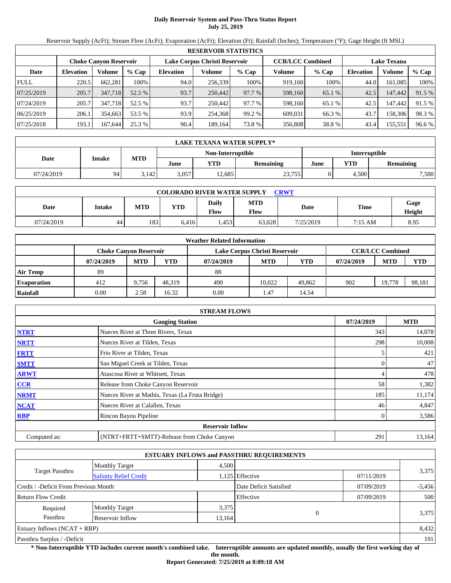# **Daily Reservoir System and Pass-Thru Status Report July 25, 2019**

Reservoir Supply (AcFt); Stream Flow (AcFt); Evaporation (AcFt); Elevation (Ft); Rainfall (Inches); Temperature (°F); Gage Height (ft MSL)

|             | <b>RESERVOIR STATISTICS</b> |         |         |                  |                               |         |                         |         |                    |         |        |  |
|-------------|-----------------------------|---------|---------|------------------|-------------------------------|---------|-------------------------|---------|--------------------|---------|--------|--|
|             | Choke Canvon Reservoir      |         |         |                  | Lake Corpus Christi Reservoir |         | <b>CCR/LCC Combined</b> |         | <b>Lake Texana</b> |         |        |  |
| Date        | <b>Elevation</b>            | Volume  | $%$ Cap | <b>Elevation</b> | Volume                        | $%$ Cap | Volume                  | $%$ Cap | Elevation          | Volume  | % Cap  |  |
| <b>FULL</b> | 220.5                       | 662,281 | 100%    | 94.0             | 256,339                       | 100%    | 919.160                 | 100%    | 44.0               | 161,085 | 100%   |  |
| 07/25/2019  | 205.7                       | 347,718 | 52.5 %  | 93.7             | 250,442                       | 97.7 %  | 598,160                 | 65.1 %  | 42.5               | 147,442 | 91.5 % |  |
| 07/24/2019  | 205.7                       | 347.718 | 52.5 %  | 93.7             | 250,442                       | 97.7 %  | 598,160                 | 65.1 %  | 42.5               | 147.442 | 91.5 % |  |
| 06/25/2019  | 206.1                       | 354,663 | 53.5 %  | 93.9             | 254,368                       | 99.2 %  | 609.031                 | 66.3 %  | 43.7               | 158,306 | 98.3%  |  |
| 07/25/2018  | 193.1                       | 167.644 | 25.3 %  | 90.4             | 189.164                       | 73.8%   | 356,808                 | 38.8%   | 43.4               | 155,551 | 96.6 % |  |

|            | LAKE TEXANA WATER SUPPLY* |            |       |                   |                      |      |       |                  |  |  |
|------------|---------------------------|------------|-------|-------------------|----------------------|------|-------|------------------|--|--|
|            |                           |            |       | Non-Interruptible | <b>Interruptible</b> |      |       |                  |  |  |
| Date       | <b>Intake</b>             | <b>MTD</b> | June  | YTD               | Remaining            | June | YTD   | <b>Remaining</b> |  |  |
| 07/24/2019 | 94                        | 3,142      | 3,057 | 2.685             | 23,755               |      | 4,500 | 7,500            |  |  |

| <b>COLORADO RIVER WATER SUPPLY</b><br><b>CRWT</b> |        |            |            |                      |                    |           |         |                |  |  |  |
|---------------------------------------------------|--------|------------|------------|----------------------|--------------------|-----------|---------|----------------|--|--|--|
| Date                                              | Intake | <b>MTD</b> | <b>YTD</b> | Daily<br><b>Flow</b> | <b>MTD</b><br>Flow | Date      | Time    | Gage<br>Height |  |  |  |
| 07/24/2019                                        | 44     | 183        | 6.416      | .453                 | 63.028             | 7/25/2019 | 7:15 AM | 8.95           |  |  |  |

|                    |                               |            |        | <b>Weather Related Information</b> |                               |            |            |                         |            |
|--------------------|-------------------------------|------------|--------|------------------------------------|-------------------------------|------------|------------|-------------------------|------------|
|                    | <b>Choke Canvon Reservoir</b> |            |        |                                    | Lake Corpus Christi Reservoir |            |            | <b>CCR/LCC Combined</b> |            |
|                    | 07/24/2019                    | <b>MTD</b> | YTD    | 07/24/2019                         | <b>MTD</b>                    | <b>YTD</b> | 07/24/2019 | <b>MTD</b>              | <b>YTD</b> |
| <b>Air Temp</b>    | 89                            |            |        | 88                                 |                               |            |            |                         |            |
| <b>Evaporation</b> | 412                           | 9.756      | 48.319 | 490                                | 10.022                        | 49,862     | 902        | 19.778                  | 98,181     |
| Rainfall           | 0.00                          | 2.58       | 16.32  | 0.00                               | 1.47                          | 14.54      |            |                         |            |

|              | <b>STREAM FLOWS</b>                             |            |        |
|--------------|-------------------------------------------------|------------|--------|
|              | 07/24/2019                                      | <b>MTD</b> |        |
| <b>NTRT</b>  | Nueces River at Three Rivers, Texas             | 343        | 14,078 |
| <b>NRTT</b>  | Nueces River at Tilden, Texas                   | 298        | 10,008 |
| <b>FRTT</b>  | Frio River at Tilden, Texas                     |            | 421    |
| <b>SMTT</b>  | San Miguel Creek at Tilden, Texas               |            | 47     |
| <b>ARWT</b>  | Atascosa River at Whitsett, Texas               |            | 478    |
| <b>CCR</b>   | Release from Choke Canyon Reservoir             | 58         | 1,382  |
| <b>NRMT</b>  | Nueces River at Mathis, Texas (La Fruta Bridge) | 185        | 11,174 |
| <b>NCAT</b>  | Nueces River at Calallen, Texas                 | 46         | 4,847  |
| <b>RBP</b>   | Rincon Bayou Pipeline                           |            | 3,586  |
|              | <b>Reservoir Inflow</b>                         |            |        |
| Computed as: | (NTRT+FRTT+SMTT)-Release from Choke Canyon      | 291        | 13,164 |

|                                       |                               |        | <b>ESTUARY INFLOWS and PASSTHRU REQUIREMENTS</b> |            |          |
|---------------------------------------|-------------------------------|--------|--------------------------------------------------|------------|----------|
|                                       | <b>Monthly Target</b>         | 4,500  |                                                  |            |          |
| Target Passthru                       | <b>Salinity Relief Credit</b> |        | 1,125 Effective                                  | 07/11/2019 | 3,375    |
| Credit / -Deficit From Previous Month |                               |        | Date Deficit Satisfied                           | 07/09/2019 | $-5,456$ |
| <b>Return Flow Credit</b>             |                               |        | Effective                                        | 07/09/2019 | 500      |
| Required                              | <b>Monthly Target</b>         | 3,375  |                                                  |            |          |
| Passthru                              | Reservoir Inflow              | 13,164 | $\Omega$                                         |            | 3,375    |
| Estuary Inflows $(NCAT + RBP)$        |                               |        |                                                  |            | 8,432    |
| Passthru Surplus / -Deficit           |                               |        |                                                  |            | 101      |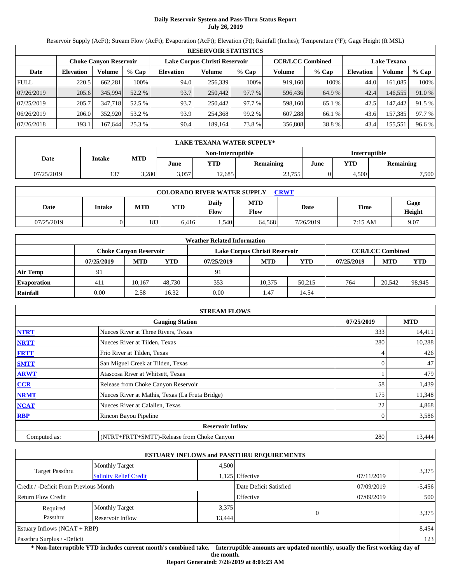# **Daily Reservoir System and Pass-Thru Status Report July 26, 2019**

Reservoir Supply (AcFt); Stream Flow (AcFt); Evaporation (AcFt); Elevation (Ft); Rainfall (Inches); Temperature (°F); Gage Height (ft MSL)

|             | <b>RESERVOIR STATISTICS</b>   |         |         |                               |         |         |                         |         |                    |         |        |
|-------------|-------------------------------|---------|---------|-------------------------------|---------|---------|-------------------------|---------|--------------------|---------|--------|
|             | <b>Choke Canvon Reservoir</b> |         |         | Lake Corpus Christi Reservoir |         |         | <b>CCR/LCC Combined</b> |         | <b>Lake Texana</b> |         |        |
| Date        | <b>Elevation</b>              | Volume  | $%$ Cap | <b>Elevation</b>              | Volume  | $%$ Cap | Volume                  | $%$ Cap | <b>Elevation</b>   | Volume  | % Cap  |
| <b>FULL</b> | 220.5                         | 662,281 | 100%    | 94.0                          | 256.339 | 100%    | 919,160                 | 100%    | 44.0               | 161.085 | 100%   |
| 07/26/2019  | 205.6                         | 345,994 | 52.2 %  | 93.7                          | 250,442 | 97.7 %  | 596,436                 | 64.9 %  | 42.4               | 146,555 | 91.0 % |
| 07/25/2019  | 205.7                         | 347,718 | 52.5 %  | 93.7                          | 250,442 | 97.7 %  | 598,160                 | 65.1 %  | 42.5               | 147.442 | 91.5 % |
| 06/26/2019  | 206.0                         | 352,920 | 53.2 %  | 93.9                          | 254.368 | 99.2 %  | 607.288                 | 66.1 %  | 43.6               | 157,385 | 97.7 % |
| 07/26/2018  | 193.1                         | 167.644 | 25.3 %  | 90.4                          | 189.164 | 73.8%   | 356,808                 | 38.8%   | 43.4               | 155,551 | 96.6 % |

|            | LAKE TEXANA WATER SUPPLY* |            |       |                   |                  |                      |       |                  |  |  |
|------------|---------------------------|------------|-------|-------------------|------------------|----------------------|-------|------------------|--|--|
|            |                           |            |       | Non-Interruptible |                  | <b>Interruptible</b> |       |                  |  |  |
| Date       | Intake                    | <b>MTD</b> | June  | YTD               | <b>Remaining</b> | June                 | YTD   | <b>Remaining</b> |  |  |
| 07/25/2019 | 137                       | 3,280      | 3,057 | 12,685            | 23,755           |                      | 4,500 | 7,500            |  |  |

| <b>COLORADO RIVER WATER SUPPLY</b><br><b>CRWT</b> |        |            |            |                      |                    |           |         |                |  |  |  |
|---------------------------------------------------|--------|------------|------------|----------------------|--------------------|-----------|---------|----------------|--|--|--|
| Date                                              | Intake | <b>MTD</b> | <b>YTD</b> | Daily<br><b>Flow</b> | <b>MTD</b><br>Flow | Date      | Time    | Gage<br>Height |  |  |  |
| 07/25/2019                                        |        | 183        | 6.416      | .540                 | 64.568             | 7/26/2019 | 7:15 AM | 9.07           |  |  |  |

|                    |            |                               |            | <b>Weather Related Information</b> |                               |            |            |                         |            |
|--------------------|------------|-------------------------------|------------|------------------------------------|-------------------------------|------------|------------|-------------------------|------------|
|                    |            | <b>Choke Canvon Reservoir</b> |            |                                    | Lake Corpus Christi Reservoir |            |            | <b>CCR/LCC Combined</b> |            |
|                    | 07/25/2019 | <b>MTD</b>                    | <b>YTD</b> | 07/25/2019                         | <b>MTD</b>                    | <b>YTD</b> | 07/25/2019 | <b>MTD</b>              | <b>YTD</b> |
| <b>Air Temp</b>    | 91         |                               |            | 91                                 |                               |            |            |                         |            |
| <b>Evaporation</b> | 411        | 10.167                        | 48.730     | 353                                | 10.375                        | 50.215     | 764        | 20.542                  | 98,945     |
| Rainfall           | 0.00       | 2.58                          | 16.32      | 0.00                               | 1.47                          | 14.54      |            |                         |            |

|              | <b>STREAM FLOWS</b>                             |            |        |
|--------------|-------------------------------------------------|------------|--------|
|              | 07/25/2019                                      | <b>MTD</b> |        |
| <b>NTRT</b>  | Nueces River at Three Rivers, Texas             | 333        | 14,411 |
| <b>NRTT</b>  | Nueces River at Tilden, Texas                   | 280        | 10,288 |
| <b>FRTT</b>  | Frio River at Tilden, Texas                     |            | 426    |
| <b>SMTT</b>  | San Miguel Creek at Tilden, Texas               |            | 47     |
| <b>ARWT</b>  | Atascosa River at Whitsett, Texas               |            | 479    |
| <b>CCR</b>   | Release from Choke Canyon Reservoir             | 58         | 1,439  |
| <b>NRMT</b>  | Nueces River at Mathis, Texas (La Fruta Bridge) | 175        | 11,348 |
| <b>NCAT</b>  | Nueces River at Calallen, Texas                 | 22         | 4,868  |
| <b>RBP</b>   | Rincon Bayou Pipeline                           |            | 3,586  |
|              | <b>Reservoir Inflow</b>                         |            |        |
| Computed as: | (NTRT+FRTT+SMTT)-Release from Choke Canyon      | 280        | 13,444 |

|                                       |                               |        | <b>ESTUARY INFLOWS and PASSTHRU REQUIREMENTS</b> |            |          |
|---------------------------------------|-------------------------------|--------|--------------------------------------------------|------------|----------|
|                                       | <b>Monthly Target</b>         | 4,500  |                                                  |            |          |
| Target Passthru                       | <b>Salinity Relief Credit</b> |        | 1,125 Effective                                  | 07/11/2019 | 3,375    |
| Credit / -Deficit From Previous Month |                               |        | Date Deficit Satisfied                           | 07/09/2019 | $-5,456$ |
| <b>Return Flow Credit</b>             |                               |        | Effective                                        | 07/09/2019 | 500      |
| Required                              | <b>Monthly Target</b>         | 3,375  |                                                  |            |          |
| Passthru                              | <b>Reservoir Inflow</b>       | 13,444 | $\Omega$                                         |            | 3,375    |
| Estuary Inflows $(NCAT + RBP)$        |                               |        |                                                  |            | 8,454    |
| Passthru Surplus / -Deficit           |                               |        |                                                  |            | 123      |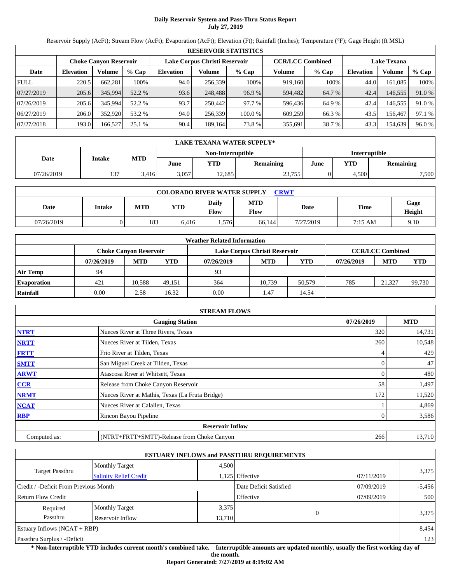# **Daily Reservoir System and Pass-Thru Status Report July 27, 2019**

Reservoir Supply (AcFt); Stream Flow (AcFt); Evaporation (AcFt); Elevation (Ft); Rainfall (Inches); Temperature (°F); Gage Height (ft MSL)

|             | <b>RESERVOIR STATISTICS</b> |                               |         |                  |                               |         |                         |         |                  |                    |        |  |
|-------------|-----------------------------|-------------------------------|---------|------------------|-------------------------------|---------|-------------------------|---------|------------------|--------------------|--------|--|
|             |                             | <b>Choke Canyon Reservoir</b> |         |                  | Lake Corpus Christi Reservoir |         | <b>CCR/LCC Combined</b> |         |                  | <b>Lake Texana</b> |        |  |
| Date        | <b>Elevation</b>            | Volume                        | $%$ Cap | <b>Elevation</b> | Volume                        | $%$ Cap | Volume                  | $%$ Cap | <b>Elevation</b> | Volume             | % Cap  |  |
| <b>FULL</b> | 220.5                       | 662,281                       | 100%    | 94.0             | 256,339                       | 100%    | 919.160                 | 100%    | 44.0             | 161,085            | 100%   |  |
| 07/27/2019  | 205.6                       | 345,994                       | 52.2 %  | 93.6             | 248,488                       | 96.9 %  | 594.482                 | 64.7 %  | 42.4             | 146,555            | 91.0 % |  |
| 07/26/2019  | 205.6                       | 345.994                       | 52.2 %  | 93.7             | 250,442                       | 97.7 %  | 596,436                 | 64.9%   | 42.4             | 146,555            | 91.0 % |  |
| 06/27/2019  | 206.0                       | 352,920                       | 53.2 %  | 94.0             | 256.339                       | 100.0 % | 609,259                 | 66.3 %  | 43.5             | 156.467            | 97.1 % |  |
| 07/27/2018  | 193.0                       | 166,527                       | 25.1%   | 90.4             | 189.164                       | 73.8%   | 355,691                 | 38.7 %  | 43.3             | 154,639            | 96.0%  |  |

|            | LAKE TEXANA WATER SUPPLY* |            |       |                   |           |                      |       |                  |  |  |  |
|------------|---------------------------|------------|-------|-------------------|-----------|----------------------|-------|------------------|--|--|--|
|            | <b>Intake</b>             |            |       | Non-Interruptible |           | <b>Interruptible</b> |       |                  |  |  |  |
| Date       |                           | <b>MTD</b> | June  | YTD               | Remaining | June                 | YTD   | <b>Remaining</b> |  |  |  |
| 07/26/2019 | 127.                      | 3,416      | 3,057 | 2.685             | 23,755    |                      | 4,500 | 7,500            |  |  |  |

| <b>COLORADO RIVER WATER SUPPLY</b><br><b>CRWT</b> |        |            |            |                             |                    |           |             |                |  |  |
|---------------------------------------------------|--------|------------|------------|-----------------------------|--------------------|-----------|-------------|----------------|--|--|
| Date                                              | Intake | <b>MTD</b> | <b>YTD</b> | <b>Daily</b><br><b>Flow</b> | <b>MTD</b><br>Flow | Date      | <b>Time</b> | Gage<br>Height |  |  |
| 07/26/2019                                        |        | 183        | 6.416      | .576                        | 66.144             | 7/27/2019 | 7:15 AM     | 9.10           |  |  |

|                    |            |                        |        | <b>Weather Related Information</b> |                               |            |            |                         |            |
|--------------------|------------|------------------------|--------|------------------------------------|-------------------------------|------------|------------|-------------------------|------------|
|                    |            | Choke Canvon Reservoir |        |                                    | Lake Corpus Christi Reservoir |            |            | <b>CCR/LCC Combined</b> |            |
|                    | 07/26/2019 | <b>MTD</b>             | YTD    | 07/26/2019                         | <b>MTD</b>                    | <b>YTD</b> | 07/26/2019 | <b>MTD</b>              | <b>YTD</b> |
| <b>Air Temp</b>    | 94         |                        |        | 93                                 |                               |            |            |                         |            |
| <b>Evaporation</b> | 421        | 10.588                 | 49.151 | 364                                | 10.739                        | 50,579     | 785        | 21.327                  | 99,730     |
| Rainfall           | 0.00       | 2.58                   | 16.32  | 0.00                               | 1.47                          | 14.54      |            |                         |            |

|              | <b>STREAM FLOWS</b>                             |            |            |
|--------------|-------------------------------------------------|------------|------------|
|              | <b>Gauging Station</b>                          | 07/26/2019 | <b>MTD</b> |
| <b>NTRT</b>  | Nueces River at Three Rivers, Texas             | 320        | 14,731     |
| <b>NRTT</b>  | Nueces River at Tilden, Texas                   | 260        | 10,548     |
| <b>FRTT</b>  | Frio River at Tilden, Texas                     |            | 429        |
| <b>SMTT</b>  | San Miguel Creek at Tilden, Texas               |            | 47         |
| <b>ARWT</b>  | Atascosa River at Whitsett, Texas               |            | 480        |
| <b>CCR</b>   | Release from Choke Canyon Reservoir             | 58         | 1,497      |
| <b>NRMT</b>  | Nueces River at Mathis, Texas (La Fruta Bridge) | 172        | 11,520     |
| <b>NCAT</b>  | Nueces River at Calallen, Texas                 |            | 4,869      |
| <b>RBP</b>   | Rincon Bayou Pipeline                           |            | 3,586      |
|              | <b>Reservoir Inflow</b>                         |            |            |
| Computed as: | (NTRT+FRTT+SMTT)-Release from Choke Canyon      | 266        | 13,710     |

|                                       |                               |                        | <b>ESTUARY INFLOWS and PASSTHRU REQUIREMENTS</b> |            |       |  |
|---------------------------------------|-------------------------------|------------------------|--------------------------------------------------|------------|-------|--|
|                                       | <b>Monthly Target</b>         | 4.500                  |                                                  |            |       |  |
| <b>Target Passthru</b>                | <b>Salinity Relief Credit</b> |                        | 1,125 Effective                                  | 07/11/2019 | 3,375 |  |
| Credit / -Deficit From Previous Month |                               | Date Deficit Satisfied | 07/09/2019                                       | $-5,456$   |       |  |
| <b>Return Flow Credit</b>             |                               |                        | Effective                                        | 07/09/2019 | 500   |  |
| Required                              | <b>Monthly Target</b>         | 3,375                  |                                                  |            |       |  |
| Passthru<br>Reservoir Inflow          |                               |                        | $\Omega$<br>13,710                               |            | 3,375 |  |
| Estuary Inflows $(NCAT + RBP)$        |                               |                        |                                                  |            | 8,454 |  |
| Passthru Surplus / -Deficit           |                               |                        |                                                  |            | 123   |  |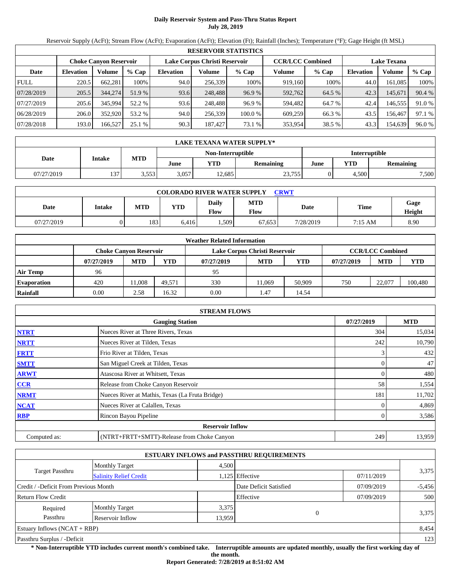### **Daily Reservoir System and Pass-Thru Status Report July 28, 2019**

Reservoir Supply (AcFt); Stream Flow (AcFt); Evaporation (AcFt); Elevation (Ft); Rainfall (Inches); Temperature (°F); Gage Height (ft MSL)

|             | <b>RESERVOIR STATISTICS</b> |                               |         |                               |         |         |                         |         |                    |         |        |  |
|-------------|-----------------------------|-------------------------------|---------|-------------------------------|---------|---------|-------------------------|---------|--------------------|---------|--------|--|
|             |                             | <b>Choke Canyon Reservoir</b> |         | Lake Corpus Christi Reservoir |         |         | <b>CCR/LCC Combined</b> |         | <b>Lake Texana</b> |         |        |  |
| Date        | <b>Elevation</b>            | Volume                        | $%$ Cap | <b>Elevation</b>              | Volume  | $%$ Cap | Volume                  | $%$ Cap | <b>Elevation</b>   | Volume  | % Cap  |  |
| <b>FULL</b> | 220.5                       | 662,281                       | 100%    | 94.0                          | 256,339 | 100%    | 919.160                 | 100%    | 44.0               | 161,085 | 100%   |  |
| 07/28/2019  | 205.5                       | 344,274                       | 51.9 %  | 93.6                          | 248,488 | 96.9%   | 592,762                 | 64.5 %  | 42.3               | 145.671 | 90.4 % |  |
| 07/27/2019  | 205.6                       | 345.994                       | 52.2 %  | 93.6                          | 248.488 | 96.9%   | 594.482                 | 64.7 %  | 42.4               | 146,555 | 91.0 % |  |
| 06/28/2019  | 206.0                       | 352,920                       | 53.2 %  | 94.0                          | 256.339 | 100.0 % | 609,259                 | 66.3 %  | 43.5               | 156.467 | 97.1 % |  |
| 07/28/2018  | 193.0                       | 166,527                       | 25.1%   | 90.3                          | 187,427 | 73.1 %  | 353,954                 | 38.5 %  | 43.3               | 154,639 | 96.0%  |  |

|            | LAKE TEXANA WATER SUPPLY* |            |       |                   |           |                      |       |                  |  |  |  |
|------------|---------------------------|------------|-------|-------------------|-----------|----------------------|-------|------------------|--|--|--|
|            |                           |            |       | Non-Interruptible |           | <b>Interruptible</b> |       |                  |  |  |  |
| Date       | <b>Intake</b>             | <b>MTD</b> | June  | <b>VTD</b>        | Remaining | YTD<br>June          |       | <b>Remaining</b> |  |  |  |
| 07/27/2019 | 127.                      | 3,553      | 3.057 | 12.685            | 23,755    |                      | 4.500 | 7,500            |  |  |  |

| <b>COLORADO RIVER WATER SUPPLY</b><br><b>CRWT</b> |        |            |            |                             |                    |           |             |                |  |  |
|---------------------------------------------------|--------|------------|------------|-----------------------------|--------------------|-----------|-------------|----------------|--|--|
| Date                                              | Intake | <b>MTD</b> | <b>YTD</b> | <b>Daily</b><br><b>Flow</b> | <b>MTD</b><br>Flow | Date      | <b>Time</b> | Gage<br>Height |  |  |
| 07/27/2019                                        |        | 183        | 6,416      | .509                        | 67.653             | 7/28/2019 | 7:15 AM     | 8.90           |  |  |

|                    |            |                        |        | <b>Weather Related Information</b> |                               |        |            |                         |         |
|--------------------|------------|------------------------|--------|------------------------------------|-------------------------------|--------|------------|-------------------------|---------|
|                    |            | Choke Canvon Reservoir |        |                                    | Lake Corpus Christi Reservoir |        |            | <b>CCR/LCC Combined</b> |         |
|                    | 07/27/2019 | <b>MTD</b>             | YTD    | 07/27/2019                         | <b>MTD</b>                    | YTD    | 07/27/2019 | <b>MTD</b>              | YTD     |
| Air Temp           | 96         |                        |        | 95                                 |                               |        |            |                         |         |
| <b>Evaporation</b> | 420        | 1.008                  | 49.571 | 330                                | 11.069                        | 50,909 | 750        | 22,077                  | 100,480 |
| Rainfall           | 0.00       | 2.58                   | 16.32  | 0.00                               | 1.47                          | 14.54  |            |                         |         |

|              | <b>STREAM FLOWS</b>                             |            |               |
|--------------|-------------------------------------------------|------------|---------------|
|              | <b>Gauging Station</b>                          | 07/27/2019 | <b>MTD</b>    |
| <b>NTRT</b>  | Nueces River at Three Rivers, Texas             |            | 304<br>15,034 |
| <b>NRTT</b>  | Nueces River at Tilden, Texas                   |            | 242<br>10,790 |
| <b>FRTT</b>  | Frio River at Tilden, Texas                     |            | 432           |
| <b>SMTT</b>  | San Miguel Creek at Tilden, Texas               |            | 47            |
| <b>ARWT</b>  | Atascosa River at Whitsett, Texas               |            | 480           |
| <b>CCR</b>   | Release from Choke Canyon Reservoir             |            | 58<br>1,554   |
| <b>NRMT</b>  | Nueces River at Mathis, Texas (La Fruta Bridge) |            | 11,702<br>181 |
| <b>NCAT</b>  | Nueces River at Calallen, Texas                 |            | 4,869         |
| <b>RBP</b>   | Rincon Bayou Pipeline                           |            | 3,586         |
|              | <b>Reservoir Inflow</b>                         |            |               |
| Computed as: | (NTRT+FRTT+SMTT)-Release from Choke Canyon      |            | 249<br>13,959 |

|                                                         |                       |        | <b>ESTUARY INFLOWS and PASSTHRU REQUIREMENTS</b> |            |          |
|---------------------------------------------------------|-----------------------|--------|--------------------------------------------------|------------|----------|
|                                                         | <b>Monthly Target</b> | 4.500  |                                                  |            |          |
| <b>Target Passthru</b><br><b>Salinity Relief Credit</b> |                       |        | 1,125 Effective                                  | 07/11/2019 | 3,375    |
| Credit / -Deficit From Previous Month                   |                       |        | Date Deficit Satisfied                           | 07/09/2019 | $-5,456$ |
| <b>Return Flow Credit</b>                               |                       |        | Effective                                        | 07/09/2019 | 500      |
| Required                                                | <b>Monthly Target</b> | 3,375  |                                                  |            |          |
| Passthru                                                | Reservoir Inflow      | 13,959 | $\Omega$                                         |            | 3,375    |
| Estuary Inflows $(NCAT + RBP)$                          |                       |        |                                                  |            | 8,454    |
| Passthru Surplus / -Deficit                             |                       |        |                                                  |            | 123      |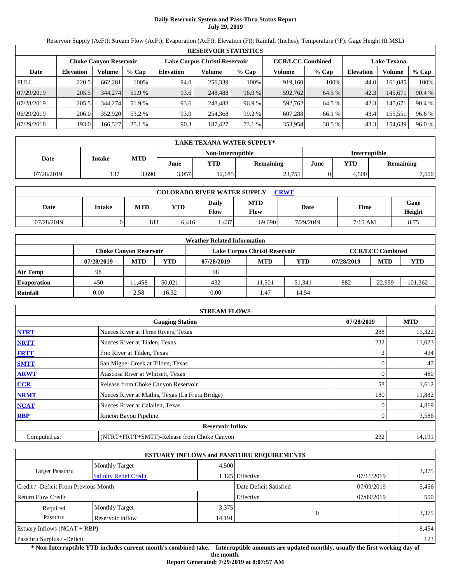### **Daily Reservoir System and Pass-Thru Status Report July 29, 2019**

Reservoir Supply (AcFt); Stream Flow (AcFt); Evaporation (AcFt); Elevation (Ft); Rainfall (Inches); Temperature (°F); Gage Height (ft MSL)

|             | <b>RESERVOIR STATISTICS</b> |                        |         |                  |                               |         |                         |         |                  |                    |        |  |
|-------------|-----------------------------|------------------------|---------|------------------|-------------------------------|---------|-------------------------|---------|------------------|--------------------|--------|--|
|             |                             | Choke Canvon Reservoir |         |                  | Lake Corpus Christi Reservoir |         | <b>CCR/LCC Combined</b> |         |                  | <b>Lake Texana</b> |        |  |
| Date        | <b>Elevation</b>            | Volume                 | $%$ Cap | <b>Elevation</b> | Volume                        | $%$ Cap | Volume                  | $%$ Cap | <b>Elevation</b> | Volume             | % Cap  |  |
| <b>FULL</b> | 220.5                       | 662,281                | 100%    | 94.0             | 256,339                       | 100%    | 919.160                 | 100%    | 44.0             | 161,085            | 100%   |  |
| 07/29/2019  | 205.5                       | 344,274                | 51.9 %  | 93.6             | 248,488                       | 96.9%   | 592.762                 | 64.5 %  | 42.3             | 145.671            | 90.4 % |  |
| 07/28/2019  | 205.5                       | 344,274                | 51.9 %  | 93.6             | 248.488                       | 96.9%   | 592.762                 | 64.5 %  | 42.3             | 145.671            | 90.4 % |  |
| 06/29/2019  | 206.0                       | 352,920                | 53.2 %  | 93.9             | 254.368                       | 99.2 %  | 607.288                 | 66.1 %  | 43.4             | 155,551            | 96.6 % |  |
| 07/29/2018  | 193.0                       | 166,527                | 25.1%   | 90.3             | 187.427                       | 73.1 %  | 353,954                 | 38.5 %  | 43.3             | 154,639            | 96.0%  |  |

|            | LAKE TEXANA WATER SUPPLY* |            |       |                   |           |                      |       |                  |  |  |  |
|------------|---------------------------|------------|-------|-------------------|-----------|----------------------|-------|------------------|--|--|--|
|            |                           |            |       | Non-Interruptible |           | <b>Interruptible</b> |       |                  |  |  |  |
| Date       | <b>Intake</b>             | <b>MTD</b> | June  | YTD               | Remaining | June                 | YTD   | <b>Remaining</b> |  |  |  |
| 07/28/2019 | 137                       | 3,690      | 3,057 | 2.685             | 23,755    |                      | 4,500 | 7,500            |  |  |  |

| <b>COLORADO RIVER WATER SUPPLY</b><br>CRWT |        |            |            |                      |                    |           |         |                |  |  |  |
|--------------------------------------------|--------|------------|------------|----------------------|--------------------|-----------|---------|----------------|--|--|--|
| Date                                       | Intake | <b>MTD</b> | <b>YTD</b> | Daily<br><b>Flow</b> | <b>MTD</b><br>Flow | Date      | Time    | Gage<br>Height |  |  |  |
| 07/28/2019                                 |        | 183        | 6.416      | .437                 | 69.090             | 7/29/2019 | 7:15 AM | 8.75           |  |  |  |

|                    |            |                        |        | <b>Weather Related Information</b> |                               |        |            |                         |         |
|--------------------|------------|------------------------|--------|------------------------------------|-------------------------------|--------|------------|-------------------------|---------|
|                    |            | Choke Canvon Reservoir |        |                                    | Lake Corpus Christi Reservoir |        |            | <b>CCR/LCC Combined</b> |         |
|                    | 07/28/2019 | <b>MTD</b>             | YTD    | 07/28/2019                         | <b>MTD</b>                    | YTD    | 07/28/2019 | <b>MTD</b>              | YTD     |
| Air Temp           | 98         |                        |        | 98                                 |                               |        |            |                         |         |
| <b>Evaporation</b> | 450        | 1.458                  | 50.021 | 432                                | 11.501                        | 51.341 | 882        | 22.959                  | 101,362 |
| Rainfall           | 0.00       | 2.58                   | 16.32  | 0.00                               | 1.47                          | 14.54  |            |                         |         |

|              | <b>STREAM FLOWS</b>                             |            |            |
|--------------|-------------------------------------------------|------------|------------|
|              | <b>Gauging Station</b>                          | 07/28/2019 | <b>MTD</b> |
| <b>NTRT</b>  | Nueces River at Three Rivers, Texas             | 288        | 15,322     |
| <b>NRTT</b>  | Nueces River at Tilden, Texas                   | 232        | 11,023     |
| <b>FRTT</b>  | Frio River at Tilden, Texas                     |            | 434        |
| <b>SMTT</b>  | San Miguel Creek at Tilden, Texas               |            | 47         |
| <b>ARWT</b>  | Atascosa River at Whitsett, Texas               |            | 480        |
| CCR          | Release from Choke Canyon Reservoir             | 58         | 1,612      |
| <b>NRMT</b>  | Nueces River at Mathis, Texas (La Fruta Bridge) | 180        | 11,882     |
| <b>NCAT</b>  | Nueces River at Calallen, Texas                 |            | 4,869      |
| <b>RBP</b>   | Rincon Bayou Pipeline                           |            | 3,586      |
|              | <b>Reservoir Inflow</b>                         |            |            |
| Computed as: | (NTRT+FRTT+SMTT)-Release from Choke Canyon      | 232        | 14,191     |

|                                                         |                       |        | <b>ESTUARY INFLOWS and PASSTHRU REQUIREMENTS</b> |            |          |
|---------------------------------------------------------|-----------------------|--------|--------------------------------------------------|------------|----------|
|                                                         | <b>Monthly Target</b> | 4,500  |                                                  |            |          |
| <b>Target Passthru</b><br><b>Salinity Relief Credit</b> |                       |        | 1,125 Effective                                  | 07/11/2019 | 3,375    |
| Credit / -Deficit From Previous Month                   |                       |        | Date Deficit Satisfied                           | 07/09/2019 | $-5,456$ |
| <b>Return Flow Credit</b>                               |                       |        | Effective                                        | 07/09/2019 | 500      |
| Required                                                | <b>Monthly Target</b> | 3,375  |                                                  |            |          |
| Passthru                                                | Reservoir Inflow      | 14,191 |                                                  |            | 3,375    |
| Estuary Inflows $(NCAT + RBP)$                          |                       |        |                                                  |            | 8,454    |
| Passthru Surplus / -Deficit                             |                       |        |                                                  |            | 123      |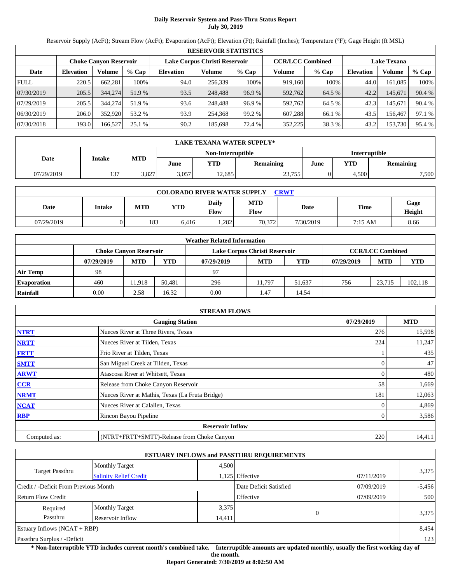### **Daily Reservoir System and Pass-Thru Status Report July 30, 2019**

Reservoir Supply (AcFt); Stream Flow (AcFt); Evaporation (AcFt); Elevation (Ft); Rainfall (Inches); Temperature (°F); Gage Height (ft MSL)

|             |                  |                               |         |                  | <b>RESERVOIR STATISTICS</b>   |         |                         |         |                  |                    |        |
|-------------|------------------|-------------------------------|---------|------------------|-------------------------------|---------|-------------------------|---------|------------------|--------------------|--------|
|             |                  | <b>Choke Canyon Reservoir</b> |         |                  | Lake Corpus Christi Reservoir |         | <b>CCR/LCC Combined</b> |         |                  | <b>Lake Texana</b> |        |
| Date        | <b>Elevation</b> | Volume                        | $%$ Cap | <b>Elevation</b> | Volume                        | $%$ Cap | Volume                  | $%$ Cap | <b>Elevation</b> | Volume             | % Cap  |
| <b>FULL</b> | 220.5            | 662.281                       | 100%    | 94.0             | 256,339                       | 100%    | 919,160                 | 100%    | 44.0             | 161.085            | 100%   |
| 07/30/2019  | 205.5            | 344,274                       | 51.9 %  | 93.5             | 248,488                       | 96.9%   | 592,762                 | 64.5 %  | 42.2             | 145,671            | 90.4 % |
| 07/29/2019  | 205.5            | 344,274                       | 51.9 %  | 93.6             | 248,488                       | 96.9 %  | 592,762                 | 64.5 %  | 42.3             | 145.671            | 90.4 % |
| 06/30/2019  | 206.0            | 352,920                       | 53.2 %  | 93.9             | 254,368                       | 99.2%   | 607,288                 | 66.1 %  | 43.5             | 156,467            | 97.1 % |
| 07/30/2018  | 193.0            | 166,527                       | 25.1%   | 90.2             | 185.698                       | 72.4 %  | 352,225                 | 38.3 %  | 43.2             | 153,730            | 95.4 % |

|            | LAKE TEXANA WATER SUPPLY* |            |       |                   |           |                      |       |                  |  |  |  |
|------------|---------------------------|------------|-------|-------------------|-----------|----------------------|-------|------------------|--|--|--|
|            |                           |            |       | Non-Interruptible |           | <b>Interruptible</b> |       |                  |  |  |  |
| Date       | <b>Intake</b>             | <b>MTD</b> | June  | YTD               | Remaining | June                 | YTD   | <b>Remaining</b> |  |  |  |
| 07/29/2019 | 127                       | 3,827      | 3,057 | 2.685             | 23,755    |                      | 4,500 | 7,500            |  |  |  |

| <b>COLORADO RIVER WATER SUPPLY</b><br>CRWT |        |            |            |                      |                    |           |                   |                |  |  |  |
|--------------------------------------------|--------|------------|------------|----------------------|--------------------|-----------|-------------------|----------------|--|--|--|
| Date                                       | Intake | <b>MTD</b> | <b>YTD</b> | Daily<br><b>Flow</b> | <b>MTD</b><br>Flow | Date      | Time              | Gage<br>Height |  |  |  |
| 07/29/2019                                 |        | 183        | 6.416      | .282                 | 70,372             | 7/30/2019 | $7:15 \text{ AM}$ | 8.66           |  |  |  |

|                    |            |                               |        | <b>Weather Related Information</b> |                               |        |            |                         |            |
|--------------------|------------|-------------------------------|--------|------------------------------------|-------------------------------|--------|------------|-------------------------|------------|
|                    |            | <b>Choke Canyon Reservoir</b> |        |                                    | Lake Corpus Christi Reservoir |        |            | <b>CCR/LCC Combined</b> |            |
|                    | 07/29/2019 | <b>MTD</b>                    | YTD    | 07/29/2019                         | <b>MTD</b>                    | YTD    | 07/29/2019 | <b>MTD</b>              | <b>YTD</b> |
| <b>Air Temp</b>    | 98         |                               |        | 97                                 |                               |        |            |                         |            |
| <b>Evaporation</b> | 460        | 11.918                        | 50.481 | 296                                | 11.797                        | 51.637 | 756        | 23.715                  | 102,118    |
| Rainfall           | 0.00       | 2.58                          | 16.32  | 0.00                               | 1.47                          | 14.54  |            |                         |            |

|              | <b>STREAM FLOWS</b>                             |            |            |
|--------------|-------------------------------------------------|------------|------------|
|              | <b>Gauging Station</b>                          | 07/29/2019 | <b>MTD</b> |
| <b>NTRT</b>  | Nueces River at Three Rivers, Texas             | 276        | 15,598     |
| <b>NRTT</b>  | Nueces River at Tilden, Texas                   | 224        | 11,247     |
| <b>FRTT</b>  | Frio River at Tilden, Texas                     |            | 435        |
| <b>SMTT</b>  | San Miguel Creek at Tilden, Texas               |            | 47         |
| <b>ARWT</b>  | Atascosa River at Whitsett, Texas               |            | 480        |
| <b>CCR</b>   | Release from Choke Canyon Reservoir             | 58         | 1,669      |
| <b>NRMT</b>  | Nueces River at Mathis, Texas (La Fruta Bridge) | 181        | 12,063     |
| <b>NCAT</b>  | Nueces River at Calallen, Texas                 |            | 4,869      |
| <b>RBP</b>   | Rincon Bayou Pipeline                           |            | 3,586      |
|              | <b>Reservoir Inflow</b>                         |            |            |
| Computed as: | (NTRT+FRTT+SMTT)-Release from Choke Canyon      | 220        | 14,411     |

|                                       |                               |        | <b>ESTUARY INFLOWS and PASSTHRU REQUIREMENTS</b> |            |          |
|---------------------------------------|-------------------------------|--------|--------------------------------------------------|------------|----------|
|                                       | <b>Monthly Target</b>         | 4,500  |                                                  |            |          |
| Target Passthru                       | <b>Salinity Relief Credit</b> |        | 1,125 Effective                                  | 07/11/2019 | 3,375    |
| Credit / -Deficit From Previous Month |                               |        | Date Deficit Satisfied                           | 07/09/2019 | $-5,456$ |
| <b>Return Flow Credit</b>             |                               |        | Effective                                        | 07/09/2019 | 500      |
| Required                              | <b>Monthly Target</b>         | 3,375  |                                                  |            |          |
| Passthru                              | <b>Reservoir Inflow</b>       | 14,411 | $\Omega$                                         |            | 3,375    |
| Estuary Inflows $(NCAT + RBP)$        |                               |        |                                                  |            | 8,454    |
| Passthru Surplus / -Deficit           |                               |        |                                                  |            | 123      |